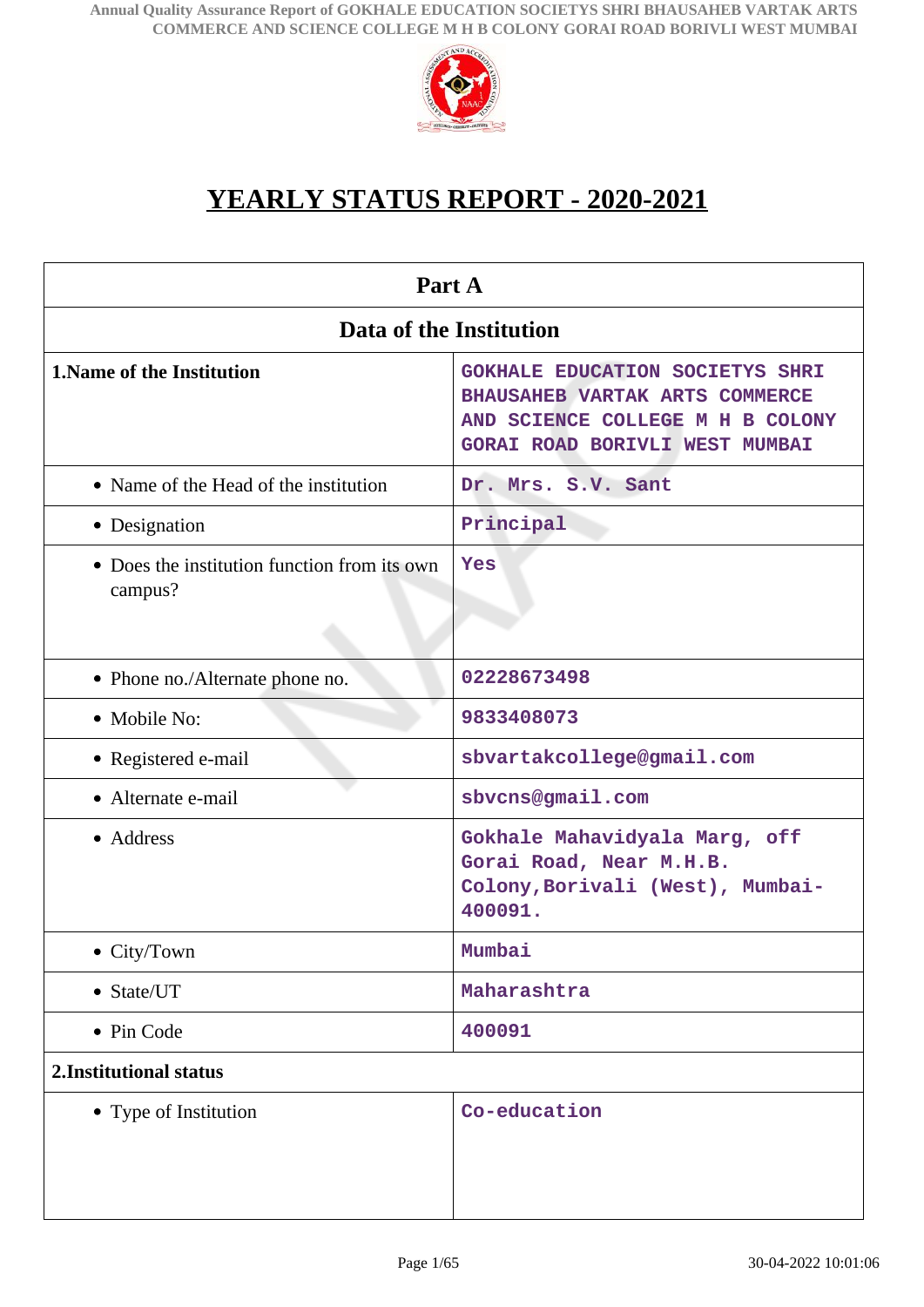

# **YEARLY STATUS REPORT - 2020-2021**

| Part A                                                                     |                                                                                                                                                                      |  |
|----------------------------------------------------------------------------|----------------------------------------------------------------------------------------------------------------------------------------------------------------------|--|
| Data of the Institution                                                    |                                                                                                                                                                      |  |
| <b>1. Name of the Institution</b><br>• Name of the Head of the institution | <b>GOKHALE EDUCATION SOCIETYS SHRI</b><br>BHAUSAHEB VARTAK ARTS COMMERCE<br>AND SCIENCE COLLEGE M H B COLONY<br>GORAI ROAD BORIVLI WEST MUMBAI<br>Dr. Mrs. S.V. Sant |  |
|                                                                            |                                                                                                                                                                      |  |
| • Designation                                                              | Principal                                                                                                                                                            |  |
| • Does the institution function from its own<br>campus?                    | Yes                                                                                                                                                                  |  |
| • Phone no./Alternate phone no.                                            | 02228673498                                                                                                                                                          |  |
| • Mobile No:                                                               | 9833408073                                                                                                                                                           |  |
| • Registered e-mail                                                        | sbvartakcollege@gmail.com                                                                                                                                            |  |
| • Alternate e-mail                                                         | sbvcns@gmail.com                                                                                                                                                     |  |
| • Address                                                                  | Gokhale Mahavidyala Marg, off<br>Gorai Road, Near M.H.B.<br>Colony, Borivali (West), Mumbai-<br>400091.                                                              |  |
| $\bullet$ City/Town                                                        | Mumbai                                                                                                                                                               |  |
| • State/UT                                                                 | Maharashtra                                                                                                                                                          |  |
| • Pin Code                                                                 | 400091                                                                                                                                                               |  |
| 2. Institutional status                                                    |                                                                                                                                                                      |  |
| • Type of Institution                                                      | Co-education                                                                                                                                                         |  |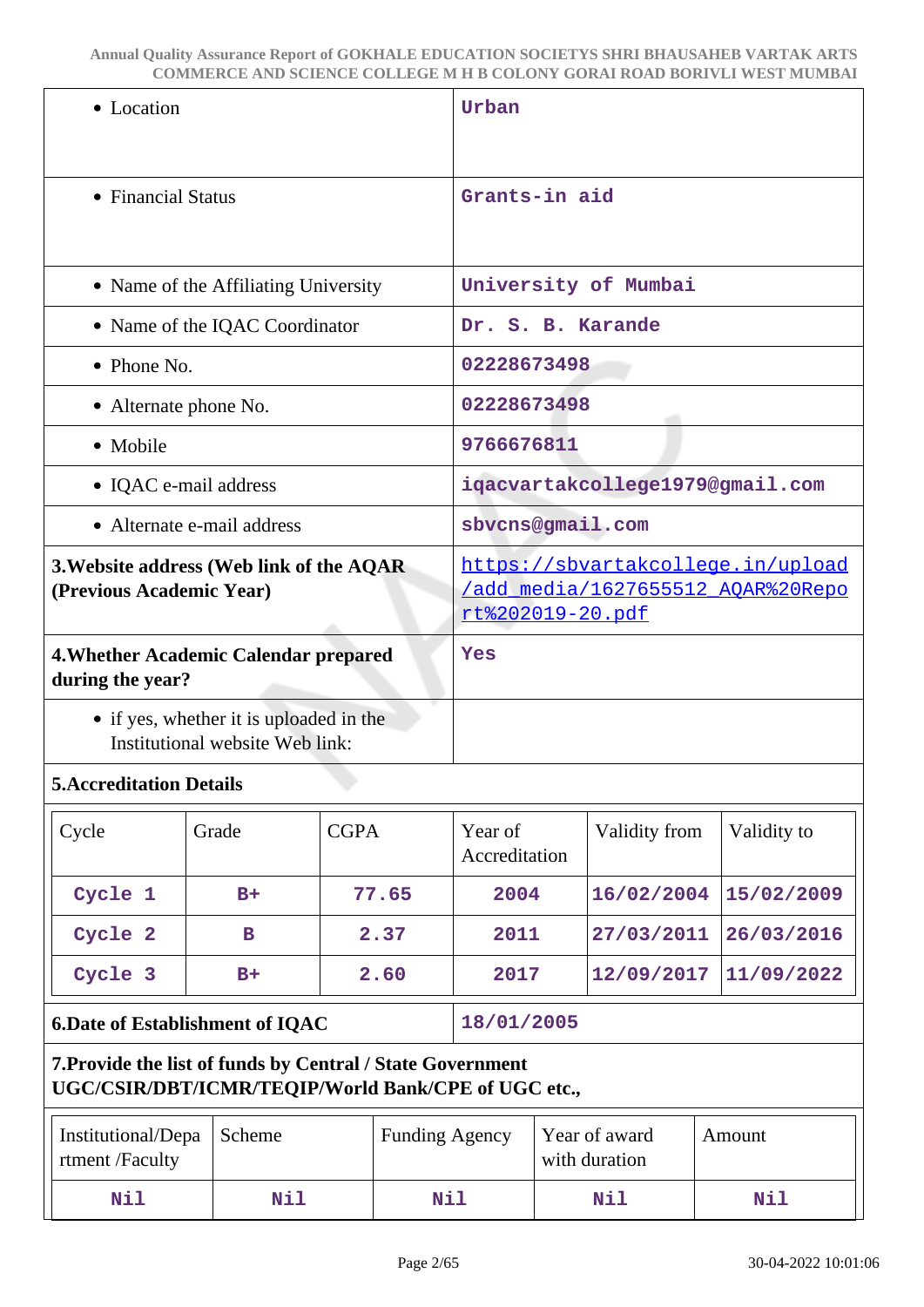| • Location                                                                                                        |                          |  |                      |                                                                               |
|-------------------------------------------------------------------------------------------------------------------|--------------------------|--|----------------------|-------------------------------------------------------------------------------|
|                                                                                                                   | Urban                    |  |                      |                                                                               |
| • Financial Status                                                                                                | Grants-in aid            |  |                      |                                                                               |
| • Name of the Affiliating University                                                                              |                          |  | University of Mumbai |                                                                               |
| • Name of the IQAC Coordinator                                                                                    | Dr. S. B. Karande        |  |                      |                                                                               |
| • Phone No.                                                                                                       | 02228673498              |  |                      |                                                                               |
| • Alternate phone No.                                                                                             | 02228673498              |  |                      |                                                                               |
| • Mobile                                                                                                          | 9766676811               |  |                      |                                                                               |
| • IQAC e-mail address                                                                                             |                          |  |                      | iqacvartakcollege1979@gmail.com                                               |
| • Alternate e-mail address                                                                                        | sbvcns@gmail.com         |  |                      |                                                                               |
| 3. Website address (Web link of the AQAR<br>(Previous Academic Year)                                              | rt%202019-20.pdf         |  |                      | https://sbvartakcollege.in/upload<br><u>/add media/1627655512 AOAR%20Repo</u> |
| 4. Whether Academic Calendar prepared<br>during the year?                                                         | Yes                      |  |                      |                                                                               |
| • if yes, whether it is uploaded in the<br>Institutional website Web link:                                        |                          |  |                      |                                                                               |
| <b>5. Accreditation Details</b>                                                                                   |                          |  |                      |                                                                               |
| <b>CGPA</b><br>Grade<br>Cycle                                                                                     | Year of<br>Accreditation |  | Validity from        | Validity to                                                                   |
| Cycle 1<br>77.65<br>$B+$                                                                                          | 2004                     |  | 16/02/2004           | 15/02/2009                                                                    |
| Cycle 2<br>2.37<br>В                                                                                              | 2011                     |  | 27/03/2011           | 26/03/2016                                                                    |
| Cycle 3<br>2.60<br>$B+$                                                                                           | 2017                     |  | 12/09/2017           | 11/09/2022                                                                    |
| <b>6.Date of Establishment of IQAC</b>                                                                            | 18/01/2005               |  |                      |                                                                               |
| 7. Provide the list of funds by Central / State Government<br>UGC/CSIR/DBT/ICMR/TEQIP/World Bank/CPE of UGC etc., |                          |  |                      |                                                                               |
|                                                                                                                   |                          |  |                      |                                                                               |

**Nil Nil Nil Nil Nil**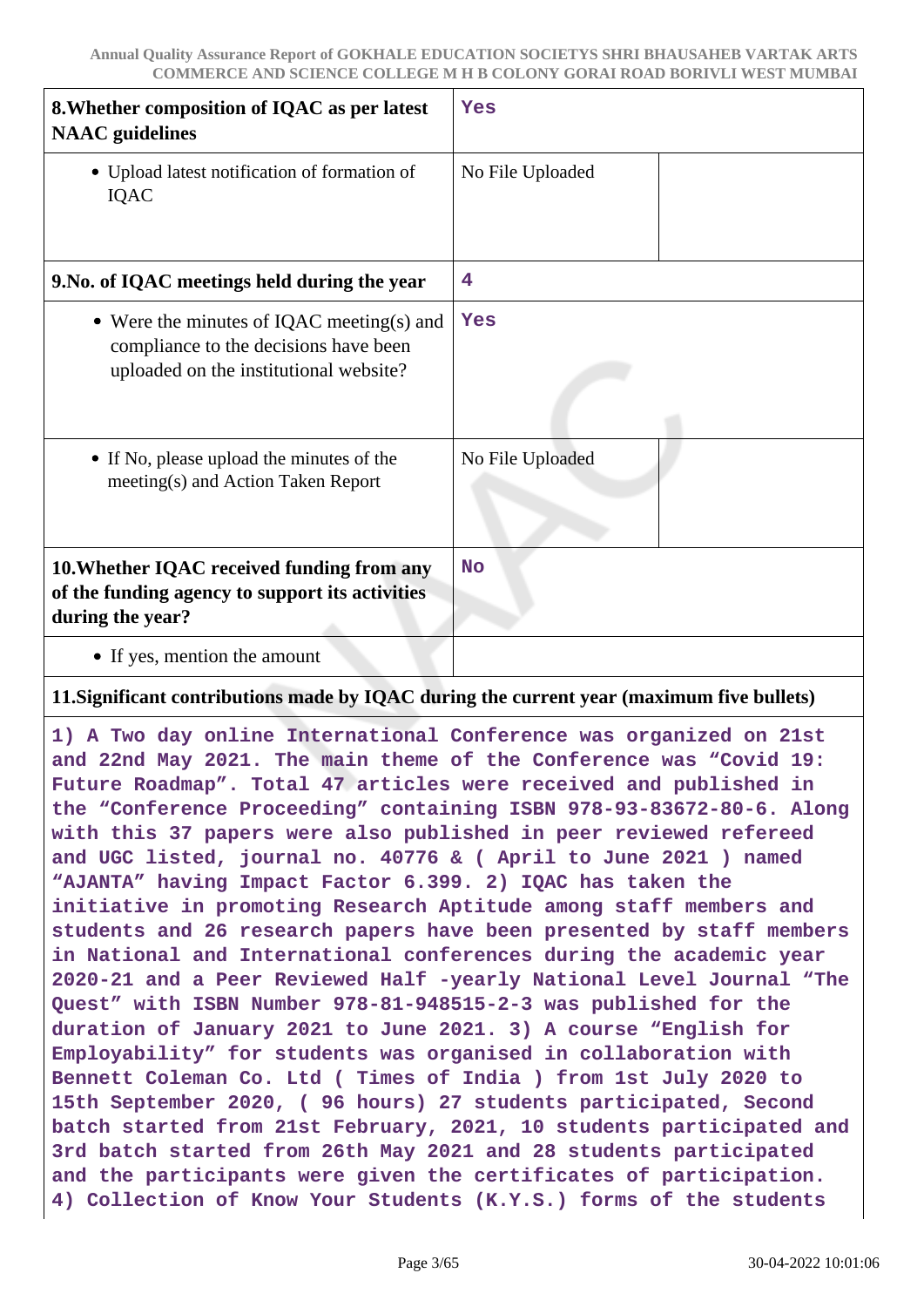| 8. Whether composition of IQAC as per latest<br><b>NAAC</b> guidelines                                                       | Yes              |
|------------------------------------------------------------------------------------------------------------------------------|------------------|
| • Upload latest notification of formation of<br>IQAC                                                                         | No File Uploaded |
| 9. No. of IQAC meetings held during the year                                                                                 | 4                |
| • Were the minutes of IQAC meeting(s) and<br>compliance to the decisions have been<br>uploaded on the institutional website? | Yes              |
| • If No, please upload the minutes of the<br>meeting(s) and Action Taken Report                                              | No File Uploaded |
| 10. Whether IQAC received funding from any<br>of the funding agency to support its activities<br>during the year?            | <b>No</b>        |
| • If yes, mention the amount                                                                                                 |                  |

#### **11.Significant contributions made by IQAC during the current year (maximum five bullets)**

**1) A Two day online International Conference was organized on 21st and 22nd May 2021. The main theme of the Conference was "Covid 19: Future Roadmap". Total 47 articles were received and published in the "Conference Proceeding" containing ISBN 978-93-83672-80-6. Along with this 37 papers were also published in peer reviewed refereed and UGC listed, journal no. 40776 & ( April to June 2021 ) named "AJANTA" having Impact Factor 6.399. 2) IQAC has taken the initiative in promoting Research Aptitude among staff members and students and 26 research papers have been presented by staff members in National and International conferences during the academic year 2020-21 and a Peer Reviewed Half -yearly National Level Journal "The Quest" with ISBN Number 978-81-948515-2-3 was published for the duration of January 2021 to June 2021. 3) A course "English for Employability" for students was organised in collaboration with Bennett Coleman Co. Ltd ( Times of India ) from 1st July 2020 to 15th September 2020, ( 96 hours) 27 students participated, Second batch started from 21st February, 2021, 10 students participated and 3rd batch started from 26th May 2021 and 28 students participated and the participants were given the certificates of participation. 4) Collection of Know Your Students (K.Y.S.) forms of the students**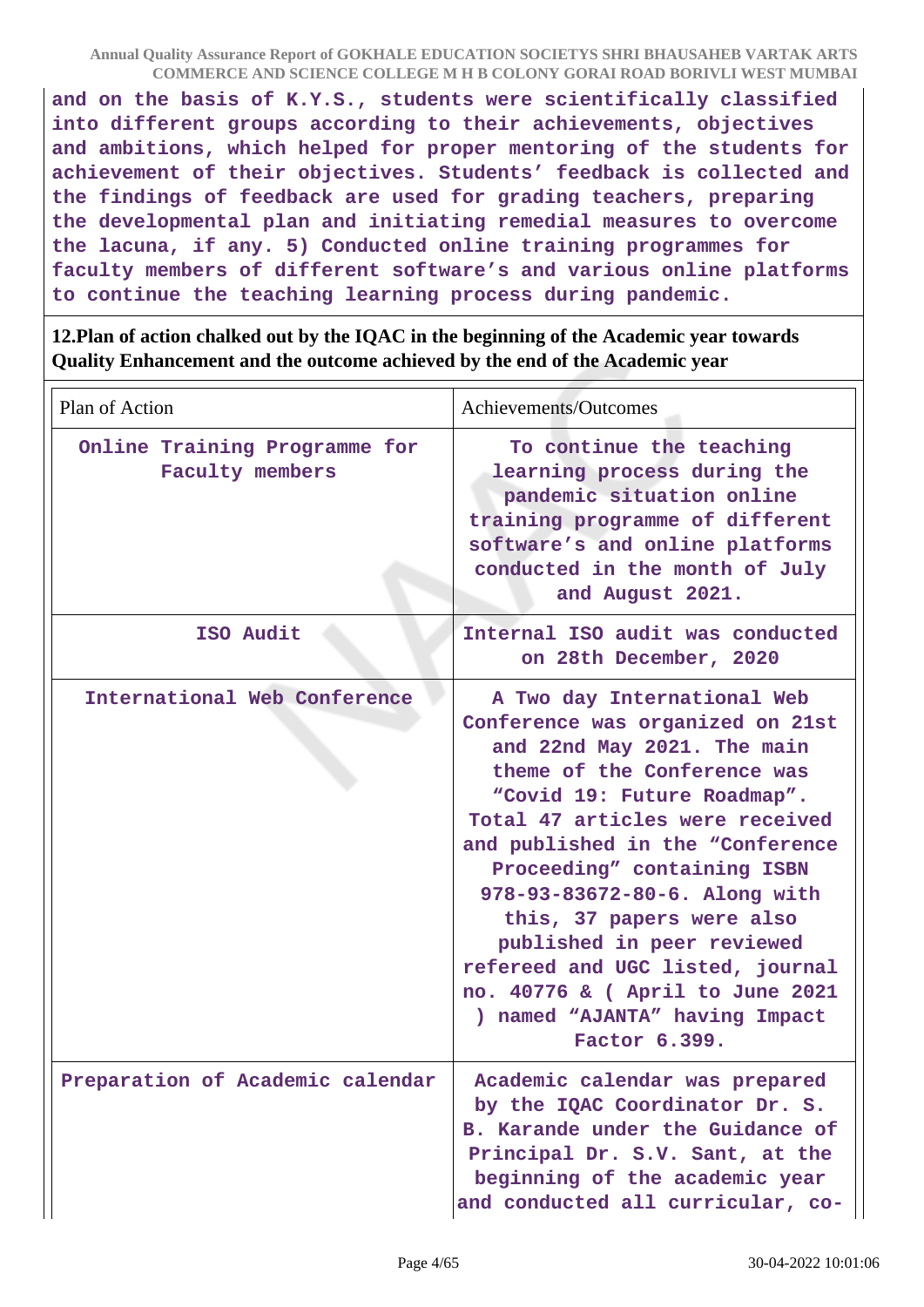**and on the basis of K.Y.S., students were scientifically classified into different groups according to their achievements, objectives and ambitions, which helped for proper mentoring of the students for achievement of their objectives. Students' feedback is collected and the findings of feedback are used for grading teachers, preparing the developmental plan and initiating remedial measures to overcome the lacuna, if any. 5) Conducted online training programmes for faculty members of different software's and various online platforms to continue the teaching learning process during pandemic.**

**12.Plan of action chalked out by the IQAC in the beginning of the Academic year towards Quality Enhancement and the outcome achieved by the end of the Academic year**

| Plan of Action                                          | Achievements/Outcomes                                                                                                                                                                                                                                                                                                                                                                                                                                                                     |
|---------------------------------------------------------|-------------------------------------------------------------------------------------------------------------------------------------------------------------------------------------------------------------------------------------------------------------------------------------------------------------------------------------------------------------------------------------------------------------------------------------------------------------------------------------------|
| Online Training Programme for<br><b>Faculty members</b> | To continue the teaching<br>learning process during the<br>pandemic situation online<br>training programme of different<br>software's and online platforms<br>conducted in the month of July<br>and August 2021.                                                                                                                                                                                                                                                                          |
| ISO Audit                                               | Internal ISO audit was conducted<br>on 28th December, 2020                                                                                                                                                                                                                                                                                                                                                                                                                                |
| International Web Conference                            | A Two day International Web<br>Conference was organized on 21st<br>and 22nd May 2021. The main<br>theme of the Conference was<br>"Covid 19: Future Roadmap".<br>Total 47 articles were received<br>and published in the "Conference<br>Proceeding" containing ISBN<br>978-93-83672-80-6. Along with<br>this, 37 papers were also<br>published in peer reviewed<br>refereed and UGC listed, journal<br>no. 40776 & ( April to June 2021<br>) named "AJANTA" having Impact<br>Factor 6.399. |
| Preparation of Academic calendar                        | Academic calendar was prepared<br>by the IQAC Coordinator Dr. S.<br>B. Karande under the Guidance of<br>Principal Dr. S.V. Sant, at the<br>beginning of the academic year<br>and conducted all curricular, co-                                                                                                                                                                                                                                                                            |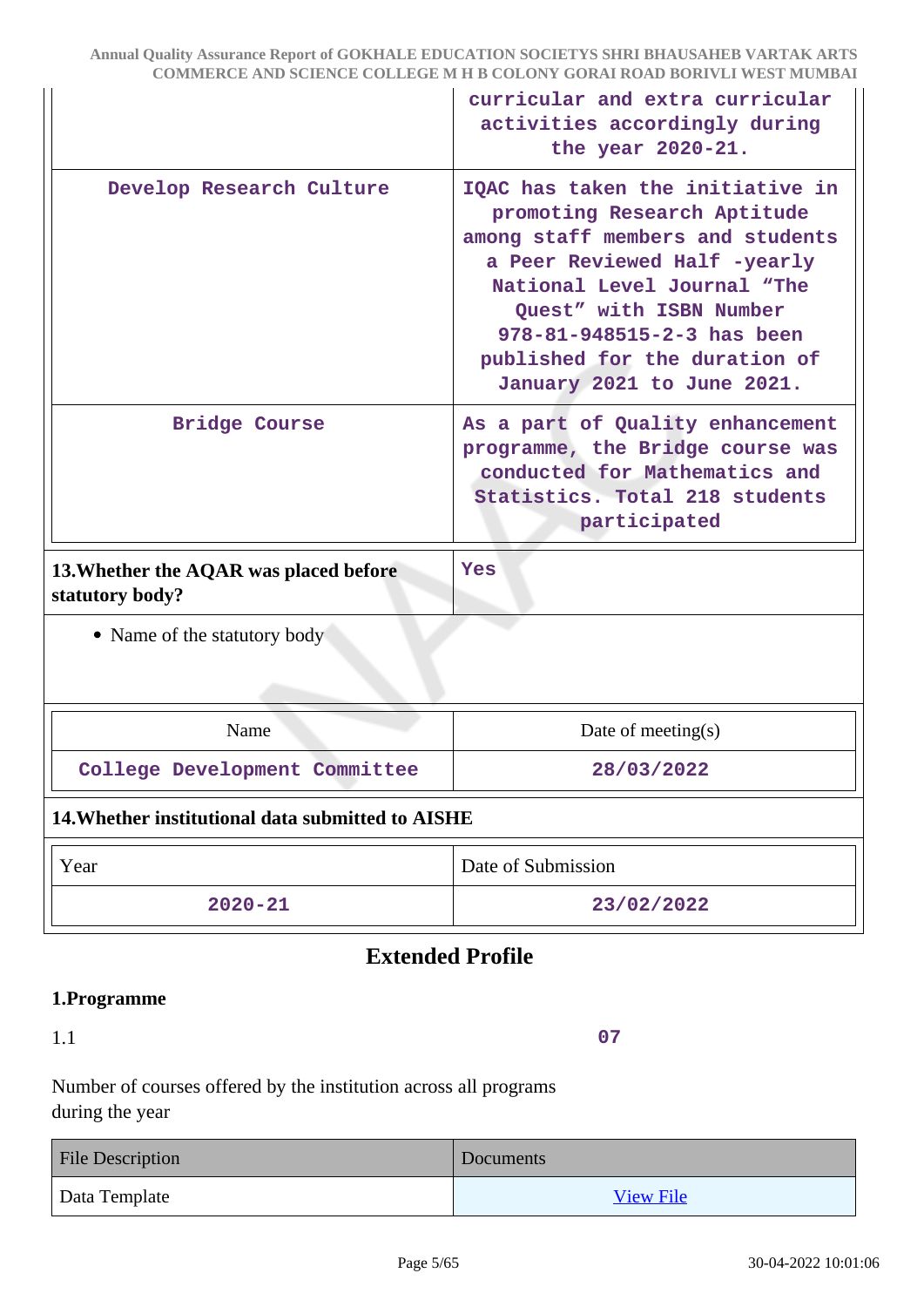|                                                           | curricular and extra curricular<br>activities accordingly during<br>the year 2020-21.                                                                                                                                                                                                      |  |
|-----------------------------------------------------------|--------------------------------------------------------------------------------------------------------------------------------------------------------------------------------------------------------------------------------------------------------------------------------------------|--|
| Develop Research Culture                                  | IQAC has taken the initiative in<br>promoting Research Aptitude<br>among staff members and students<br>a Peer Reviewed Half -yearly<br>National Level Journal "The<br>Quest" with ISBN Number<br>978-81-948515-2-3 has been<br>published for the duration of<br>January 2021 to June 2021. |  |
| Bridge Course                                             | As a part of Quality enhancement<br>programme, the Bridge course was<br>conducted for Mathematics and<br>Statistics. Total 218 students<br>participated                                                                                                                                    |  |
| 13. Whether the AQAR was placed before<br>statutory body? | <b>Yes</b>                                                                                                                                                                                                                                                                                 |  |
| • Name of the statutory body                              |                                                                                                                                                                                                                                                                                            |  |
| Name                                                      | Date of meeting $(s)$                                                                                                                                                                                                                                                                      |  |
| College Development Committee                             | 28/03/2022                                                                                                                                                                                                                                                                                 |  |
| 14. Whether institutional data submitted to AISHE         |                                                                                                                                                                                                                                                                                            |  |
| Year                                                      | Date of Submission                                                                                                                                                                                                                                                                         |  |
| $2020 - 21$                                               | 23/02/2022                                                                                                                                                                                                                                                                                 |  |

# **Extended Profile**

## **1.Programme**

1.1

**07**

Number of courses offered by the institution across all programs during the year

| <b>File Description</b> | Documents        |
|-------------------------|------------------|
| Data Template           | <b>View File</b> |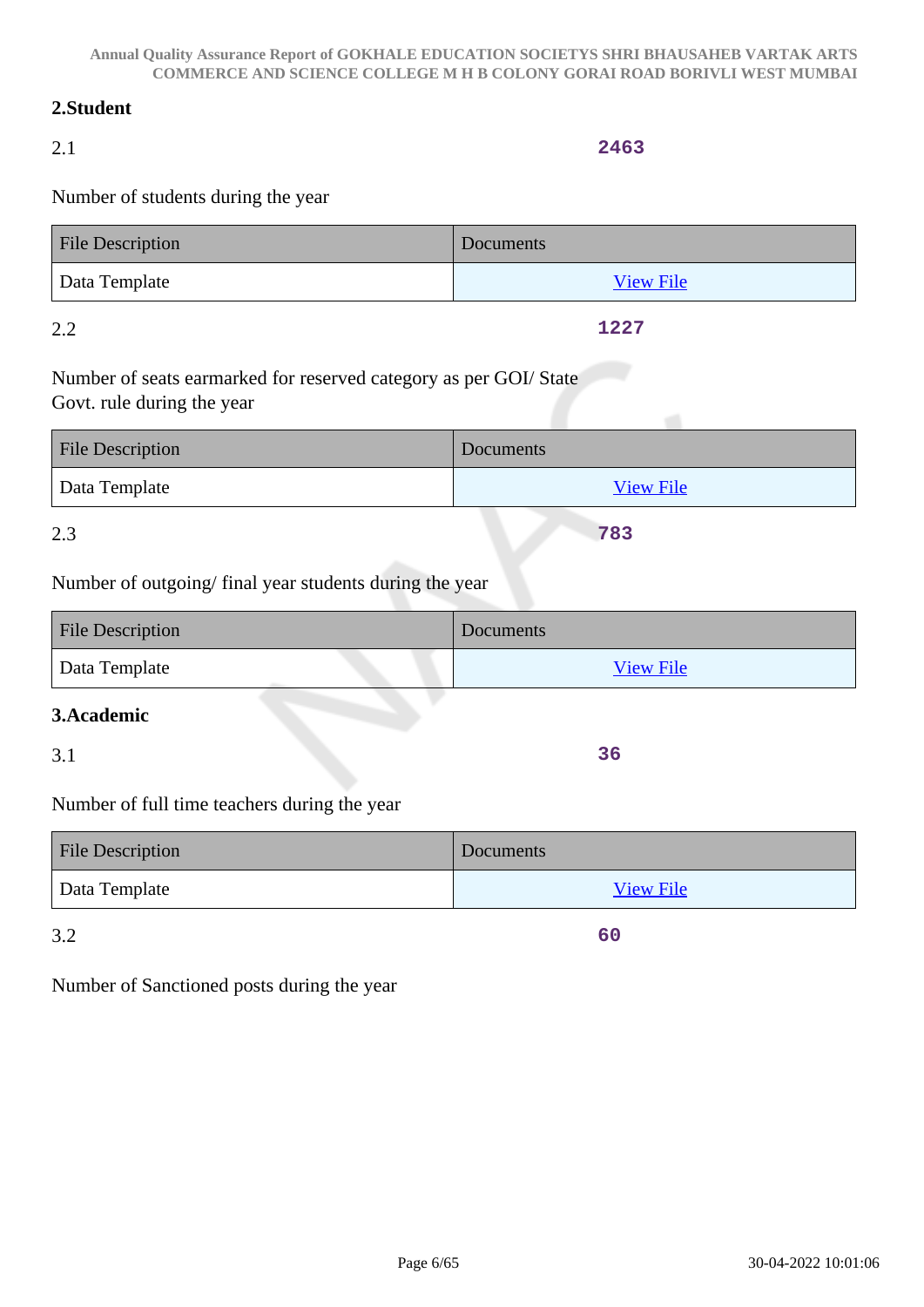# **2.Student**

# 2.1

# Number of students during the year

| File Description | Documents        |
|------------------|------------------|
| Data Template    | <b>View File</b> |

## 2.2

Number of seats earmarked for reserved category as per GOI/ State Govt. rule during the year

| <b>File Description</b> | Documents        |
|-------------------------|------------------|
| Data Template           | <b>View File</b> |
|                         |                  |

# 2.3

Number of outgoing/ final year students during the year

| <b>File Description</b> | Documents        |
|-------------------------|------------------|
| Data Template           | <b>View File</b> |

# **3.Academic**

3.1

Number of full time teachers during the year

| <b>File Description</b> | Documents        |
|-------------------------|------------------|
| Data Template           | <b>View File</b> |

3.2

**60**

**36**

Number of Sanctioned posts during the year

**2463**

**1227**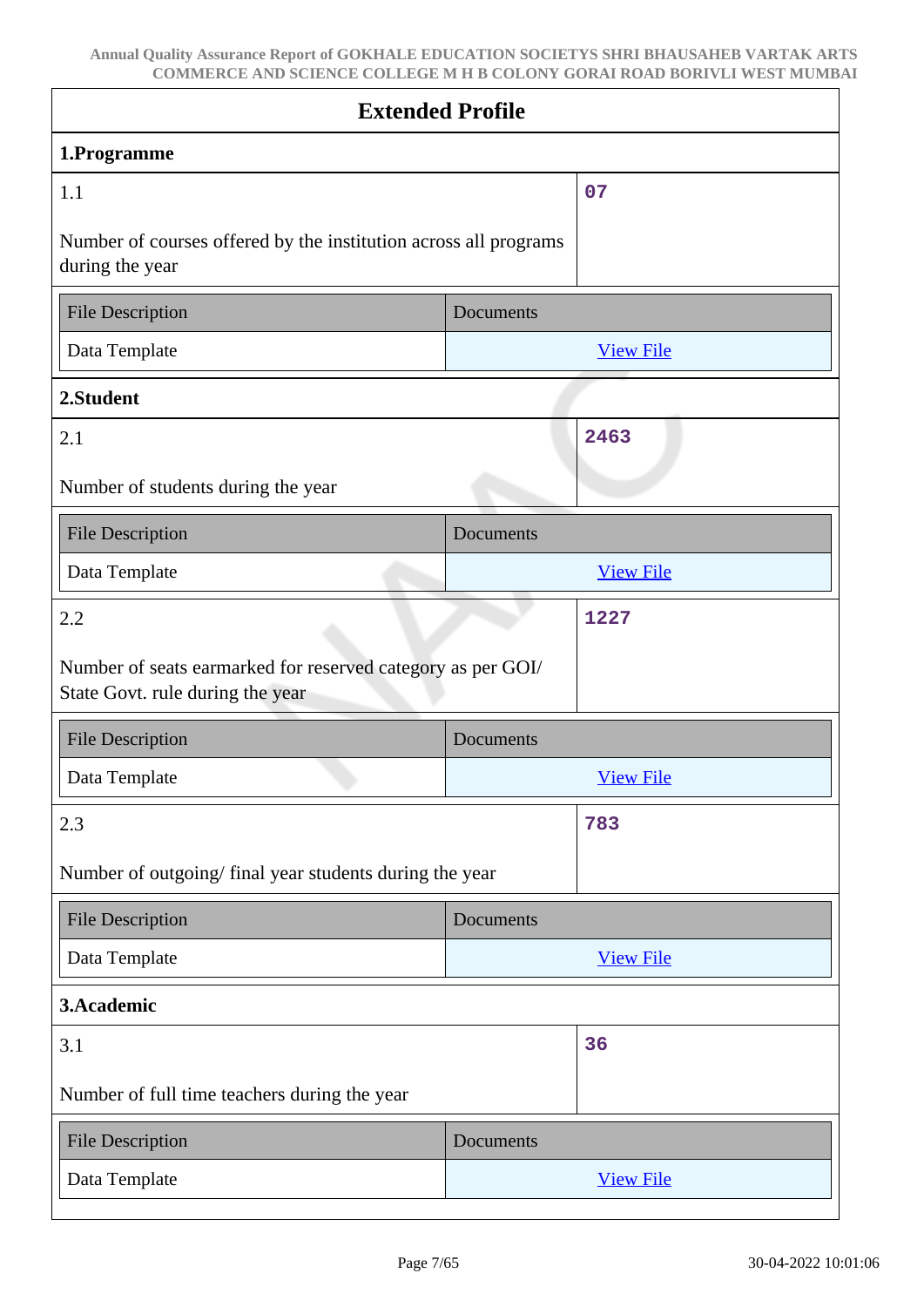| <b>Extended Profile</b>                                                                         |           |                  |
|-------------------------------------------------------------------------------------------------|-----------|------------------|
| 1.Programme                                                                                     |           |                  |
| 1.1                                                                                             |           | 07               |
| Number of courses offered by the institution across all programs<br>during the year             |           |                  |
| <b>File Description</b>                                                                         | Documents |                  |
| Data Template                                                                                   |           | <b>View File</b> |
| 2.Student                                                                                       |           |                  |
| 2.1                                                                                             |           | 2463             |
| Number of students during the year                                                              |           |                  |
| <b>File Description</b>                                                                         | Documents |                  |
| Data Template                                                                                   |           | <b>View File</b> |
| 2.2                                                                                             |           | 1227             |
| Number of seats earmarked for reserved category as per GOI/<br>State Govt. rule during the year |           |                  |
| <b>File Description</b>                                                                         | Documents |                  |
| Data Template                                                                                   |           | <b>View File</b> |
| 2.3                                                                                             |           | 783              |
| Number of outgoing/ final year students during the year                                         |           |                  |
| <b>File Description</b>                                                                         | Documents |                  |
| Data Template                                                                                   |           | <b>View File</b> |
| 3.Academic                                                                                      |           |                  |
| 3.1                                                                                             |           | 36               |
| Number of full time teachers during the year                                                    |           |                  |
| <b>File Description</b>                                                                         | Documents |                  |
| Data Template                                                                                   |           | <b>View File</b> |
|                                                                                                 |           |                  |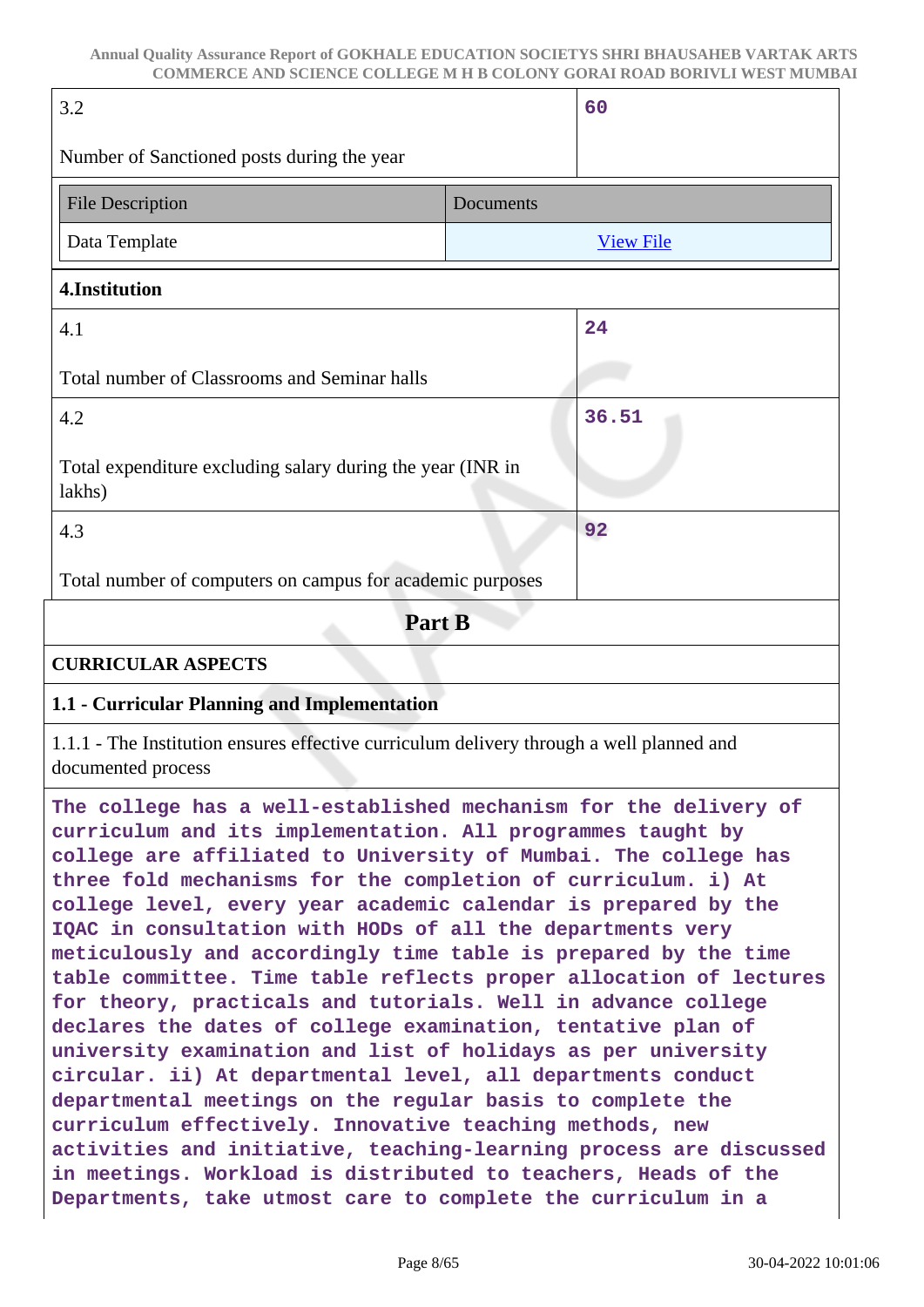| 3.2                                                                                                                                                                                                                                                                                                                                                                                                                                                                                                                                                                                                                                                                                                                                                                                                                                                                                                                                                                                                                                                                                                                                               | 60               |  |
|---------------------------------------------------------------------------------------------------------------------------------------------------------------------------------------------------------------------------------------------------------------------------------------------------------------------------------------------------------------------------------------------------------------------------------------------------------------------------------------------------------------------------------------------------------------------------------------------------------------------------------------------------------------------------------------------------------------------------------------------------------------------------------------------------------------------------------------------------------------------------------------------------------------------------------------------------------------------------------------------------------------------------------------------------------------------------------------------------------------------------------------------------|------------------|--|
| Number of Sanctioned posts during the year                                                                                                                                                                                                                                                                                                                                                                                                                                                                                                                                                                                                                                                                                                                                                                                                                                                                                                                                                                                                                                                                                                        |                  |  |
| <b>File Description</b>                                                                                                                                                                                                                                                                                                                                                                                                                                                                                                                                                                                                                                                                                                                                                                                                                                                                                                                                                                                                                                                                                                                           | Documents        |  |
| Data Template                                                                                                                                                                                                                                                                                                                                                                                                                                                                                                                                                                                                                                                                                                                                                                                                                                                                                                                                                                                                                                                                                                                                     | <b>View File</b> |  |
| 4.Institution                                                                                                                                                                                                                                                                                                                                                                                                                                                                                                                                                                                                                                                                                                                                                                                                                                                                                                                                                                                                                                                                                                                                     |                  |  |
| 4.1                                                                                                                                                                                                                                                                                                                                                                                                                                                                                                                                                                                                                                                                                                                                                                                                                                                                                                                                                                                                                                                                                                                                               | 24               |  |
| Total number of Classrooms and Seminar halls                                                                                                                                                                                                                                                                                                                                                                                                                                                                                                                                                                                                                                                                                                                                                                                                                                                                                                                                                                                                                                                                                                      |                  |  |
| 4.2                                                                                                                                                                                                                                                                                                                                                                                                                                                                                                                                                                                                                                                                                                                                                                                                                                                                                                                                                                                                                                                                                                                                               | 36.51            |  |
| Total expenditure excluding salary during the year (INR in<br>lakhs)                                                                                                                                                                                                                                                                                                                                                                                                                                                                                                                                                                                                                                                                                                                                                                                                                                                                                                                                                                                                                                                                              |                  |  |
| 4.3                                                                                                                                                                                                                                                                                                                                                                                                                                                                                                                                                                                                                                                                                                                                                                                                                                                                                                                                                                                                                                                                                                                                               | 92               |  |
| Total number of computers on campus for academic purposes                                                                                                                                                                                                                                                                                                                                                                                                                                                                                                                                                                                                                                                                                                                                                                                                                                                                                                                                                                                                                                                                                         |                  |  |
| Part B                                                                                                                                                                                                                                                                                                                                                                                                                                                                                                                                                                                                                                                                                                                                                                                                                                                                                                                                                                                                                                                                                                                                            |                  |  |
| <b>CURRICULAR ASPECTS</b>                                                                                                                                                                                                                                                                                                                                                                                                                                                                                                                                                                                                                                                                                                                                                                                                                                                                                                                                                                                                                                                                                                                         |                  |  |
| 1.1 - Curricular Planning and Implementation                                                                                                                                                                                                                                                                                                                                                                                                                                                                                                                                                                                                                                                                                                                                                                                                                                                                                                                                                                                                                                                                                                      |                  |  |
| 1.1.1 - The Institution ensures effective curriculum delivery through a well planned and<br>documented process                                                                                                                                                                                                                                                                                                                                                                                                                                                                                                                                                                                                                                                                                                                                                                                                                                                                                                                                                                                                                                    |                  |  |
| The college has a well-established mechanism for the delivery of<br>curriculum and its implementation. All programmes taught by<br>college are affiliated to University of Mumbai. The college has<br>three fold mechanisms for the completion of curriculum. i) At<br>college level, every year academic calendar is prepared by the<br>IQAC in consultation with HODs of all the departments very<br>meticulously and accordingly time table is prepared by the time<br>table committee. Time table reflects proper allocation of lectures<br>for theory, practicals and tutorials. Well in advance college<br>declares the dates of college examination, tentative plan of<br>university examination and list of holidays as per university<br>circular. ii) At departmental level, all departments conduct<br>departmental meetings on the regular basis to complete the<br>curriculum effectively. Innovative teaching methods, new<br>activities and initiative, teaching-learning process are discussed<br>in meetings. Workload is distributed to teachers, Heads of the<br>Departments, take utmost care to complete the curriculum in a |                  |  |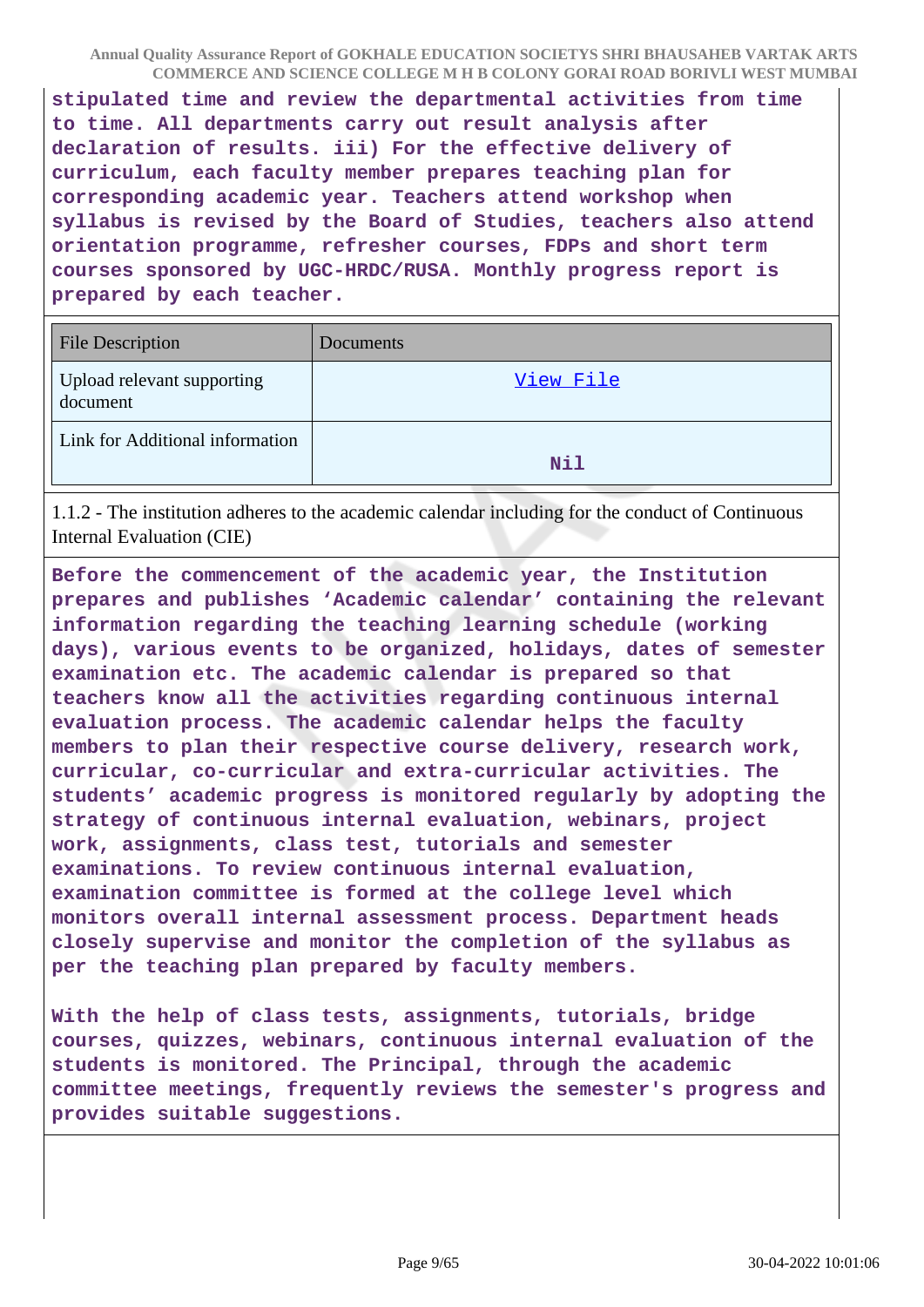**stipulated time and review the departmental activities from time to time. All departments carry out result analysis after declaration of results. iii) For the effective delivery of curriculum, each faculty member prepares teaching plan for corresponding academic year. Teachers attend workshop when syllabus is revised by the Board of Studies, teachers also attend orientation programme, refresher courses, FDPs and short term courses sponsored by UGC-HRDC/RUSA. Monthly progress report is prepared by each teacher.**

| <b>File Description</b>                | Documents  |
|----------------------------------------|------------|
| Upload relevant supporting<br>document | View File  |
| Link for Additional information        | <b>Nil</b> |

1.1.2 - The institution adheres to the academic calendar including for the conduct of Continuous Internal Evaluation (CIE)

**Before the commencement of the academic year, the Institution prepares and publishes 'Academic calendar' containing the relevant information regarding the teaching learning schedule (working days), various events to be organized, holidays, dates of semester examination etc. The academic calendar is prepared so that teachers know all the activities regarding continuous internal evaluation process. The academic calendar helps the faculty members to plan their respective course delivery, research work, curricular, co-curricular and extra-curricular activities. The students' academic progress is monitored regularly by adopting the strategy of continuous internal evaluation, webinars, project work, assignments, class test, tutorials and semester examinations. To review continuous internal evaluation, examination committee is formed at the college level which monitors overall internal assessment process. Department heads closely supervise and monitor the completion of the syllabus as per the teaching plan prepared by faculty members.**

**With the help of class tests, assignments, tutorials, bridge courses, quizzes, webinars, continuous internal evaluation of the students is monitored. The Principal, through the academic committee meetings, frequently reviews the semester's progress and provides suitable suggestions.**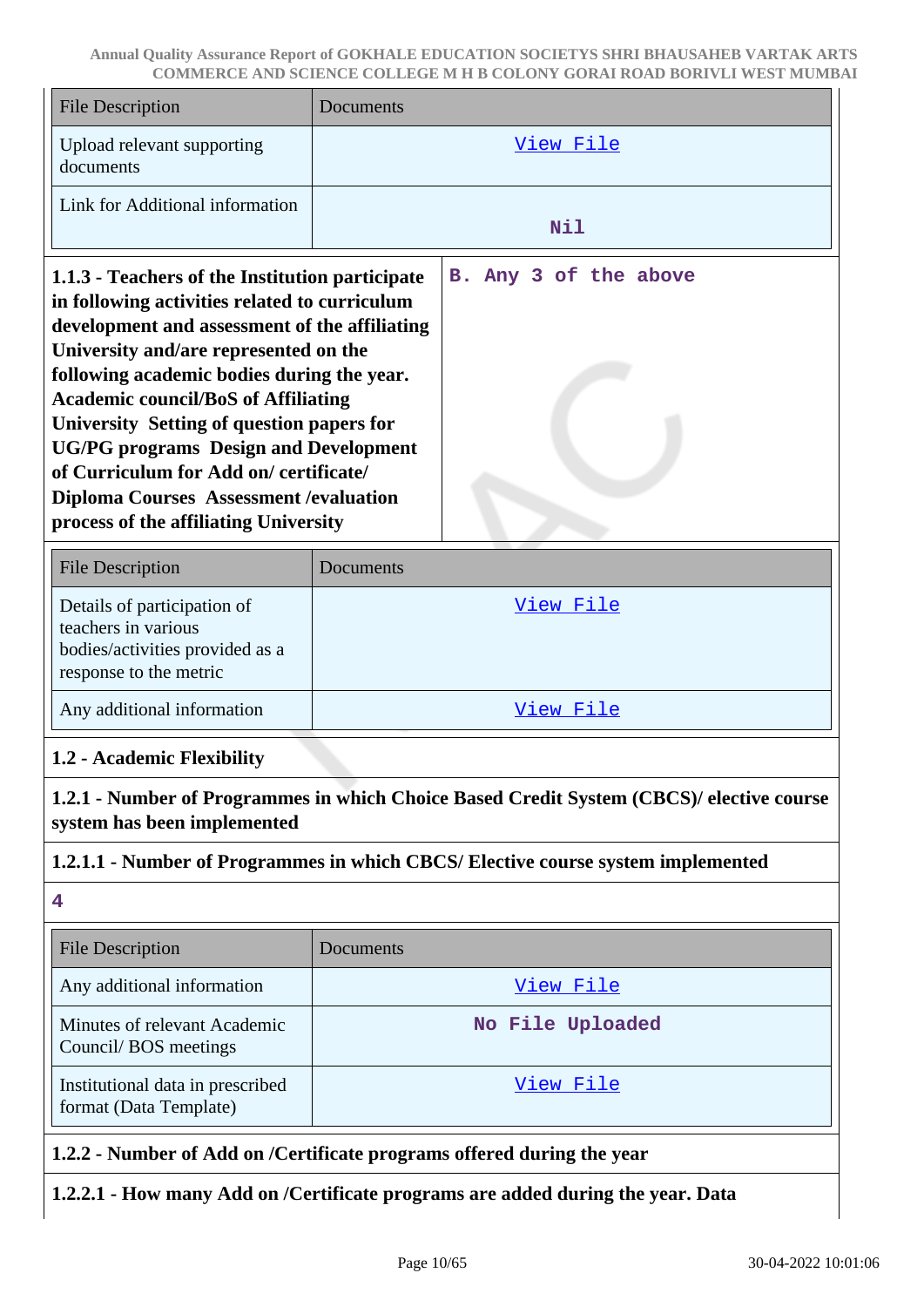| <b>File Description</b>                                                                                                                                                                                                                                                                                                                                                                                                                                                                                                 | Documents                                                                        |  |
|-------------------------------------------------------------------------------------------------------------------------------------------------------------------------------------------------------------------------------------------------------------------------------------------------------------------------------------------------------------------------------------------------------------------------------------------------------------------------------------------------------------------------|----------------------------------------------------------------------------------|--|
| Upload relevant supporting<br>documents                                                                                                                                                                                                                                                                                                                                                                                                                                                                                 | <u>View File</u>                                                                 |  |
| Link for Additional information                                                                                                                                                                                                                                                                                                                                                                                                                                                                                         | <b>Nil</b>                                                                       |  |
| 1.1.3 - Teachers of the Institution participate<br>in following activities related to curriculum<br>development and assessment of the affiliating<br>University and/are represented on the<br>following academic bodies during the year.<br><b>Academic council/BoS of Affiliating</b><br>University Setting of question papers for<br><b>UG/PG</b> programs Design and Development<br>of Curriculum for Add on/certificate/<br><b>Diploma Courses Assessment / evaluation</b><br>process of the affiliating University | B. Any 3 of the above                                                            |  |
| <b>File Description</b>                                                                                                                                                                                                                                                                                                                                                                                                                                                                                                 | Documents                                                                        |  |
| Details of participation of<br>teachers in various<br>bodies/activities provided as a<br>response to the metric                                                                                                                                                                                                                                                                                                                                                                                                         | View File                                                                        |  |
| Any additional information                                                                                                                                                                                                                                                                                                                                                                                                                                                                                              | View File                                                                        |  |
| 1.2 - Academic Flexibility                                                                                                                                                                                                                                                                                                                                                                                                                                                                                              |                                                                                  |  |
| 1.2.1 - Number of Programmes in which Choice Based Credit System (CBCS)/ elective course<br>system has been implemented                                                                                                                                                                                                                                                                                                                                                                                                 |                                                                                  |  |
|                                                                                                                                                                                                                                                                                                                                                                                                                                                                                                                         | 1.2.1.1 - Number of Programmes in which CBCS/ Elective course system implemented |  |
| 4                                                                                                                                                                                                                                                                                                                                                                                                                                                                                                                       |                                                                                  |  |
| <b>File Description</b>                                                                                                                                                                                                                                                                                                                                                                                                                                                                                                 | Documents                                                                        |  |
| Any additional information                                                                                                                                                                                                                                                                                                                                                                                                                                                                                              | <u>View File</u>                                                                 |  |
| Minutes of relevant Academic<br>Council/BOS meetings                                                                                                                                                                                                                                                                                                                                                                                                                                                                    | No File Uploaded                                                                 |  |
| Institutional data in prescribed<br>format (Data Template)                                                                                                                                                                                                                                                                                                                                                                                                                                                              | <u>View File</u>                                                                 |  |
| 1.2.2 - Number of Add on /Certificate programs offered during the year                                                                                                                                                                                                                                                                                                                                                                                                                                                  |                                                                                  |  |

# **1.2.2.1 - How many Add on /Certificate programs are added during the year. Data**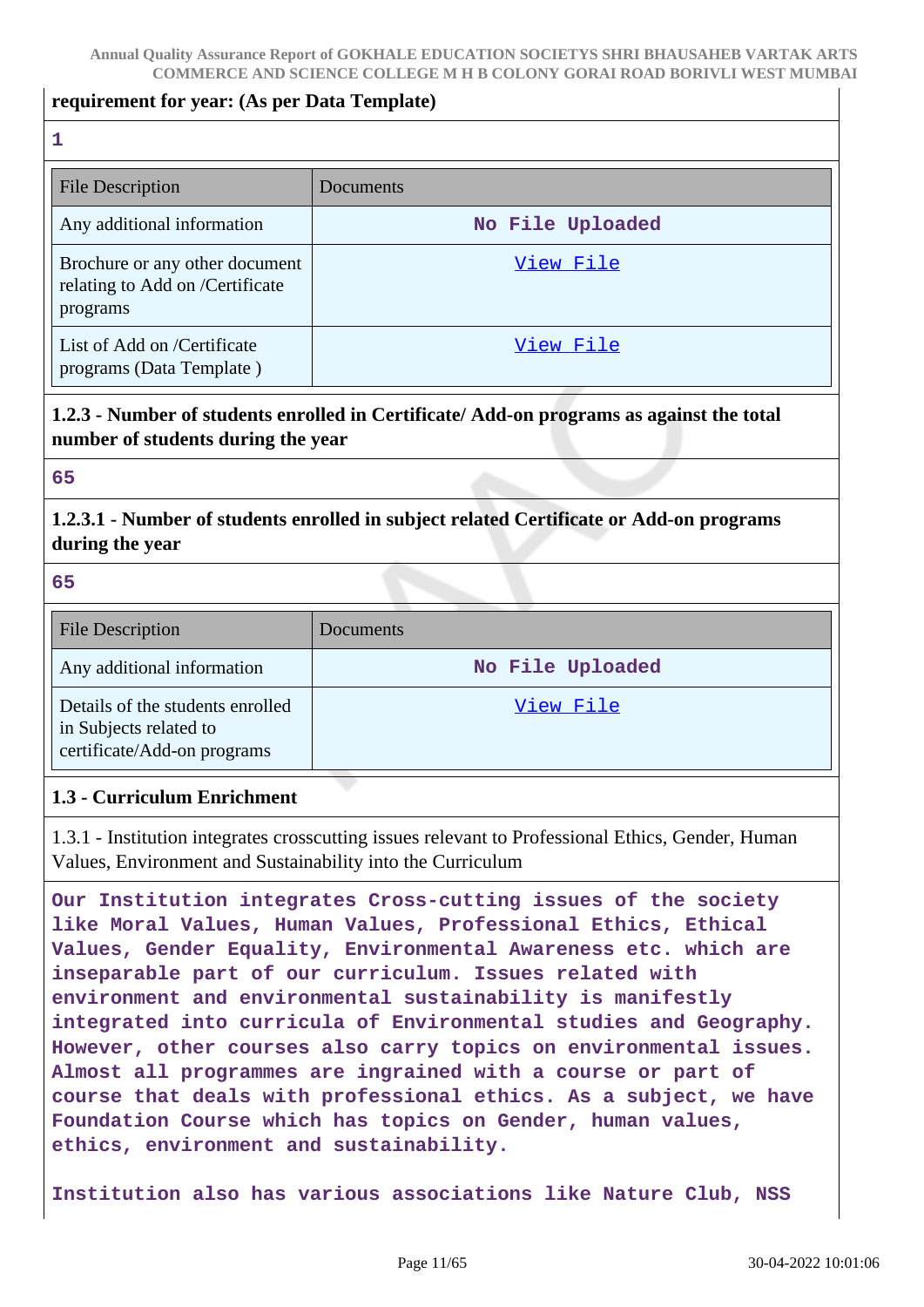#### **requirement for year: (As per Data Template)**

**1**

| <b>File Description</b>                                                       | Documents        |
|-------------------------------------------------------------------------------|------------------|
| Any additional information                                                    | No File Uploaded |
| Brochure or any other document<br>relating to Add on /Certificate<br>programs | View File        |
| List of Add on /Certificate<br>programs (Data Template)                       | View File        |

## **1.2.3 - Number of students enrolled in Certificate/ Add-on programs as against the total number of students during the year**

#### **65**

## **1.2.3.1 - Number of students enrolled in subject related Certificate or Add-on programs during the year**

**65**

| <b>File Description</b>                                                                   | Documents        |
|-------------------------------------------------------------------------------------------|------------------|
| Any additional information                                                                | No File Uploaded |
| Details of the students enrolled<br>in Subjects related to<br>certificate/Add-on programs | View File        |

### **1.3 - Curriculum Enrichment**

1.3.1 - Institution integrates crosscutting issues relevant to Professional Ethics, Gender, Human Values, Environment and Sustainability into the Curriculum

**Our Institution integrates Cross-cutting issues of the society like Moral Values, Human Values, Professional Ethics, Ethical Values, Gender Equality, Environmental Awareness etc. which are inseparable part of our curriculum. Issues related with environment and environmental sustainability is manifestly integrated into curricula of Environmental studies and Geography. However, other courses also carry topics on environmental issues. Almost all programmes are ingrained with a course or part of course that deals with professional ethics. As a subject, we have Foundation Course which has topics on Gender, human values, ethics, environment and sustainability.**

**Institution also has various associations like Nature Club, NSS**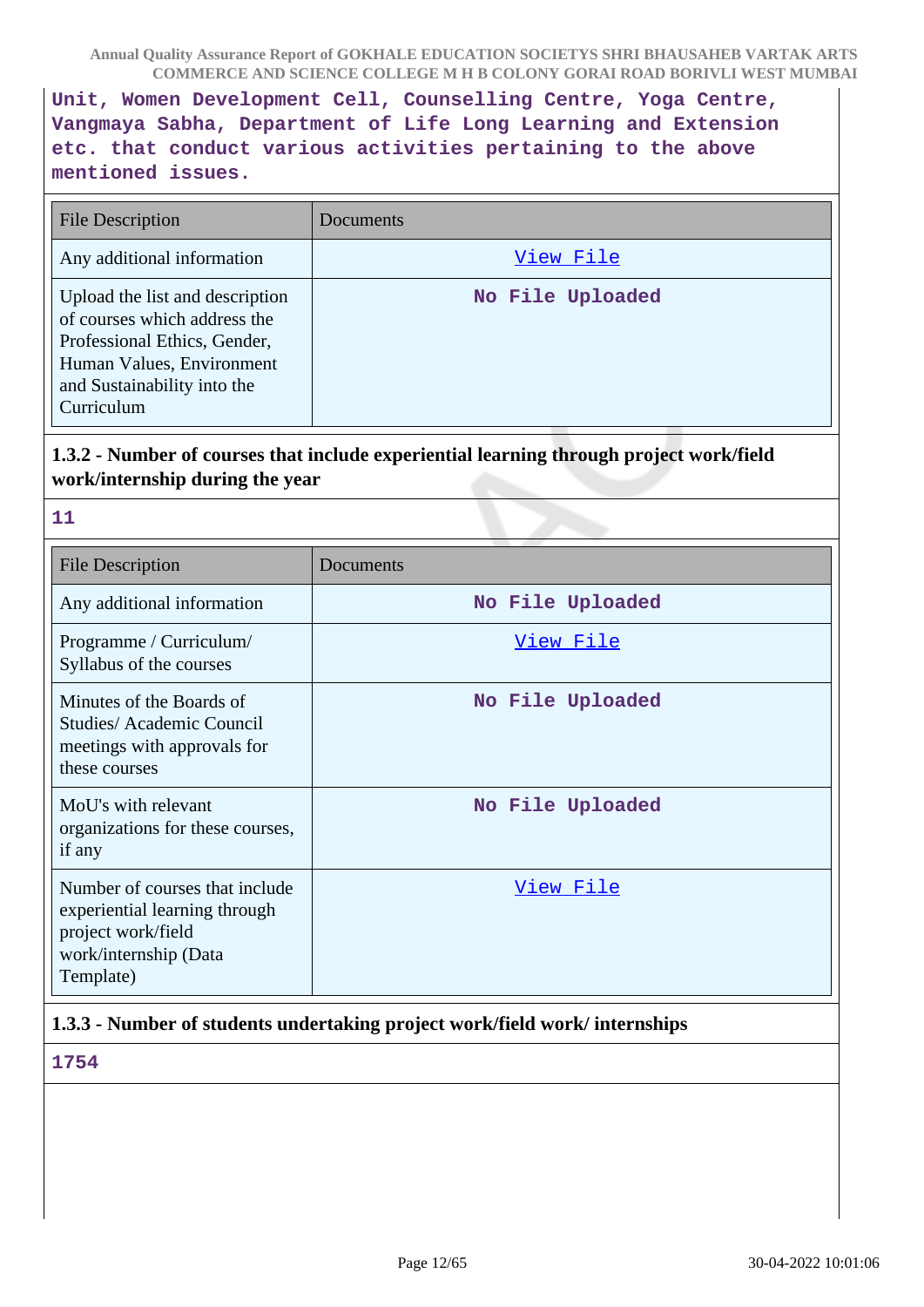**Unit, Women Development Cell, Counselling Centre, Yoga Centre, Vangmaya Sabha, Department of Life Long Learning and Extension etc. that conduct various activities pertaining to the above mentioned issues.**

| File Description                                                                                                                                                          | Documents        |
|---------------------------------------------------------------------------------------------------------------------------------------------------------------------------|------------------|
| Any additional information                                                                                                                                                | View File        |
| Upload the list and description<br>of courses which address the<br>Professional Ethics, Gender,<br>Human Values, Environment<br>and Sustainability into the<br>Curriculum | No File Uploaded |

## **1.3.2 - Number of courses that include experiential learning through project work/field work/internship during the year**

| e e | 99 U |
|-----|------|
|     |      |
|     |      |
|     |      |

| <b>File Description</b>                                                                                                     | Documents        |
|-----------------------------------------------------------------------------------------------------------------------------|------------------|
| Any additional information                                                                                                  | No File Uploaded |
| Programme / Curriculum/<br>Syllabus of the courses                                                                          | View File        |
| Minutes of the Boards of<br>Studies/Academic Council<br>meetings with approvals for<br>these courses                        | No File Uploaded |
| MoU's with relevant<br>organizations for these courses,<br>if any                                                           | No File Uploaded |
| Number of courses that include<br>experiential learning through<br>project work/field<br>work/internship (Data<br>Template) | <u>View File</u> |

# **1.3.3 - Number of students undertaking project work/field work/ internships**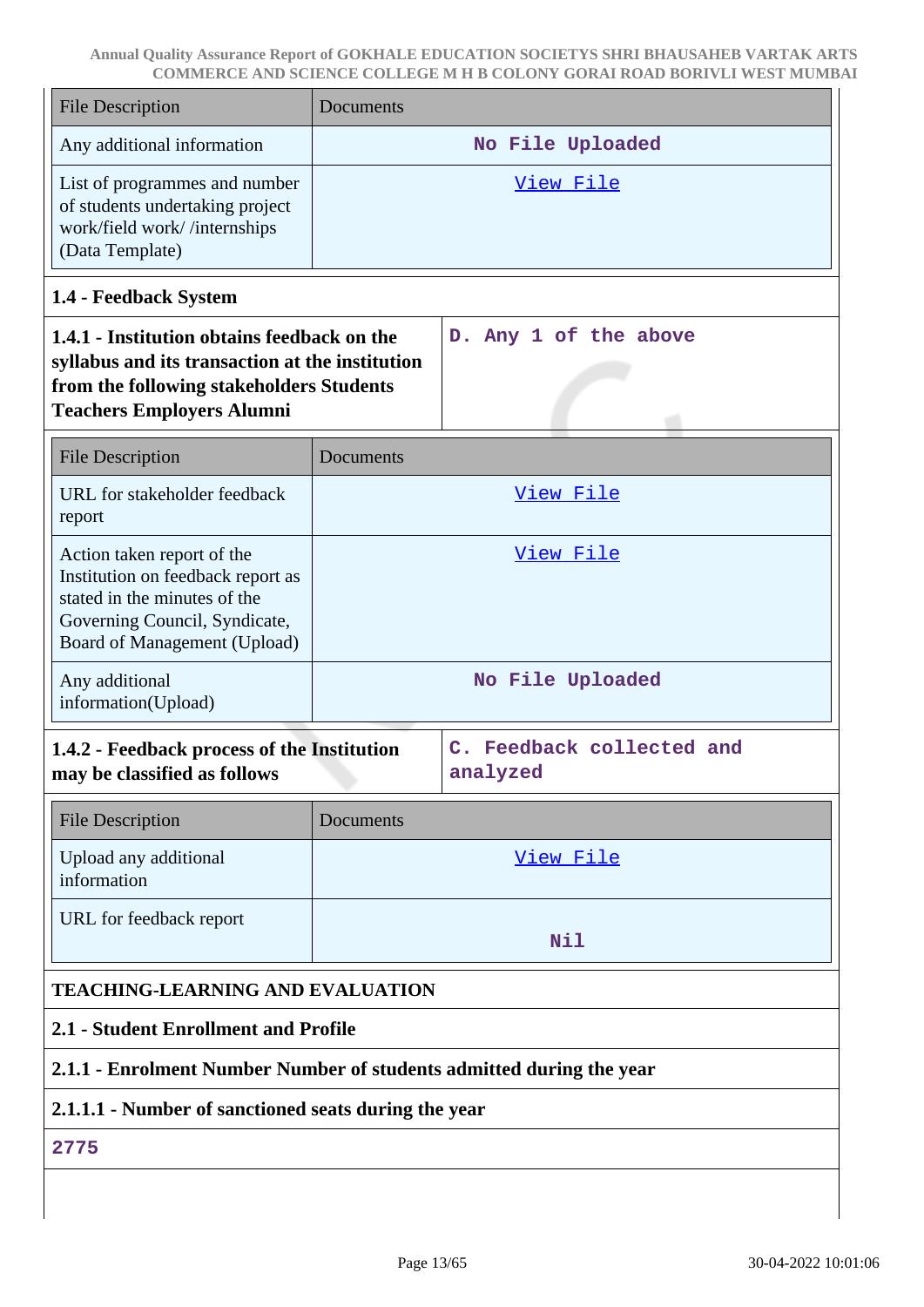| <b>File Description</b>                                                                                                                                                        | Documents                            |                                       |  |
|--------------------------------------------------------------------------------------------------------------------------------------------------------------------------------|--------------------------------------|---------------------------------------|--|
| Any additional information                                                                                                                                                     | No File Uploaded                     |                                       |  |
| List of programmes and number<br>of students undertaking project<br>work/field work//internships<br>(Data Template)                                                            | View File                            |                                       |  |
| 1.4 - Feedback System                                                                                                                                                          |                                      |                                       |  |
| 1.4.1 - Institution obtains feedback on the<br>syllabus and its transaction at the institution<br>from the following stakeholders Students<br><b>Teachers Employers Alumni</b> |                                      | D. Any 1 of the above                 |  |
| <b>File Description</b>                                                                                                                                                        | Documents                            |                                       |  |
| URL for stakeholder feedback<br>report                                                                                                                                         |                                      | View File                             |  |
| Action taken report of the<br>Institution on feedback report as<br>stated in the minutes of the<br>Governing Council, Syndicate,<br>Board of Management (Upload)               |                                      | View File                             |  |
| Any additional<br>information(Upload)                                                                                                                                          |                                      | No File Uploaded                      |  |
| 1.4.2 - Feedback process of the Institution<br>may be classified as follows                                                                                                    |                                      | C. Feedback collected and<br>analyzed |  |
| <b>File Description</b>                                                                                                                                                        | Documents                            |                                       |  |
| Upload any additional<br>information                                                                                                                                           | <u>View File</u>                     |                                       |  |
| URL for feedback report                                                                                                                                                        | Nil                                  |                                       |  |
| <b>TEACHING-LEARNING AND EVALUATION</b>                                                                                                                                        |                                      |                                       |  |
|                                                                                                                                                                                | 2.1 - Student Enrollment and Profile |                                       |  |
| 2.1.1 - Enrolment Number Number of students admitted during the year                                                                                                           |                                      |                                       |  |
| 2.1.1.1 - Number of sanctioned seats during the year                                                                                                                           |                                      |                                       |  |
| 2775                                                                                                                                                                           |                                      |                                       |  |
|                                                                                                                                                                                |                                      |                                       |  |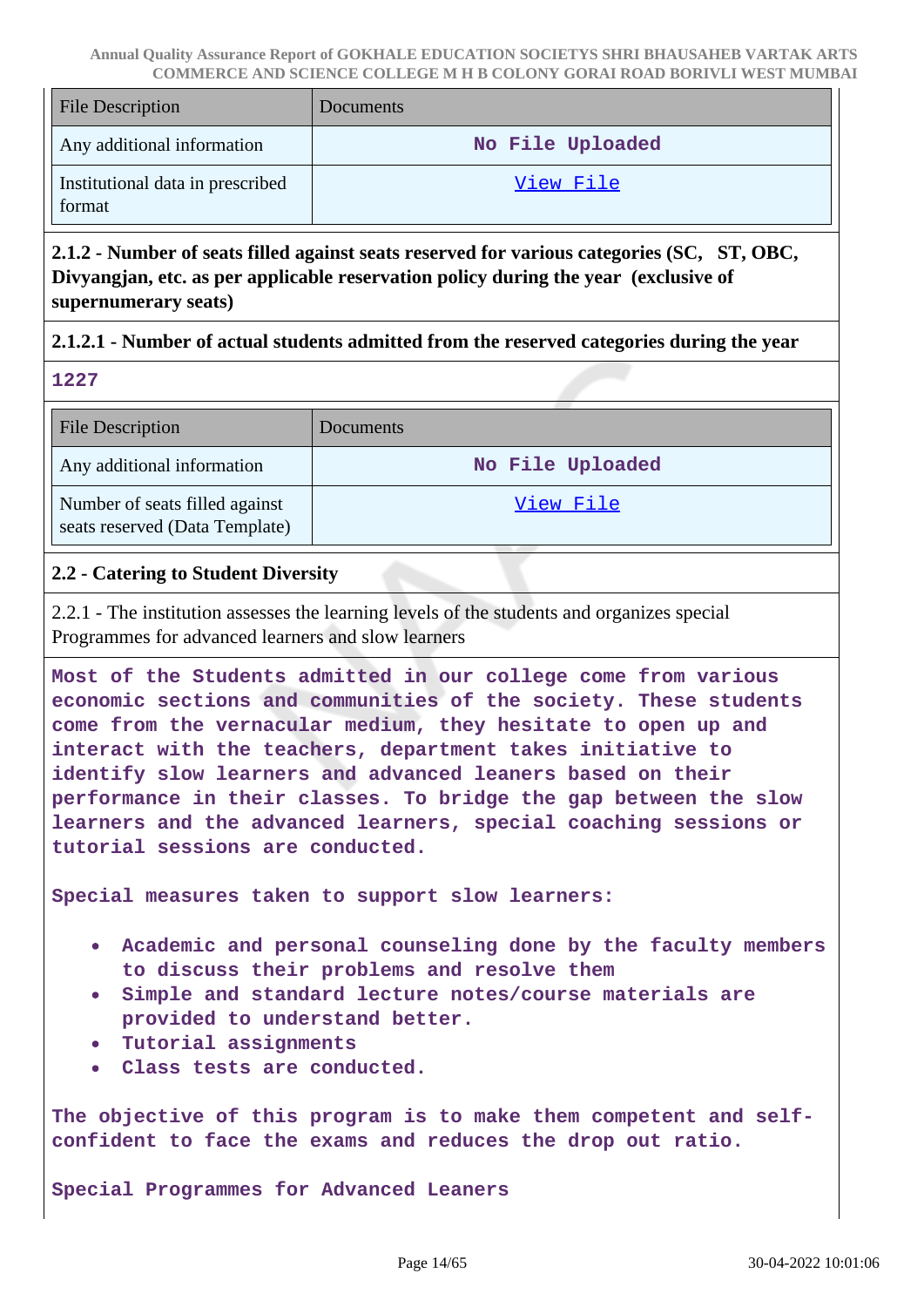| <b>File Description</b>                    | Documents        |
|--------------------------------------------|------------------|
| Any additional information                 | No File Uploaded |
| Institutional data in prescribed<br>format | View File        |

**2.1.2 - Number of seats filled against seats reserved for various categories (SC, ST, OBC, Divyangjan, etc. as per applicable reservation policy during the year (exclusive of supernumerary seats)**

### **2.1.2.1 - Number of actual students admitted from the reserved categories during the year**

|  | $\sqrt{2}$ |
|--|------------|

| <b>File Description</b>                                          | <b>Documents</b> |
|------------------------------------------------------------------|------------------|
| Any additional information                                       | No File Uploaded |
| Number of seats filled against<br>seats reserved (Data Template) | View File        |

### **2.2 - Catering to Student Diversity**

2.2.1 - The institution assesses the learning levels of the students and organizes special Programmes for advanced learners and slow learners

**Most of the Students admitted in our college come from various economic sections and communities of the society. These students come from the vernacular medium, they hesitate to open up and interact with the teachers, department takes initiative to identify slow learners and advanced leaners based on their performance in their classes. To bridge the gap between the slow learners and the advanced learners, special coaching sessions or tutorial sessions are conducted.**

**Special measures taken to support slow learners:**

- **Academic and personal counseling done by the faculty members to discuss their problems and resolve them**
- **Simple and standard lecture notes/course materials are provided to understand better.**
- **Tutorial assignments**
- **Class tests are conducted.**

**The objective of this program is to make them competent and selfconfident to face the exams and reduces the drop out ratio.**

**Special Programmes for Advanced Leaners**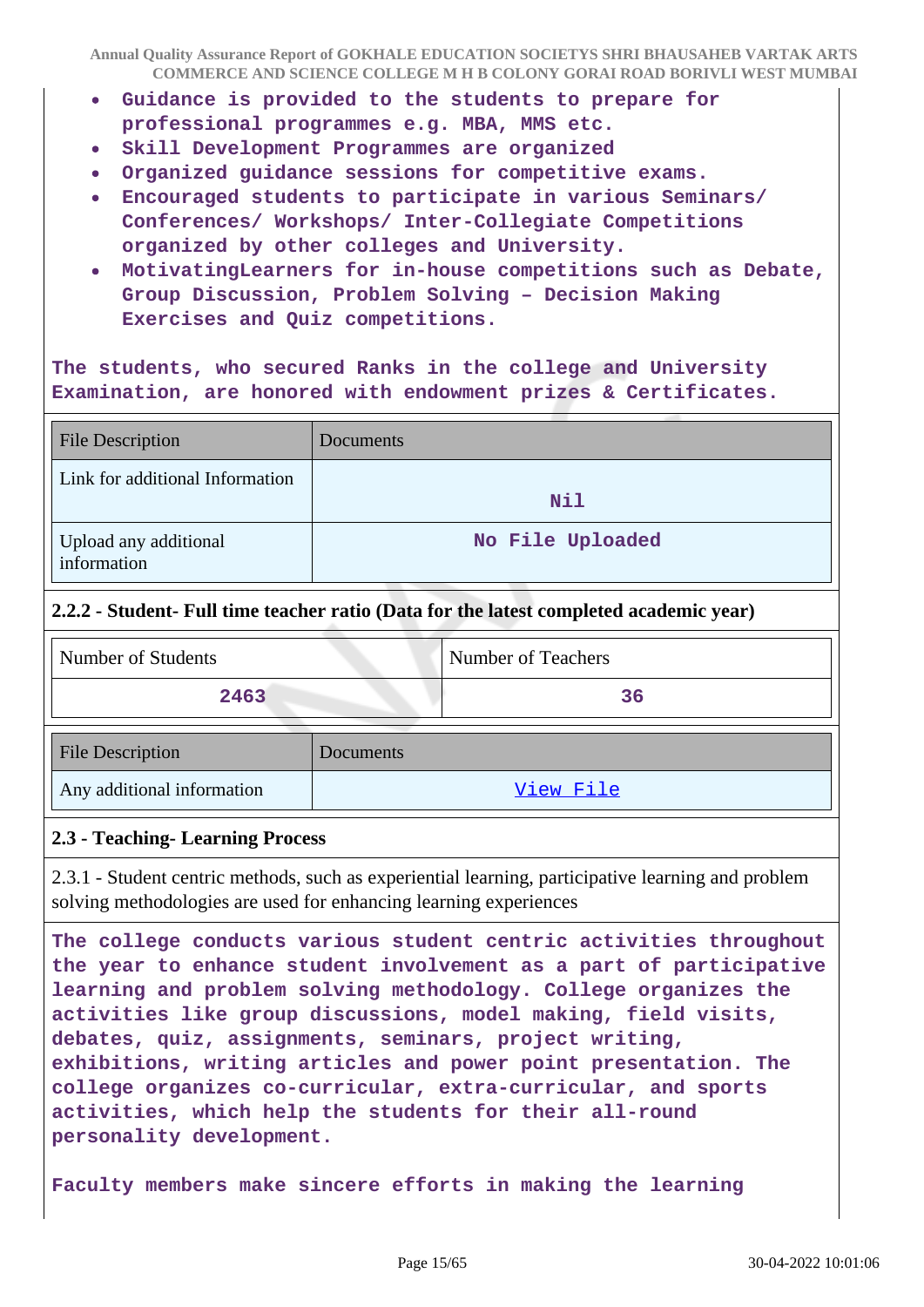- **Guidance is provided to the students to prepare for professional programmes e.g. MBA, MMS etc.**
- **Skill Development Programmes are organized**  $\bullet$
- **Organized guidance sessions for competitive exams.**
- **Encouraged students to participate in various Seminars/ Conferences/ Workshops/ Inter-Collegiate Competitions organized by other colleges and University.**
- **MotivatingLearners for in-house competitions such as Debate, Group Discussion, Problem Solving – Decision Making Exercises and Quiz competitions.**

**The students, who secured Ranks in the college and University Examination, are honored with endowment prizes & Certificates.**

| <b>File Description</b>              | Documents        |
|--------------------------------------|------------------|
| Link for additional Information      | <b>Nil</b>       |
| Upload any additional<br>information | No File Uploaded |

#### **2.2.2 - Student- Full time teacher ratio (Data for the latest completed academic year)**

Any additional information and the view File

| Number of Students |           | <b>Number of Teachers</b> |
|--------------------|-----------|---------------------------|
| 2463               |           | 36                        |
| File Description   | Documents |                           |

#### **2.3 - Teaching- Learning Process**

2.3.1 - Student centric methods, such as experiential learning, participative learning and problem solving methodologies are used for enhancing learning experiences

**The college conducts various student centric activities throughout the year to enhance student involvement as a part of participative learning and problem solving methodology. College organizes the activities like group discussions, model making, field visits, debates, quiz, assignments, seminars, project writing, exhibitions, writing articles and power point presentation. The college organizes co-curricular, extra-curricular, and sports activities, which help the students for their all-round personality development.**

**Faculty members make sincere efforts in making the learning**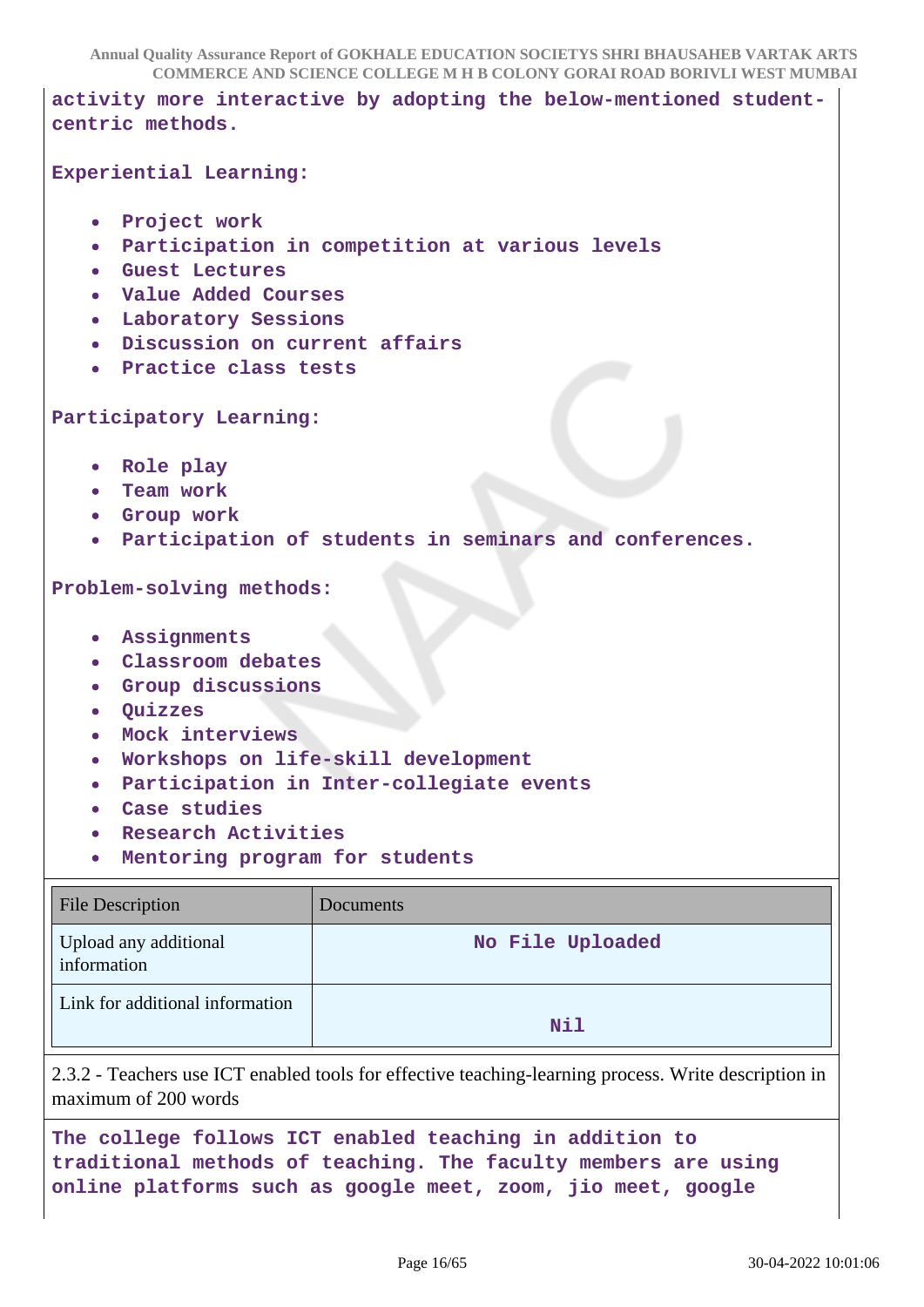**COMMERCE AND SCIENCE COLLEGE M H B COLONY GORAI ROAD BORIVLI WEST MUMBAI**

**Annual Quality Assurance Report of GOKHALE EDUCATION SOCIETYS SHRI BHAUSAHEB VARTAK ARTS activity more interactive by adopting the below-mentioned studentcentric methods. Experiential Learning: Project work Participation in competition at various levels**  $\bullet$ **Guest Lectures Value Added Courses Laboratory Sessions Discussion on current affairs Practice class tests Participatory Learning: Role play Team work Group work Participation of students in seminars and conferences.**  $\bullet$ **Problem-solving methods: Assignments Classroom debates Group discussions Quizzes Mock interviews Workshops on life-skill development Participation in Inter-collegiate events Case studies Research Activities Mentoring program for students** File Description Documents

| File Description                     | Documents        |
|--------------------------------------|------------------|
| Upload any additional<br>information | No File Uploaded |
| Link for additional information      | Nil              |

2.3.2 - Teachers use ICT enabled tools for effective teaching-learning process. Write description in maximum of 200 words

**The college follows ICT enabled teaching in addition to traditional methods of teaching. The faculty members are using online platforms such as google meet, zoom, jio meet, google**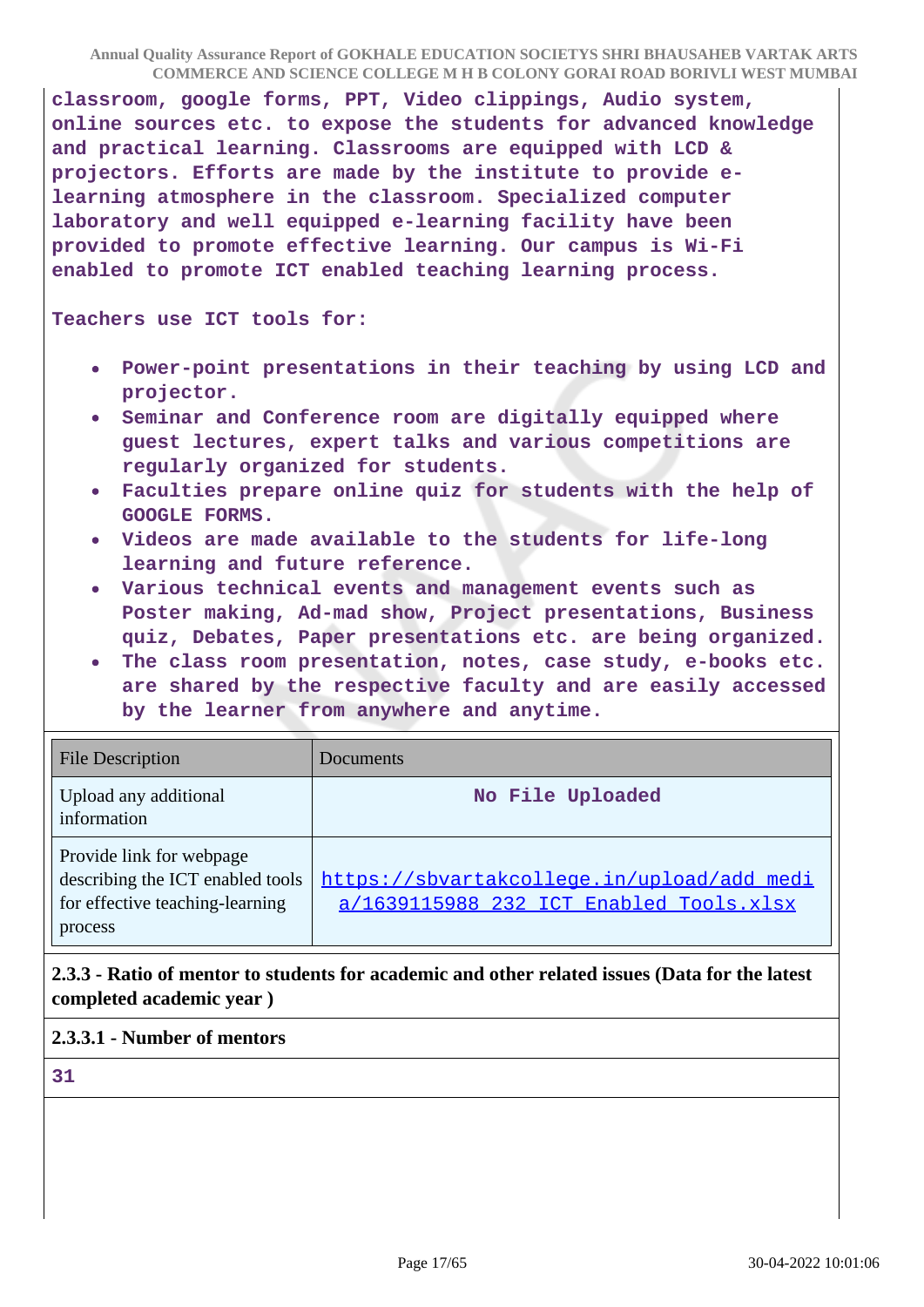**classroom, google forms, PPT, Video clippings, Audio system, online sources etc. to expose the students for advanced knowledge and practical learning. Classrooms are equipped with LCD & projectors. Efforts are made by the institute to provide elearning atmosphere in the classroom. Specialized computer laboratory and well equipped e-learning facility have been provided to promote effective learning. Our campus is Wi-Fi enabled to promote ICT enabled teaching learning process.**

**Teachers use ICT tools for:**

- **Power-point presentations in their teaching by using LCD and projector.**
- **Seminar and Conference room are digitally equipped where guest lectures, expert talks and various competitions are regularly organized for students.**
- **Faculties prepare online quiz for students with the help of**  $\bullet$ **GOOGLE FORMS.**
- **Videos are made available to the students for life-long learning and future reference.**
- **Various technical events and management events such as Poster making, Ad-mad show, Project presentations, Business quiz, Debates, Paper presentations etc. are being organized.**
- **The class room presentation, notes, case study, e-books etc. are shared by the respective faculty and are easily accessed by the learner from anywhere and anytime.**

| <b>File Description</b>                                                                                    | Documents                                                                             |
|------------------------------------------------------------------------------------------------------------|---------------------------------------------------------------------------------------|
| Upload any additional<br>information                                                                       | No File Uploaded                                                                      |
| Provide link for webpage<br>describing the ICT enabled tools<br>for effective teaching-learning<br>process | https://sbvartakcollege.in/upload/add_medi<br>a/1639115988 232 ICT Enabled Tools.xlsx |

## **2.3.3 - Ratio of mentor to students for academic and other related issues (Data for the latest completed academic year )**

### **2.3.3.1 - Number of mentors**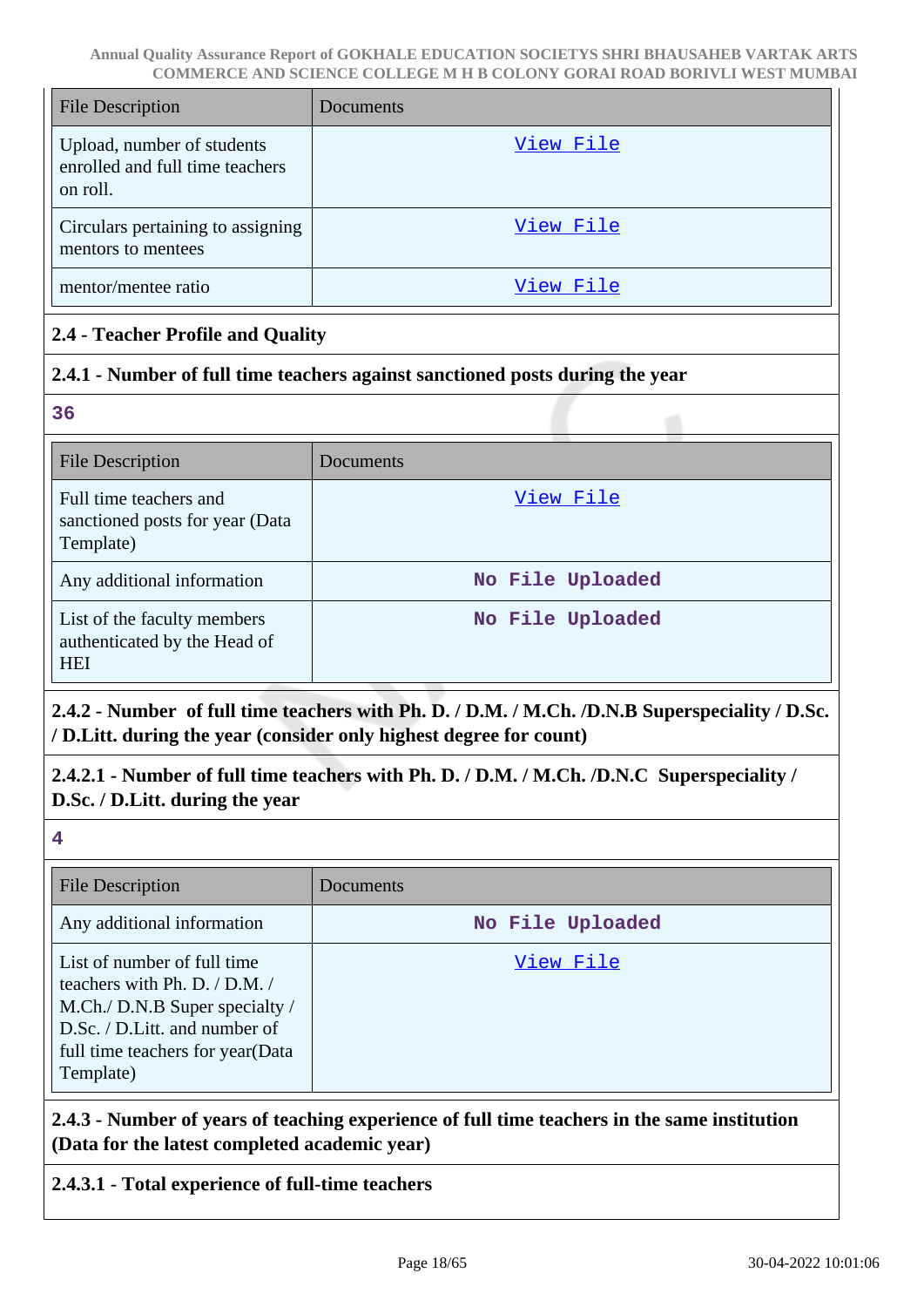| <b>File Description</b>                                                   | Documents |
|---------------------------------------------------------------------------|-----------|
| Upload, number of students<br>enrolled and full time teachers<br>on roll. | View File |
| Circulars pertaining to assigning<br>mentors to mentees                   | View File |
| mentor/mentee ratio                                                       | View File |

## **2.4 - Teacher Profile and Quality**

## **2.4.1 - Number of full time teachers against sanctioned posts during the year**

**36**

| <b>File Description</b>                                                   | Documents        |
|---------------------------------------------------------------------------|------------------|
| Full time teachers and<br>sanctioned posts for year (Data<br>Template)    | View File        |
| Any additional information                                                | No File Uploaded |
| List of the faculty members<br>authenticated by the Head of<br><b>HEI</b> | No File Uploaded |

## **2.4.2 - Number of full time teachers with Ph. D. / D.M. / M.Ch. /D.N.B Superspeciality / D.Sc. / D.Litt. during the year (consider only highest degree for count)**

**2.4.2.1 - Number of full time teachers with Ph. D. / D.M. / M.Ch. /D.N.C Superspeciality / D.Sc. / D.Litt. during the year**

**4**

| <b>File Description</b>                                                                                                                                                           | Documents        |
|-----------------------------------------------------------------------------------------------------------------------------------------------------------------------------------|------------------|
| Any additional information                                                                                                                                                        | No File Uploaded |
| List of number of full time<br>teachers with Ph. D. / D.M. /<br>M.Ch./ D.N.B Super specialty /<br>D.Sc. / D.Litt. and number of<br>full time teachers for year (Data<br>Template) | <u>View File</u> |

**2.4.3 - Number of years of teaching experience of full time teachers in the same institution (Data for the latest completed academic year)**

## **2.4.3.1 - Total experience of full-time teachers**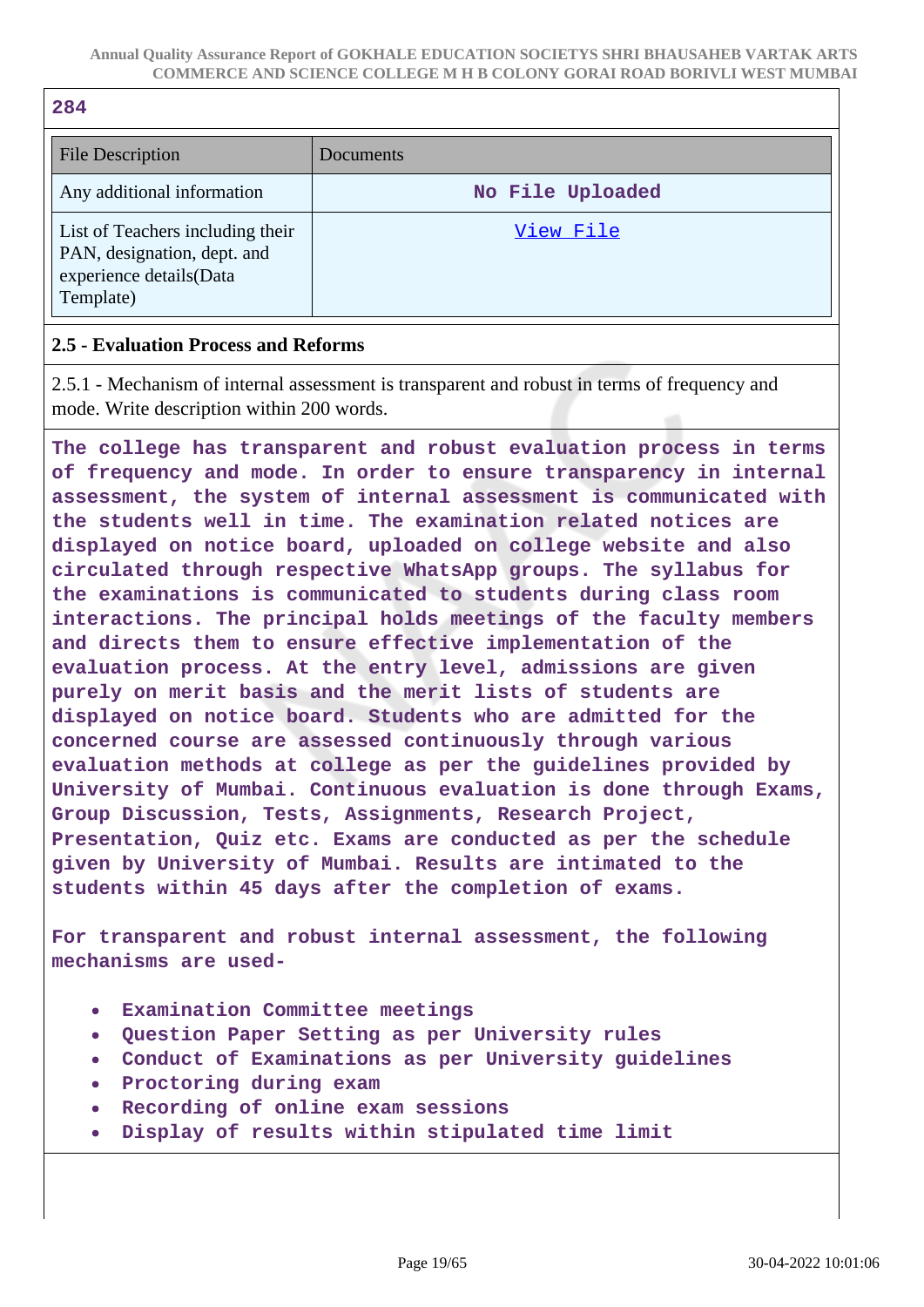| 284                                                             |                  |
|-----------------------------------------------------------------|------------------|
| <b>File Description</b>                                         | Documents        |
| Any additional information                                      | No File Uploaded |
| List of Teachers including their<br>PAN, designation, dept. and | View File        |

### **2.5 - Evaluation Process and Reforms**

experience details(Data

Template)

 $\overline{a}$ 

2.5.1 - Mechanism of internal assessment is transparent and robust in terms of frequency and mode. Write description within 200 words.

**The college has transparent and robust evaluation process in terms of frequency and mode. In order to ensure transparency in internal assessment, the system of internal assessment is communicated with the students well in time. The examination related notices are displayed on notice board, uploaded on college website and also circulated through respective WhatsApp groups. The syllabus for the examinations is communicated to students during class room interactions. The principal holds meetings of the faculty members and directs them to ensure effective implementation of the evaluation process. At the entry level, admissions are given purely on merit basis and the merit lists of students are displayed on notice board. Students who are admitted for the concerned course are assessed continuously through various evaluation methods at college as per the guidelines provided by University of Mumbai. Continuous evaluation is done through Exams, Group Discussion, Tests, Assignments, Research Project, Presentation, Quiz etc. Exams are conducted as per the schedule given by University of Mumbai. Results are intimated to the students within 45 days after the completion of exams.**

**For transparent and robust internal assessment, the following mechanisms are used-**

- **Examination Committee meetings**
- **Question Paper Setting as per University rules**  $\bullet$
- **Conduct of Examinations as per University guidelines**
- **Proctoring during exam**  $\bullet$
- **Recording of online exam sessions**  $\bullet$
- **Display of results within stipulated time limit**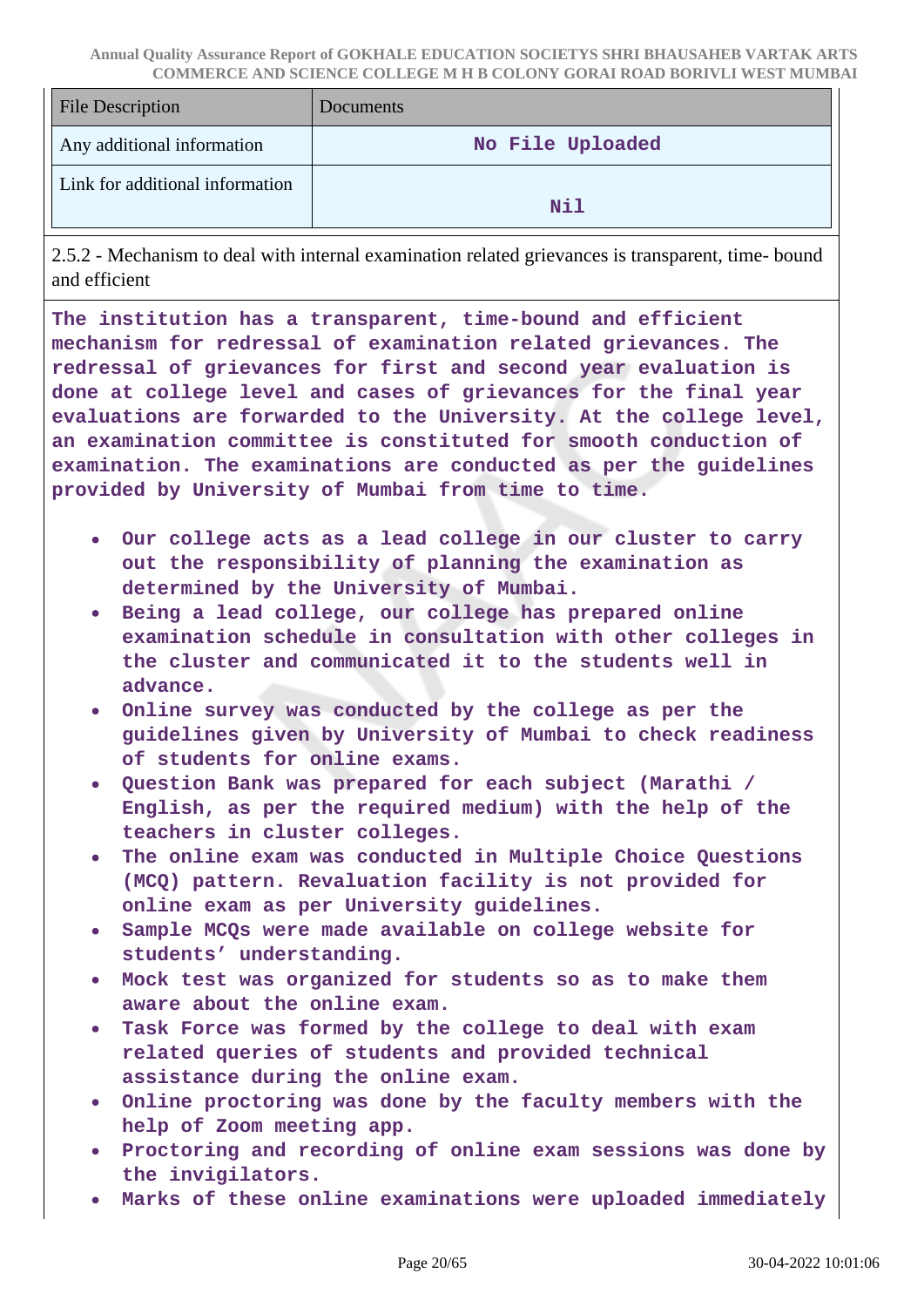| <b>File Description</b>         | <b>Documents</b> |
|---------------------------------|------------------|
| Any additional information      | No File Uploaded |
| Link for additional information | Nil              |

2.5.2 - Mechanism to deal with internal examination related grievances is transparent, time- bound and efficient

**The institution has a transparent, time-bound and efficient mechanism for redressal of examination related grievances. The redressal of grievances for first and second year evaluation is done at college level and cases of grievances for the final year evaluations are forwarded to the University. At the college level, an examination committee is constituted for smooth conduction of examination. The examinations are conducted as per the guidelines provided by University of Mumbai from time to time.**

- **Our college acts as a lead college in our cluster to carry out the responsibility of planning the examination as determined by the University of Mumbai.**
- **Being a lead college, our college has prepared online**  $\bullet$ **examination schedule in consultation with other colleges in the cluster and communicated it to the students well in advance.**
- **Online survey was conducted by the college as per the guidelines given by University of Mumbai to check readiness of students for online exams.**
- **Question Bank was prepared for each subject (Marathi / English, as per the required medium) with the help of the teachers in cluster colleges.**
- **The online exam was conducted in Multiple Choice Questions (MCQ) pattern. Revaluation facility is not provided for online exam as per University guidelines.**
- **Sample MCQs were made available on college website for students' understanding.**
- **Mock test was organized for students so as to make them aware about the online exam.**
- **Task Force was formed by the college to deal with exam related queries of students and provided technical assistance during the online exam.**
- **Online proctoring was done by the faculty members with the help of Zoom meeting app.**
- **Proctoring and recording of online exam sessions was done by the invigilators.**
- **Marks of these online examinations were uploaded immediately**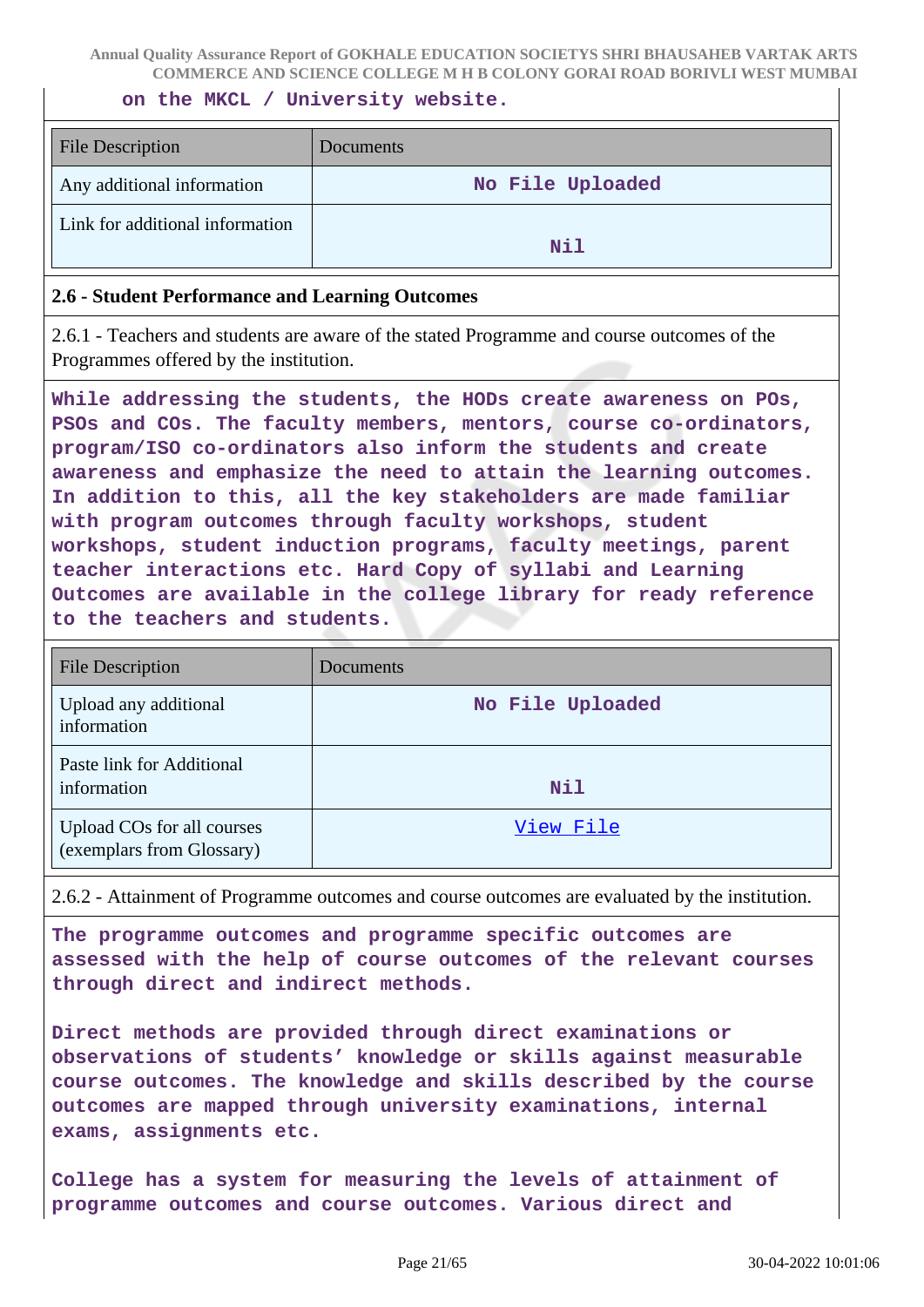**on the MKCL / University website.**

| <b>File Description</b>         | Documents        |
|---------------------------------|------------------|
| Any additional information      | No File Uploaded |
| Link for additional information | Nil              |

#### **2.6 - Student Performance and Learning Outcomes**

2.6.1 - Teachers and students are aware of the stated Programme and course outcomes of the Programmes offered by the institution.

**While addressing the students, the HODs create awareness on POs, PSOs and COs. The faculty members, mentors, course co-ordinators, program/ISO co-ordinators also inform the students and create awareness and emphasize the need to attain the learning outcomes. In addition to this, all the key stakeholders are made familiar with program outcomes through faculty workshops, student workshops, student induction programs, faculty meetings, parent teacher interactions etc. Hard Copy of syllabi and Learning Outcomes are available in the college library for ready reference to the teachers and students.**

| <b>File Description</b>                                 | Documents        |
|---------------------------------------------------------|------------------|
| Upload any additional<br>information                    | No File Uploaded |
| Paste link for Additional<br>information                | <b>Nil</b>       |
| Upload COs for all courses<br>(exemplars from Glossary) | View File        |

2.6.2 - Attainment of Programme outcomes and course outcomes are evaluated by the institution.

**The programme outcomes and programme specific outcomes are assessed with the help of course outcomes of the relevant courses through direct and indirect methods.**

**Direct methods are provided through direct examinations or observations of students' knowledge or skills against measurable course outcomes. The knowledge and skills described by the course outcomes are mapped through university examinations, internal exams, assignments etc.**

**College has a system for measuring the levels of attainment of programme outcomes and course outcomes. Various direct and**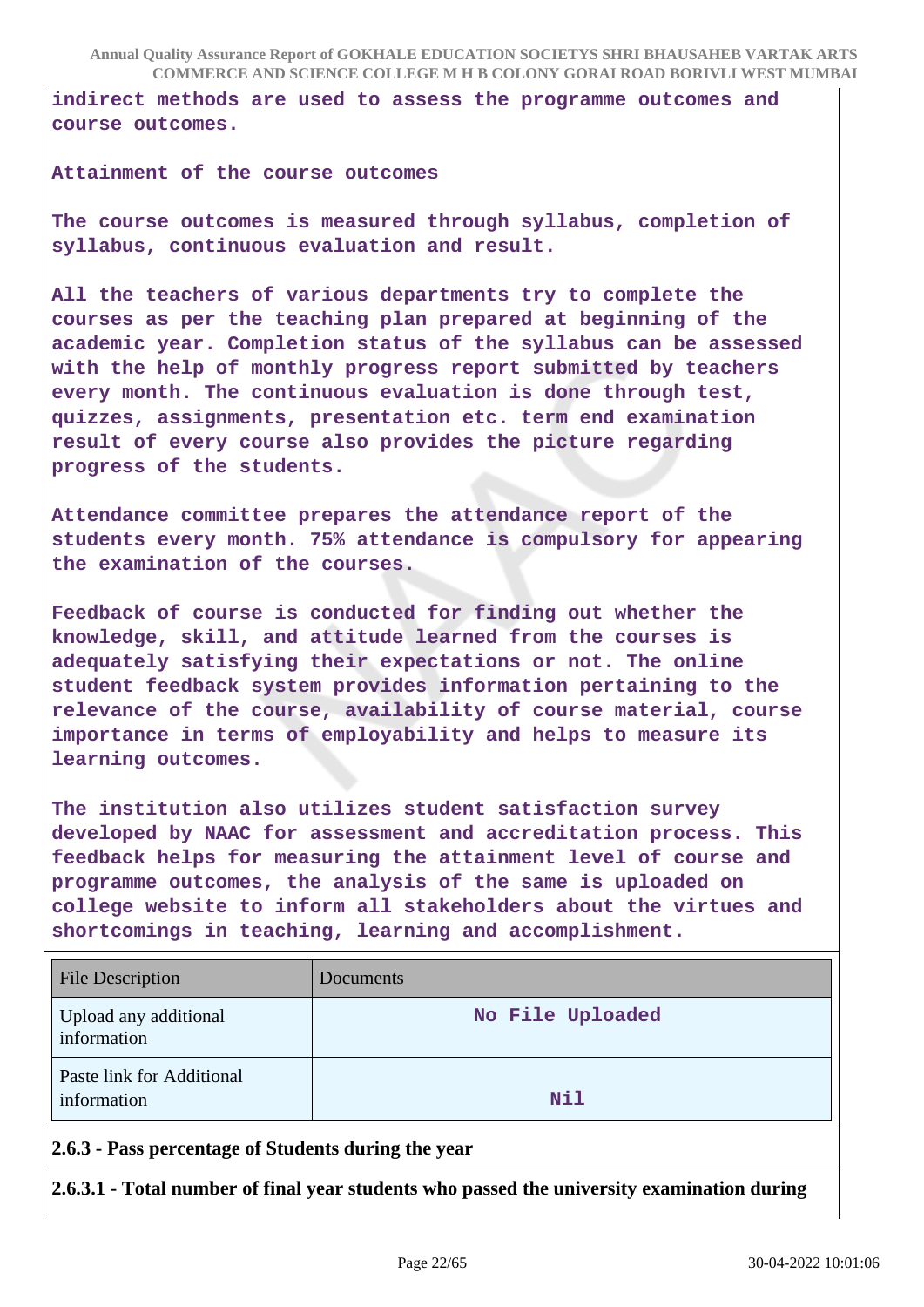**indirect methods are used to assess the programme outcomes and course outcomes.**

**Attainment of the course outcomes**

**The course outcomes is measured through syllabus, completion of syllabus, continuous evaluation and result.**

**All the teachers of various departments try to complete the courses as per the teaching plan prepared at beginning of the academic year. Completion status of the syllabus can be assessed with the help of monthly progress report submitted by teachers every month. The continuous evaluation is done through test, quizzes, assignments, presentation etc. term end examination result of every course also provides the picture regarding progress of the students.**

**Attendance committee prepares the attendance report of the students every month. 75% attendance is compulsory for appearing the examination of the courses.**

**Feedback of course is conducted for finding out whether the knowledge, skill, and attitude learned from the courses is adequately satisfying their expectations or not. The online student feedback system provides information pertaining to the relevance of the course, availability of course material, course importance in terms of employability and helps to measure its learning outcomes.**

**The institution also utilizes student satisfaction survey developed by NAAC for assessment and accreditation process. This feedback helps for measuring the attainment level of course and programme outcomes, the analysis of the same is uploaded on college website to inform all stakeholders about the virtues and shortcomings in teaching, learning and accomplishment.**

| <b>File Description</b>                  | Documents        |
|------------------------------------------|------------------|
| Upload any additional<br>information     | No File Uploaded |
| Paste link for Additional<br>information | <b>Nil</b>       |

**2.6.3 - Pass percentage of Students during the year**

**2.6.3.1 - Total number of final year students who passed the university examination during**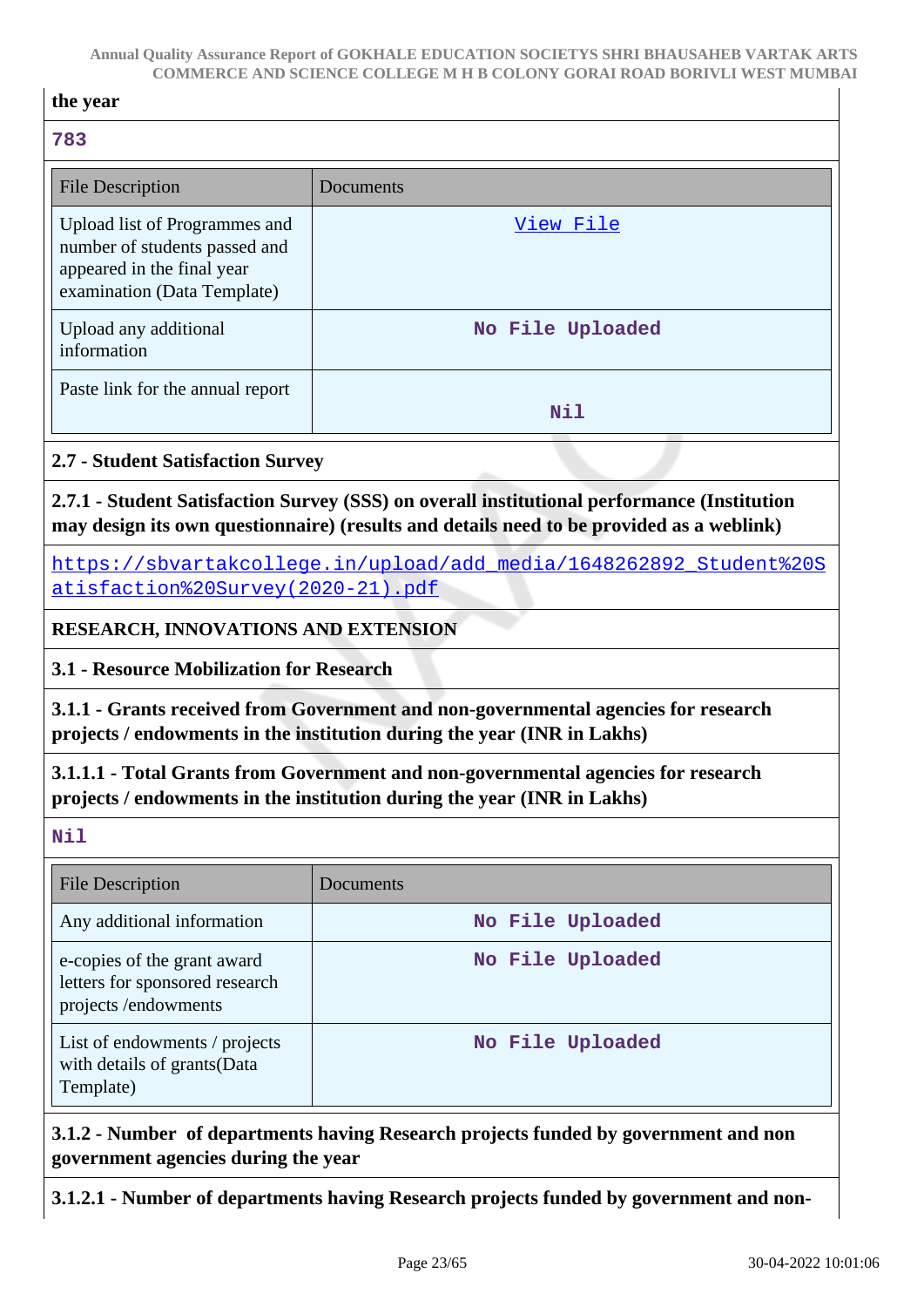| the year                                                                                                                                                     |                                                                                                                                                                                         |  |
|--------------------------------------------------------------------------------------------------------------------------------------------------------------|-----------------------------------------------------------------------------------------------------------------------------------------------------------------------------------------|--|
| 783                                                                                                                                                          |                                                                                                                                                                                         |  |
| <b>File Description</b>                                                                                                                                      | Documents                                                                                                                                                                               |  |
| Upload list of Programmes and<br>number of students passed and<br>appeared in the final year<br>examination (Data Template)                                  | View File                                                                                                                                                                               |  |
| Upload any additional<br>information                                                                                                                         | No File Uploaded                                                                                                                                                                        |  |
| Paste link for the annual report                                                                                                                             | <b>Nil</b>                                                                                                                                                                              |  |
| <b>2.7 - Student Satisfaction Survey</b>                                                                                                                     |                                                                                                                                                                                         |  |
|                                                                                                                                                              | 2.7.1 - Student Satisfaction Survey (SSS) on overall institutional performance (Institution<br>may design its own questionnaire) (results and details need to be provided as a weblink) |  |
| atisfaction%20Survey(2020-21).pdf                                                                                                                            | https://sbvartakcollege.in/upload/add media/1648262892 Student%20S                                                                                                                      |  |
| <b>RESEARCH, INNOVATIONS AND EXTENSION</b>                                                                                                                   |                                                                                                                                                                                         |  |
| 3.1 - Resource Mobilization for Research                                                                                                                     |                                                                                                                                                                                         |  |
|                                                                                                                                                              | 3.1.1 - Grants received from Government and non-governmental agencies for research<br>projects / endowments in the institution during the year (INR in Lakhs)                           |  |
| 3.1.1.1 - Total Grants from Government and non-governmental agencies for research<br>projects / endowments in the institution during the year (INR in Lakhs) |                                                                                                                                                                                         |  |
| Nil                                                                                                                                                          |                                                                                                                                                                                         |  |
| <b>File Description</b>                                                                                                                                      | Documents                                                                                                                                                                               |  |
| Any additional information                                                                                                                                   | No File Uploaded                                                                                                                                                                        |  |
| e-copies of the grant award<br>letters for sponsored research<br>projects /endowments                                                                        | No File Uploaded                                                                                                                                                                        |  |
| List of endowments / projects<br>with details of grants(Data<br>Template)                                                                                    | No File Uploaded                                                                                                                                                                        |  |
| 3.1.2 - Number of departments having Research projects funded by government and non<br>government agencies during the year                                   |                                                                                                                                                                                         |  |
|                                                                                                                                                              | 3.1.2.1 - Number of departments having Research projects funded by government and non-                                                                                                  |  |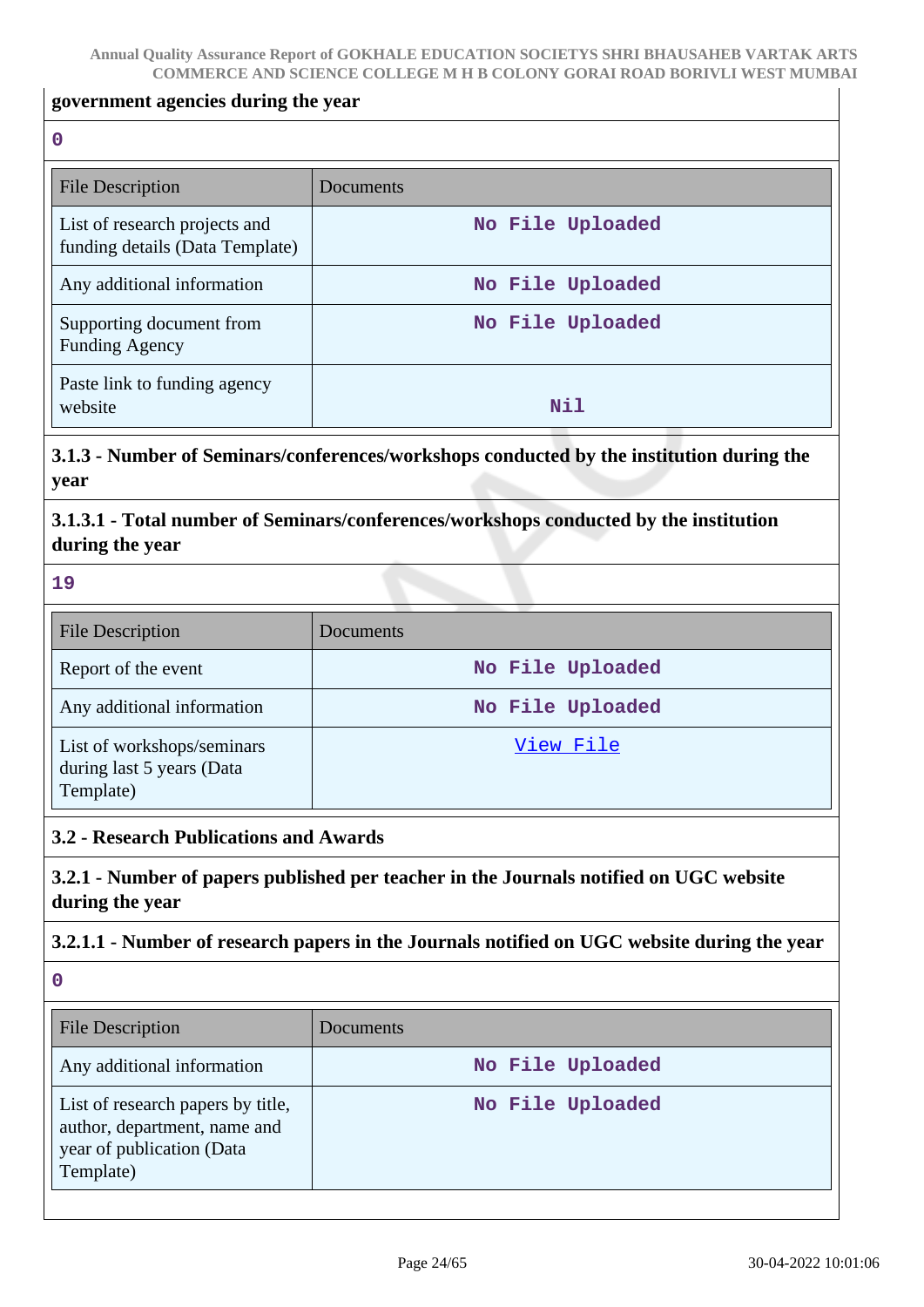#### **government agencies during the year**

**0**

| File Description                                                 | Documents        |
|------------------------------------------------------------------|------------------|
| List of research projects and<br>funding details (Data Template) | No File Uploaded |
| Any additional information                                       | No File Uploaded |
| Supporting document from<br><b>Funding Agency</b>                | No File Uploaded |
| Paste link to funding agency<br>website                          | Nil              |

**3.1.3 - Number of Seminars/conferences/workshops conducted by the institution during the year**

**3.1.3.1 - Total number of Seminars/conferences/workshops conducted by the institution during the year**

**19**

| <b>File Description</b>                                              | <b>Documents</b> |
|----------------------------------------------------------------------|------------------|
| Report of the event                                                  | No File Uploaded |
| Any additional information                                           | No File Uploaded |
| List of workshops/seminars<br>during last 5 years (Data<br>Template) | View File        |

### **3.2 - Research Publications and Awards**

**3.2.1 - Number of papers published per teacher in the Journals notified on UGC website during the year**

### **3.2.1.1 - Number of research papers in the Journals notified on UGC website during the year**

| <b>File Description</b>                                                                                     | <b>Documents</b> |
|-------------------------------------------------------------------------------------------------------------|------------------|
| Any additional information                                                                                  | No File Uploaded |
| List of research papers by title,<br>author, department, name and<br>year of publication (Data<br>Template) | No File Uploaded |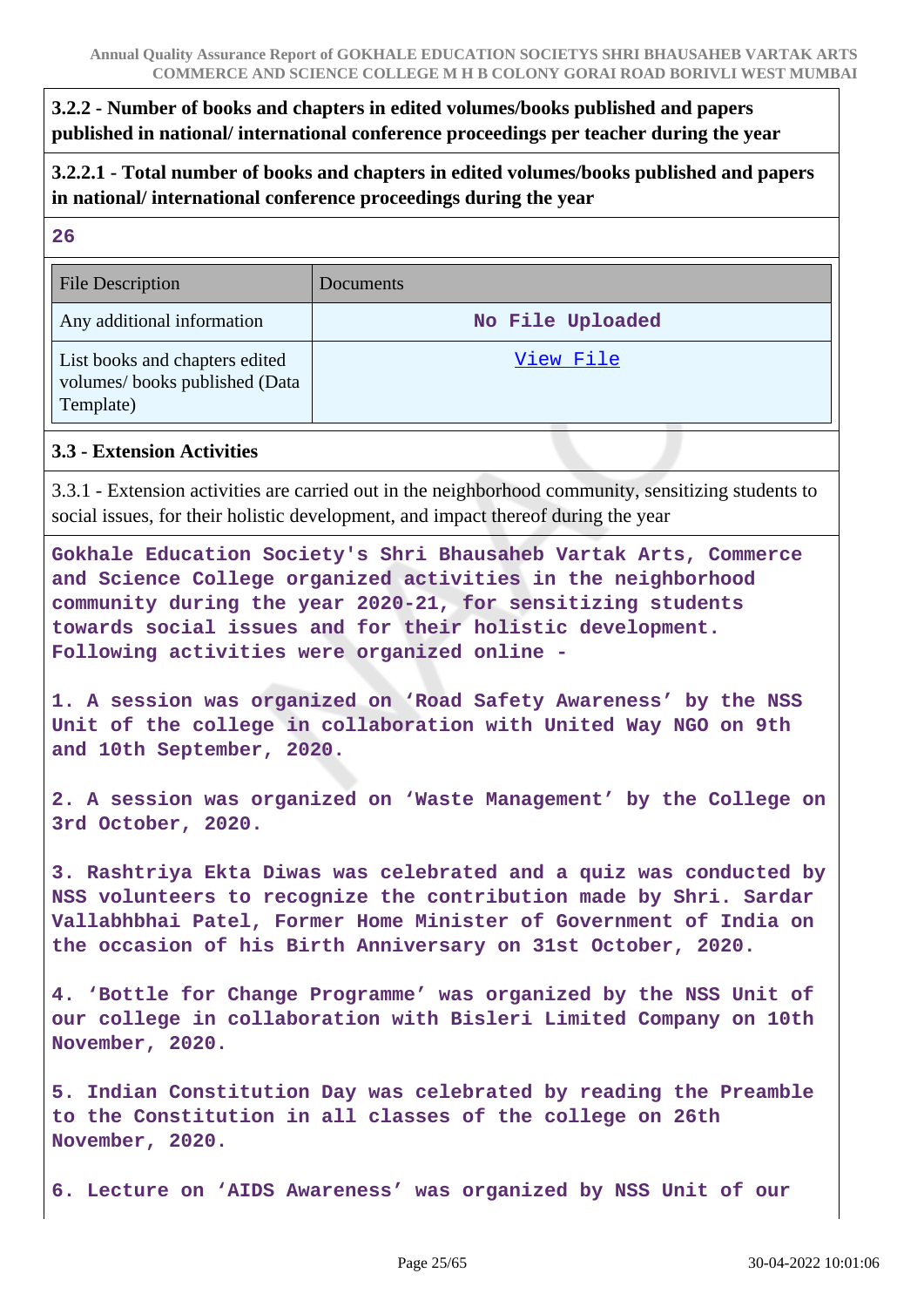## **3.2.2 - Number of books and chapters in edited volumes/books published and papers published in national/ international conference proceedings per teacher during the year**

**3.2.2.1 - Total number of books and chapters in edited volumes/books published and papers in national/ international conference proceedings during the year**

| 20                                                                           |                  |
|------------------------------------------------------------------------------|------------------|
| <b>File Description</b>                                                      | Documents        |
| Any additional information                                                   | No File Uploaded |
| List books and chapters edited<br>volumes/books published (Data<br>Template) | View File        |

#### **3.3 - Extension Activities**

 $\overline{2}$ 

3.3.1 - Extension activities are carried out in the neighborhood community, sensitizing students to social issues, for their holistic development, and impact thereof during the year

**Gokhale Education Society's Shri Bhausaheb Vartak Arts, Commerce and Science College organized activities in the neighborhood community during the year 2020-21, for sensitizing students towards social issues and for their holistic development. Following activities were organized online -**

**1. A session was organized on 'Road Safety Awareness' by the NSS Unit of the college in collaboration with United Way NGO on 9th and 10th September, 2020.**

**2. A session was organized on 'Waste Management' by the College on 3rd October, 2020.**

**3. Rashtriya Ekta Diwas was celebrated and a quiz was conducted by NSS volunteers to recognize the contribution made by Shri. Sardar Vallabhbhai Patel, Former Home Minister of Government of India on the occasion of his Birth Anniversary on 31st October, 2020.**

**4. 'Bottle for Change Programme' was organized by the NSS Unit of our college in collaboration with Bisleri Limited Company on 10th November, 2020.**

**5. Indian Constitution Day was celebrated by reading the Preamble to the Constitution in all classes of the college on 26th November, 2020.**

**6. Lecture on 'AIDS Awareness' was organized by NSS Unit of our**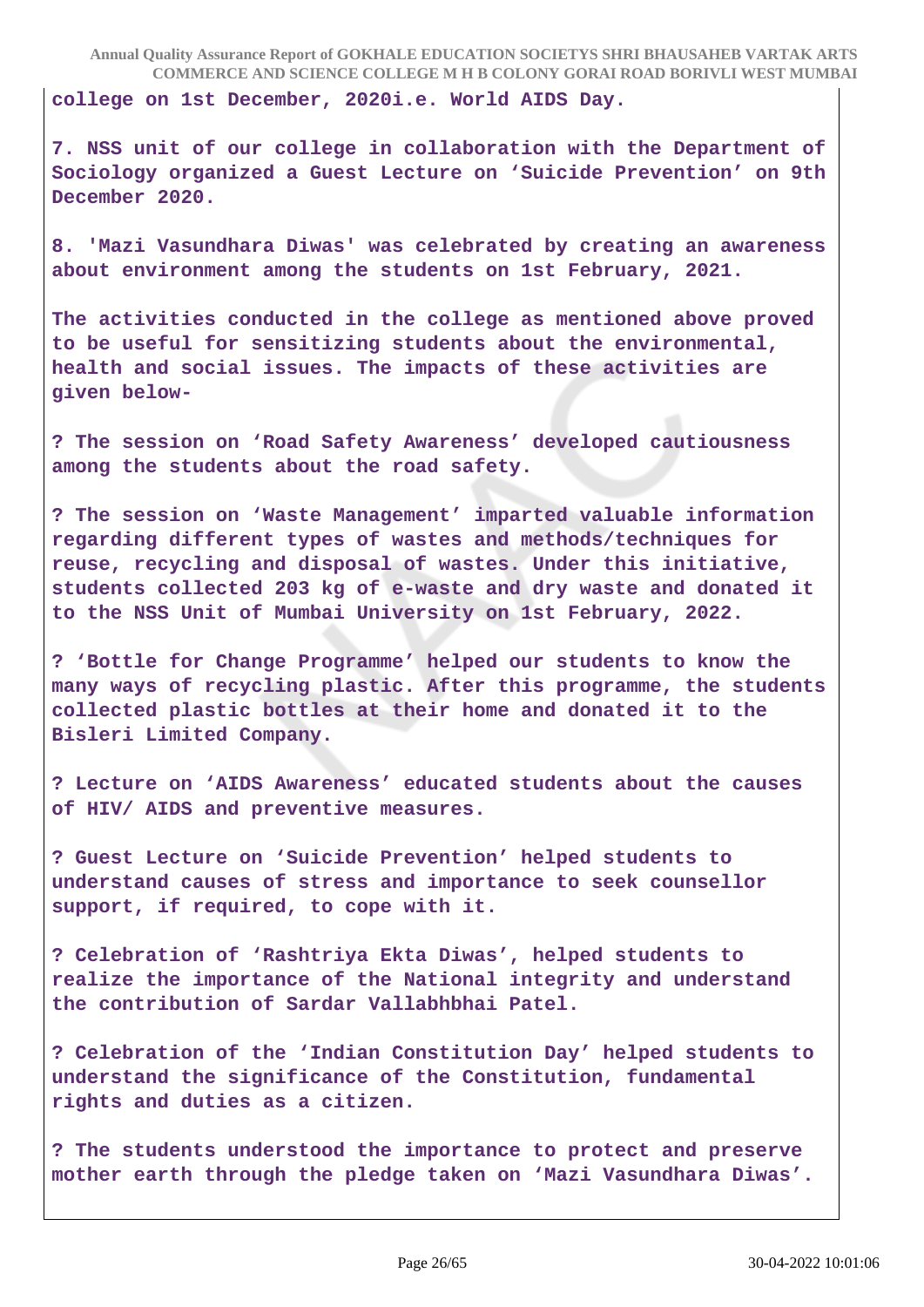**college on 1st December, 2020i.e. World AIDS Day.**

**7. NSS unit of our college in collaboration with the Department of Sociology organized a Guest Lecture on 'Suicide Prevention' on 9th December 2020.**

**8. 'Mazi Vasundhara Diwas' was celebrated by creating an awareness about environment among the students on 1st February, 2021.**

**The activities conducted in the college as mentioned above proved to be useful for sensitizing students about the environmental, health and social issues. The impacts of these activities are given below-**

**? The session on 'Road Safety Awareness' developed cautiousness among the students about the road safety.**

**? The session on 'Waste Management' imparted valuable information regarding different types of wastes and methods/techniques for reuse, recycling and disposal of wastes. Under this initiative, students collected 203 kg of e-waste and dry waste and donated it to the NSS Unit of Mumbai University on 1st February, 2022.**

**? 'Bottle for Change Programme' helped our students to know the many ways of recycling plastic. After this programme, the students collected plastic bottles at their home and donated it to the Bisleri Limited Company.**

**? Lecture on 'AIDS Awareness' educated students about the causes of HIV/ AIDS and preventive measures.**

**? Guest Lecture on 'Suicide Prevention' helped students to understand causes of stress and importance to seek counsellor support, if required, to cope with it.**

**? Celebration of 'Rashtriya Ekta Diwas', helped students to realize the importance of the National integrity and understand the contribution of Sardar Vallabhbhai Patel.**

**? Celebration of the 'Indian Constitution Day' helped students to understand the significance of the Constitution, fundamental rights and duties as a citizen.**

**? The students understood the importance to protect and preserve mother earth through the pledge taken on 'Mazi Vasundhara Diwas'.**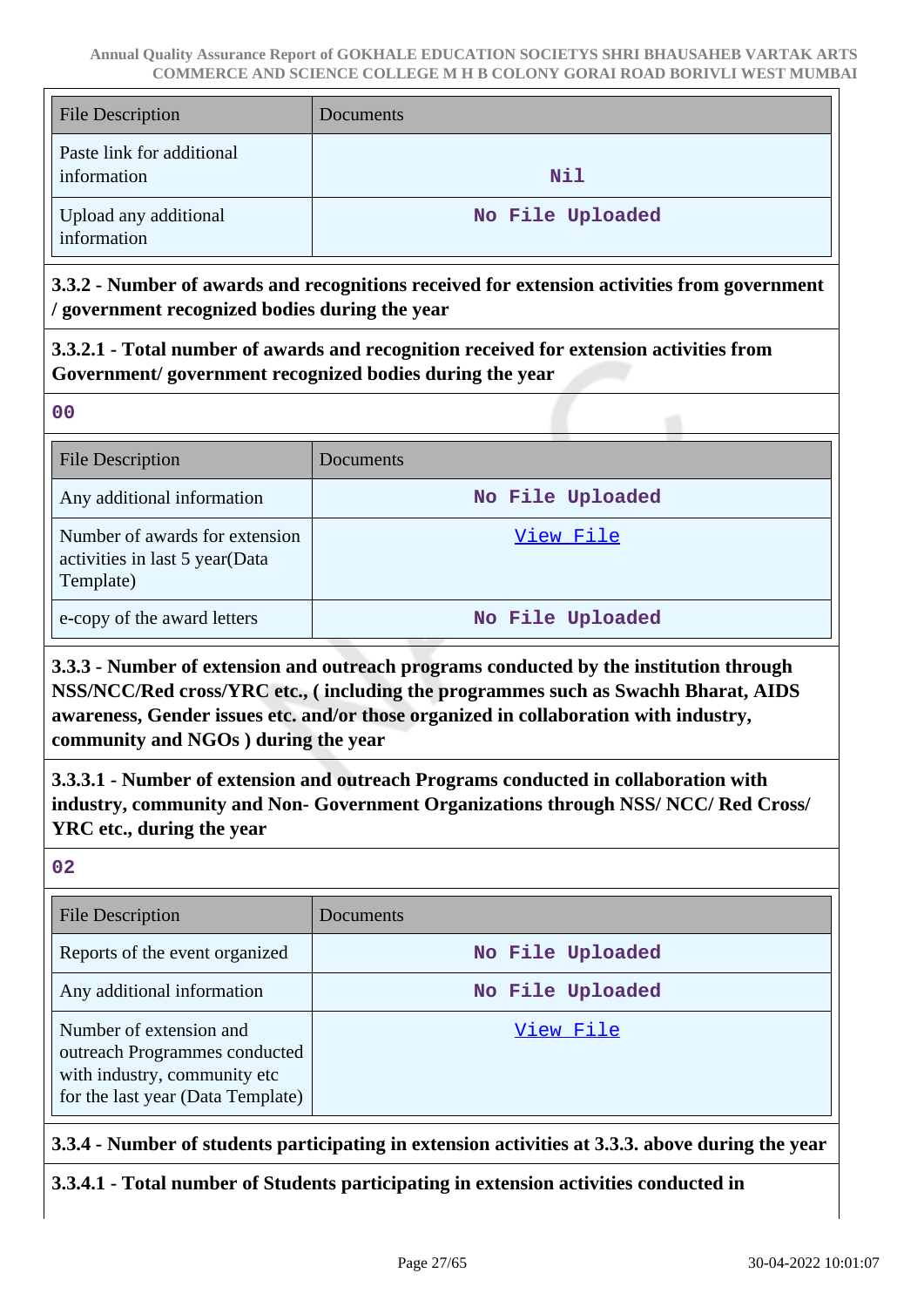| <b>File Description</b>                  | Documents        |
|------------------------------------------|------------------|
| Paste link for additional<br>information | Nil              |
| Upload any additional<br>information     | No File Uploaded |

**3.3.2 - Number of awards and recognitions received for extension activities from government / government recognized bodies during the year**

**3.3.2.1 - Total number of awards and recognition received for extension activities from Government/ government recognized bodies during the year**

**00**

| <b>File Description</b>                                                       | Documents        |
|-------------------------------------------------------------------------------|------------------|
| Any additional information                                                    | No File Uploaded |
| Number of awards for extension<br>activities in last 5 year(Data<br>Template) | View File        |
| e-copy of the award letters                                                   | No File Uploaded |

**3.3.3 - Number of extension and outreach programs conducted by the institution through NSS/NCC/Red cross/YRC etc., ( including the programmes such as Swachh Bharat, AIDS awareness, Gender issues etc. and/or those organized in collaboration with industry, community and NGOs ) during the year**

**3.3.3.1 - Number of extension and outreach Programs conducted in collaboration with industry, community and Non- Government Organizations through NSS/ NCC/ Red Cross/ YRC etc., during the year**

**02**

| <b>File Description</b>                                                                                                       | <b>Documents</b> |
|-------------------------------------------------------------------------------------------------------------------------------|------------------|
| Reports of the event organized                                                                                                | No File Uploaded |
| Any additional information                                                                                                    | No File Uploaded |
| Number of extension and<br>outreach Programmes conducted<br>with industry, community etc<br>for the last year (Data Template) | View File        |

**3.3.4 - Number of students participating in extension activities at 3.3.3. above during the year**

**3.3.4.1 - Total number of Students participating in extension activities conducted in**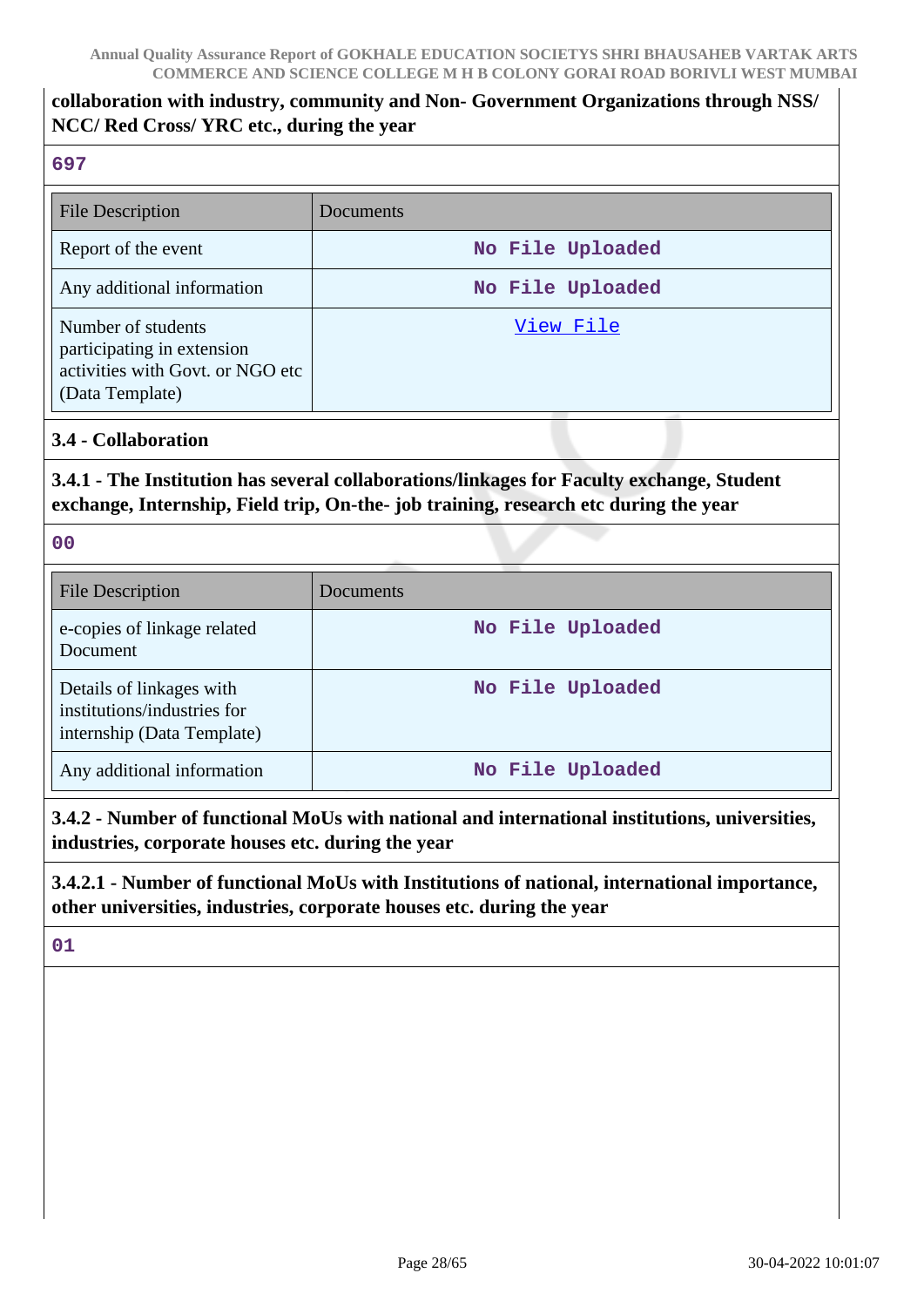# **collaboration with industry, community and Non- Government Organizations through NSS/ NCC/ Red Cross/ YRC etc., during the year**

## **697**

| <b>File Description</b>                                                                                 | Documents        |
|---------------------------------------------------------------------------------------------------------|------------------|
| Report of the event                                                                                     | No File Uploaded |
| Any additional information                                                                              | No File Uploaded |
| Number of students<br>participating in extension<br>activities with Govt. or NGO etc<br>(Data Template) | View File        |

**3.4 - Collaboration**

## **3.4.1 - The Institution has several collaborations/linkages for Faculty exchange, Student exchange, Internship, Field trip, On-the- job training, research etc during the year**

**00**

| <b>File Description</b>                                                               | Documents        |
|---------------------------------------------------------------------------------------|------------------|
| e-copies of linkage related<br>Document                                               | No File Uploaded |
| Details of linkages with<br>institutions/industries for<br>internship (Data Template) | No File Uploaded |
| Any additional information                                                            | No File Uploaded |

**3.4.2 - Number of functional MoUs with national and international institutions, universities, industries, corporate houses etc. during the year**

**3.4.2.1 - Number of functional MoUs with Institutions of national, international importance, other universities, industries, corporate houses etc. during the year**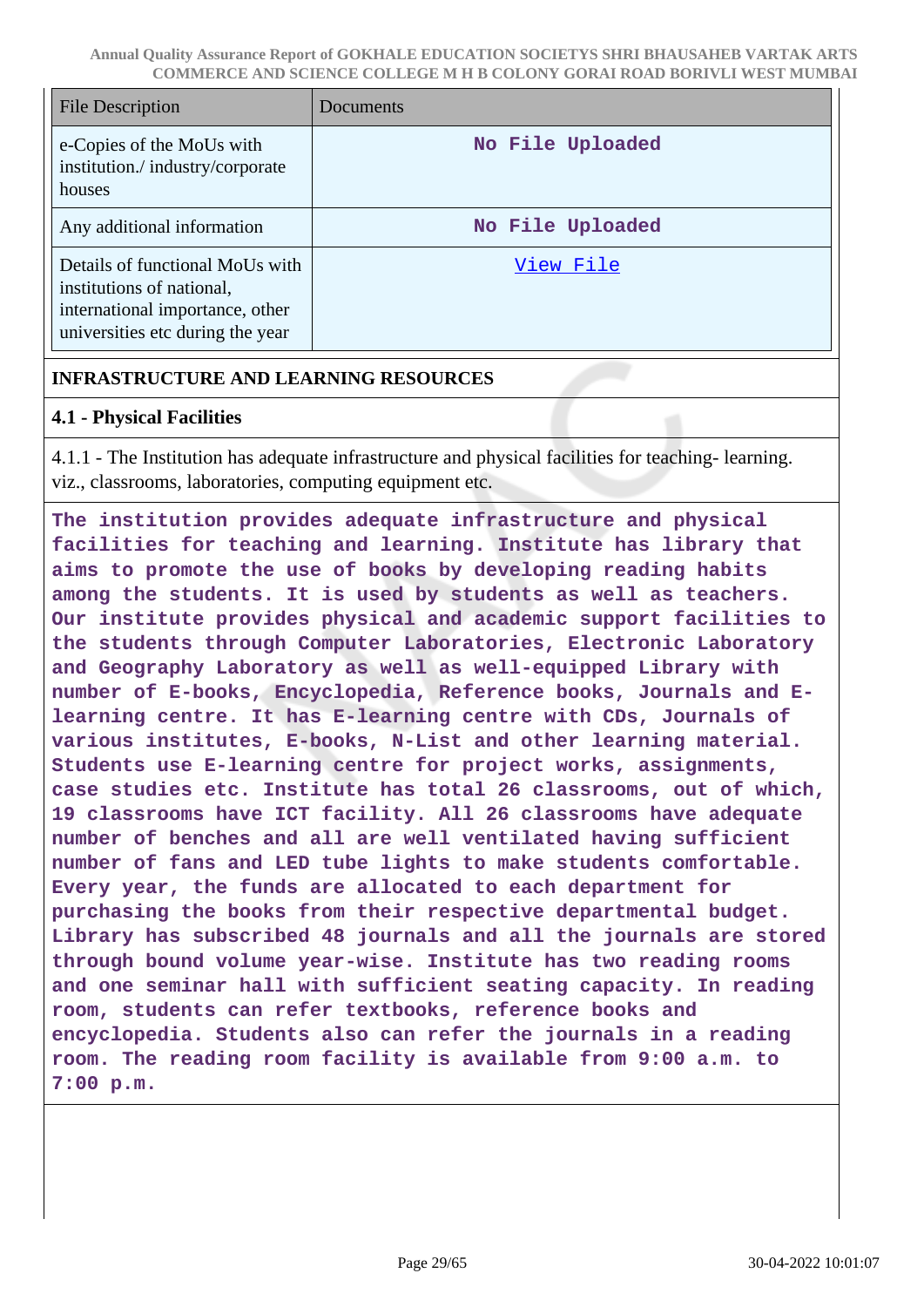| File Description                                                                                                                    | Documents        |
|-------------------------------------------------------------------------------------------------------------------------------------|------------------|
| e-Copies of the MoUs with<br>institution./industry/corporate<br>houses                                                              | No File Uploaded |
| Any additional information                                                                                                          | No File Uploaded |
| Details of functional MoUs with<br>institutions of national,<br>international importance, other<br>universities etc during the year | View File        |

## **INFRASTRUCTURE AND LEARNING RESOURCES**

## **4.1 - Physical Facilities**

4.1.1 - The Institution has adequate infrastructure and physical facilities for teaching- learning. viz., classrooms, laboratories, computing equipment etc.

**The institution provides adequate infrastructure and physical facilities for teaching and learning. Institute has library that aims to promote the use of books by developing reading habits among the students. It is used by students as well as teachers. Our institute provides physical and academic support facilities to the students through Computer Laboratories, Electronic Laboratory and Geography Laboratory as well as well-equipped Library with number of E-books, Encyclopedia, Reference books, Journals and Elearning centre. It has E-learning centre with CDs, Journals of various institutes, E-books, N-List and other learning material. Students use E-learning centre for project works, assignments, case studies etc. Institute has total 26 classrooms, out of which, 19 classrooms have ICT facility. All 26 classrooms have adequate number of benches and all are well ventilated having sufficient number of fans and LED tube lights to make students comfortable. Every year, the funds are allocated to each department for purchasing the books from their respective departmental budget. Library has subscribed 48 journals and all the journals are stored through bound volume year-wise. Institute has two reading rooms and one seminar hall with sufficient seating capacity. In reading room, students can refer textbooks, reference books and encyclopedia. Students also can refer the journals in a reading room. The reading room facility is available from 9:00 a.m. to 7:00 p.m.**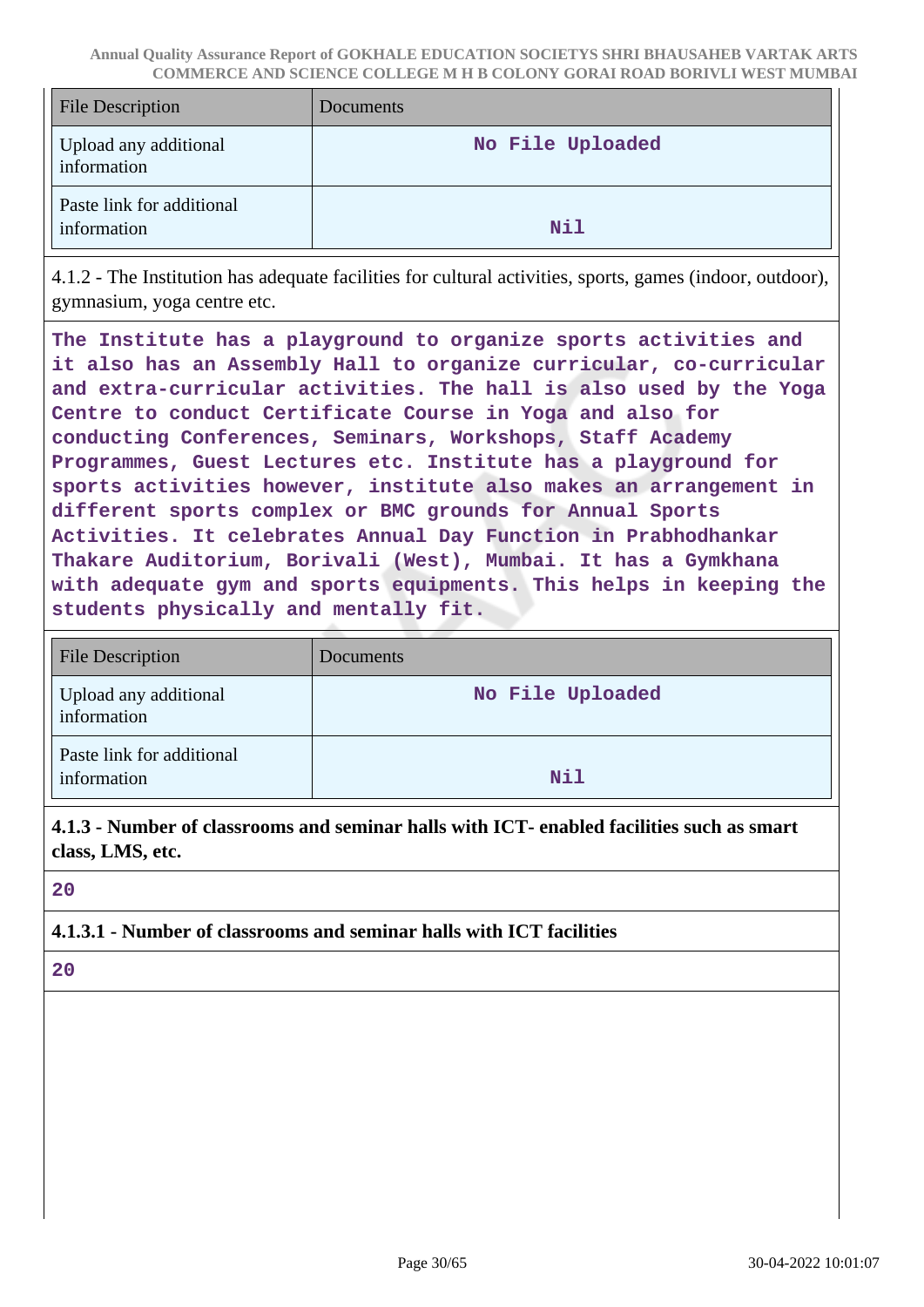| <b>File Description</b>                  | Documents        |
|------------------------------------------|------------------|
| Upload any additional<br>information     | No File Uploaded |
| Paste link for additional<br>information | <b>Nil</b>       |

4.1.2 - The Institution has adequate facilities for cultural activities, sports, games (indoor, outdoor), gymnasium, yoga centre etc.

**The Institute has a playground to organize sports activities and it also has an Assembly Hall to organize curricular, co-curricular and extra-curricular activities. The hall is also used by the Yoga Centre to conduct Certificate Course in Yoga and also for conducting Conferences, Seminars, Workshops, Staff Academy Programmes, Guest Lectures etc. Institute has a playground for sports activities however, institute also makes an arrangement in different sports complex or BMC grounds for Annual Sports Activities. It celebrates Annual Day Function in Prabhodhankar Thakare Auditorium, Borivali (West), Mumbai. It has a Gymkhana with adequate gym and sports equipments. This helps in keeping the students physically and mentally fit.**

| <b>File Description</b>                  | Documents        |
|------------------------------------------|------------------|
| Upload any additional<br>information     | No File Uploaded |
| Paste link for additional<br>information | <b>Nil</b>       |

**4.1.3 - Number of classrooms and seminar halls with ICT- enabled facilities such as smart class, LMS, etc.**

**20**

## **4.1.3.1 - Number of classrooms and seminar halls with ICT facilities**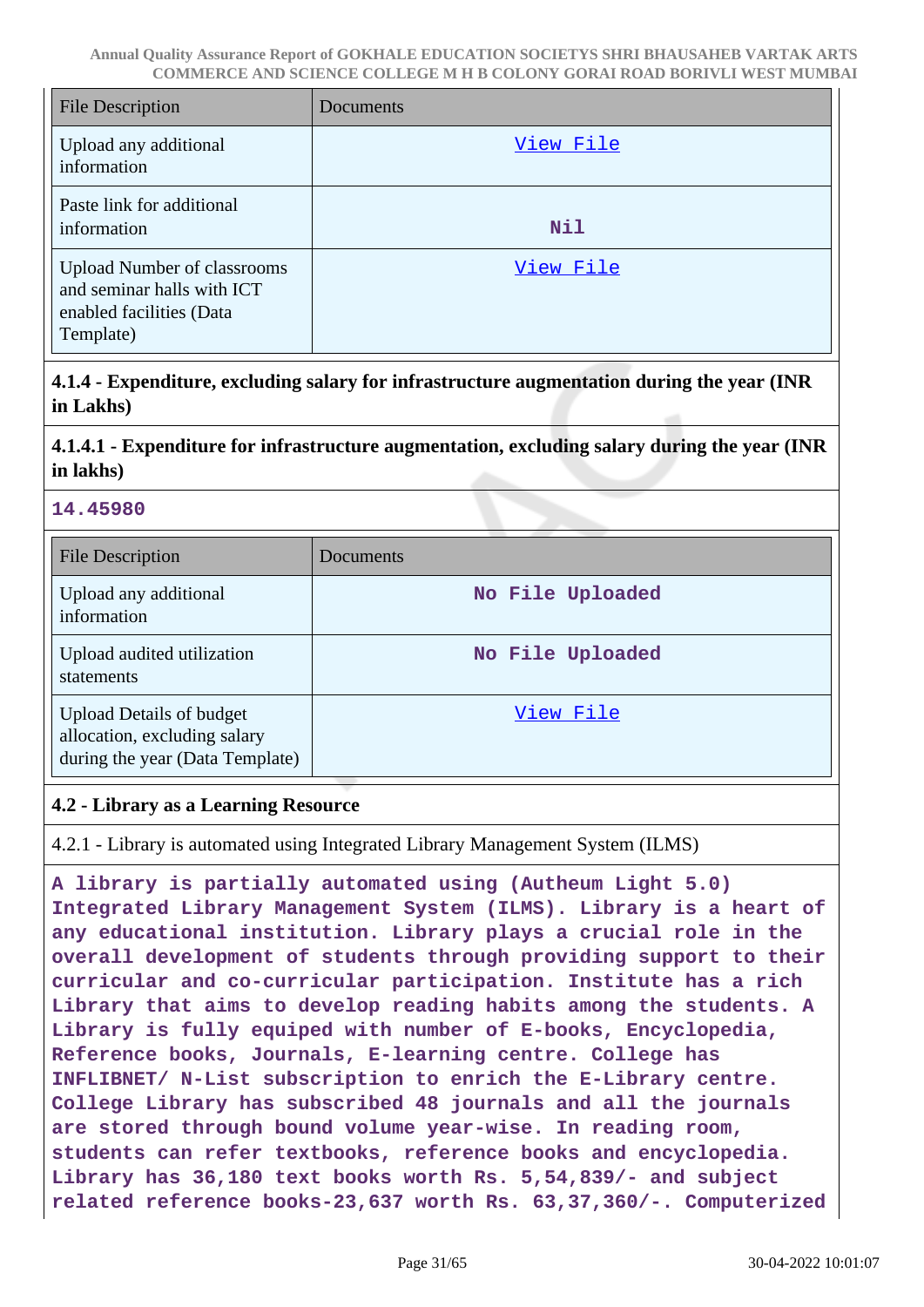| <b>File Description</b>                                                                                   | Documents  |
|-----------------------------------------------------------------------------------------------------------|------------|
| Upload any additional<br>information                                                                      | View File  |
| Paste link for additional<br>information                                                                  | <b>Nil</b> |
| <b>Upload Number of classrooms</b><br>and seminar halls with ICT<br>enabled facilities (Data<br>Template) | View File  |

**4.1.4 - Expenditure, excluding salary for infrastructure augmentation during the year (INR in Lakhs)**

**4.1.4.1 - Expenditure for infrastructure augmentation, excluding salary during the year (INR in lakhs)**

### **14.45980**

| <b>File Description</b>                                                                            | Documents        |
|----------------------------------------------------------------------------------------------------|------------------|
| Upload any additional<br>information                                                               | No File Uploaded |
| Upload audited utilization<br>statements                                                           | No File Uploaded |
| <b>Upload Details of budget</b><br>allocation, excluding salary<br>during the year (Data Template) | View File        |

### **4.2 - Library as a Learning Resource**

4.2.1 - Library is automated using Integrated Library Management System (ILMS)

**A library is partially automated using (Autheum Light 5.0) Integrated Library Management System (ILMS). Library is a heart of any educational institution. Library plays a crucial role in the overall development of students through providing support to their curricular and co-curricular participation. Institute has a rich Library that aims to develop reading habits among the students. A Library is fully equiped with number of E-books, Encyclopedia, Reference books, Journals, E-learning centre. College has INFLIBNET/ N-List subscription to enrich the E-Library centre. College Library has subscribed 48 journals and all the journals are stored through bound volume year-wise. In reading room, students can refer textbooks, reference books and encyclopedia. Library has 36,180 text books worth Rs. 5,54,839/- and subject related reference books-23,637 worth Rs. 63,37,360/-. Computerized**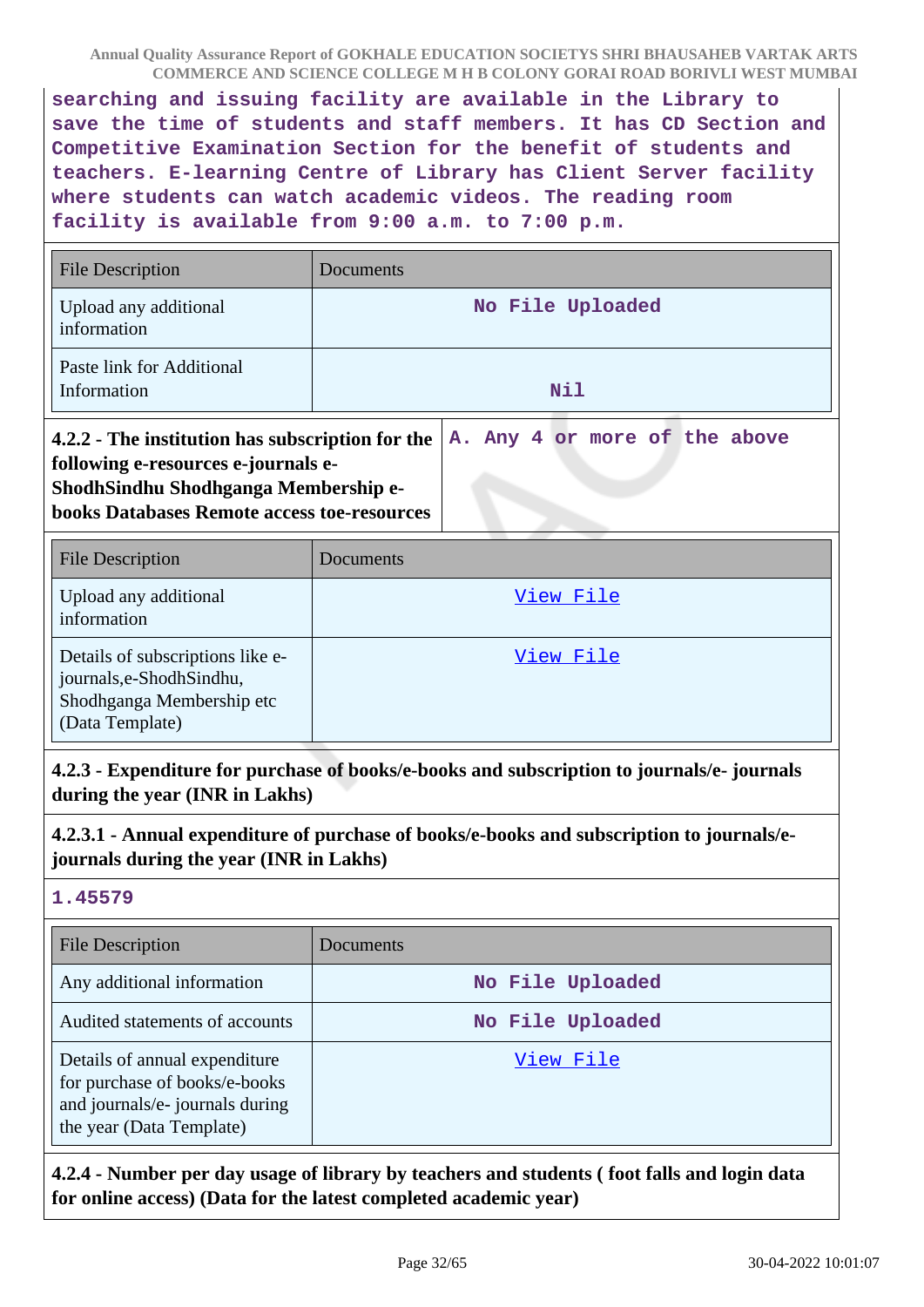**searching and issuing facility are available in the Library to save the time of students and staff members. It has CD Section and Competitive Examination Section for the benefit of students and teachers. E-learning Centre of Library has Client Server facility where students can watch academic videos. The reading room facility is available from 9:00 a.m. to 7:00 p.m.**

| <b>File Description</b>                                                                                                                                                               | Documents                               |  |
|---------------------------------------------------------------------------------------------------------------------------------------------------------------------------------------|-----------------------------------------|--|
| Upload any additional<br>information                                                                                                                                                  | No File Uploaded                        |  |
| Paste link for Additional<br>Information                                                                                                                                              | Nil                                     |  |
| 4.2.2 - The institution has subscription for the<br>following e-resources e-journals e-<br>ShodhSindhu Shodhganga Membership e-<br><b>books Databases Remote access toe-resources</b> | Any 4 or more of the above<br><b>A.</b> |  |
| <b>File Description</b>                                                                                                                                                               | Documents                               |  |
| Upload any additional<br>information                                                                                                                                                  | <u>View File</u>                        |  |
| Details of subscriptions like e-<br>journals, e-Shodh Sindhu,<br>Shodhganga Membership etc<br>(Data Template)                                                                         | View File                               |  |

**4.2.3 - Expenditure for purchase of books/e-books and subscription to journals/e- journals during the year (INR in Lakhs)**

**4.2.3.1 - Annual expenditure of purchase of books/e-books and subscription to journals/ejournals during the year (INR in Lakhs)**

#### **1.45579**

| <b>File Description</b>                                                                                                       | Documents        |
|-------------------------------------------------------------------------------------------------------------------------------|------------------|
| Any additional information                                                                                                    | No File Uploaded |
| Audited statements of accounts                                                                                                | No File Uploaded |
| Details of annual expenditure<br>for purchase of books/e-books<br>and journals/e- journals during<br>the year (Data Template) | View File        |

**4.2.4 - Number per day usage of library by teachers and students ( foot falls and login data for online access) (Data for the latest completed academic year)**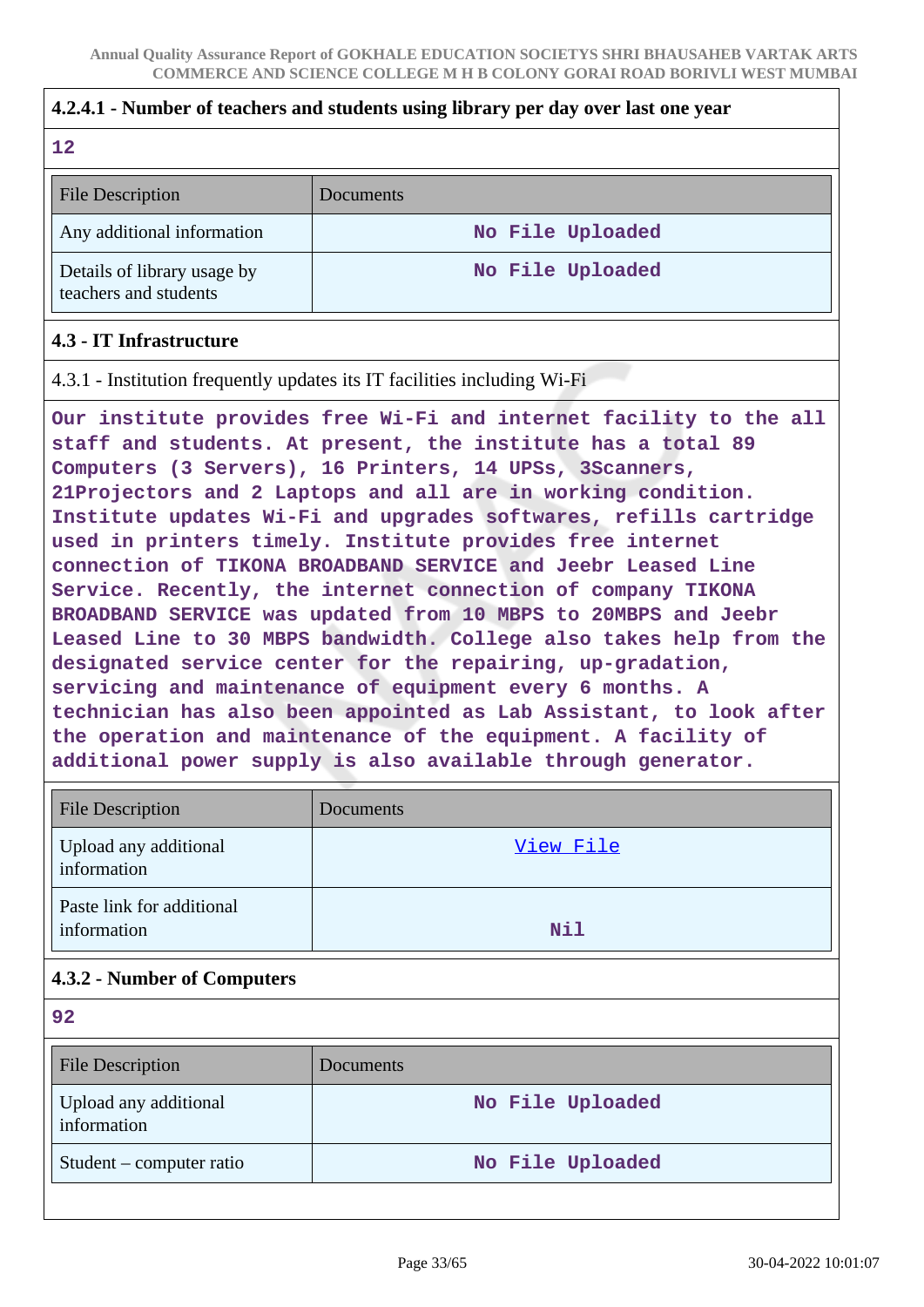#### **4.2.4.1 - Number of teachers and students using library per day over last one year**

#### **12**

| <b>File Description</b>                              | Documents        |
|------------------------------------------------------|------------------|
| Any additional information                           | No File Uploaded |
| Details of library usage by<br>teachers and students | No File Uploaded |

### **4.3 - IT Infrastructure**

4.3.1 - Institution frequently updates its IT facilities including Wi-Fi

**Our institute provides free Wi-Fi and internet facility to the all staff and students. At present, the institute has a total 89 Computers (3 Servers), 16 Printers, 14 UPSs, 3Scanners, 21Projectors and 2 Laptops and all are in working condition. Institute updates Wi-Fi and upgrades softwares, refills cartridge used in printers timely. Institute provides free internet connection of TIKONA BROADBAND SERVICE and Jeebr Leased Line Service. Recently, the internet connection of company TIKONA BROADBAND SERVICE was updated from 10 MBPS to 20MBPS and Jeebr Leased Line to 30 MBPS bandwidth. College also takes help from the designated service center for the repairing, up-gradation, servicing and maintenance of equipment every 6 months. A technician has also been appointed as Lab Assistant, to look after the operation and maintenance of the equipment. A facility of additional power supply is also available through generator.**

| <b>File Description</b>                  | Documents  |
|------------------------------------------|------------|
| Upload any additional<br>information     | View File  |
| Paste link for additional<br>information | <b>Nil</b> |

### **4.3.2 - Number of Computers**

| <b>File Description</b>              | <b>Documents</b> |
|--------------------------------------|------------------|
| Upload any additional<br>information | No File Uploaded |
| $Student$ – computer ratio           | No File Uploaded |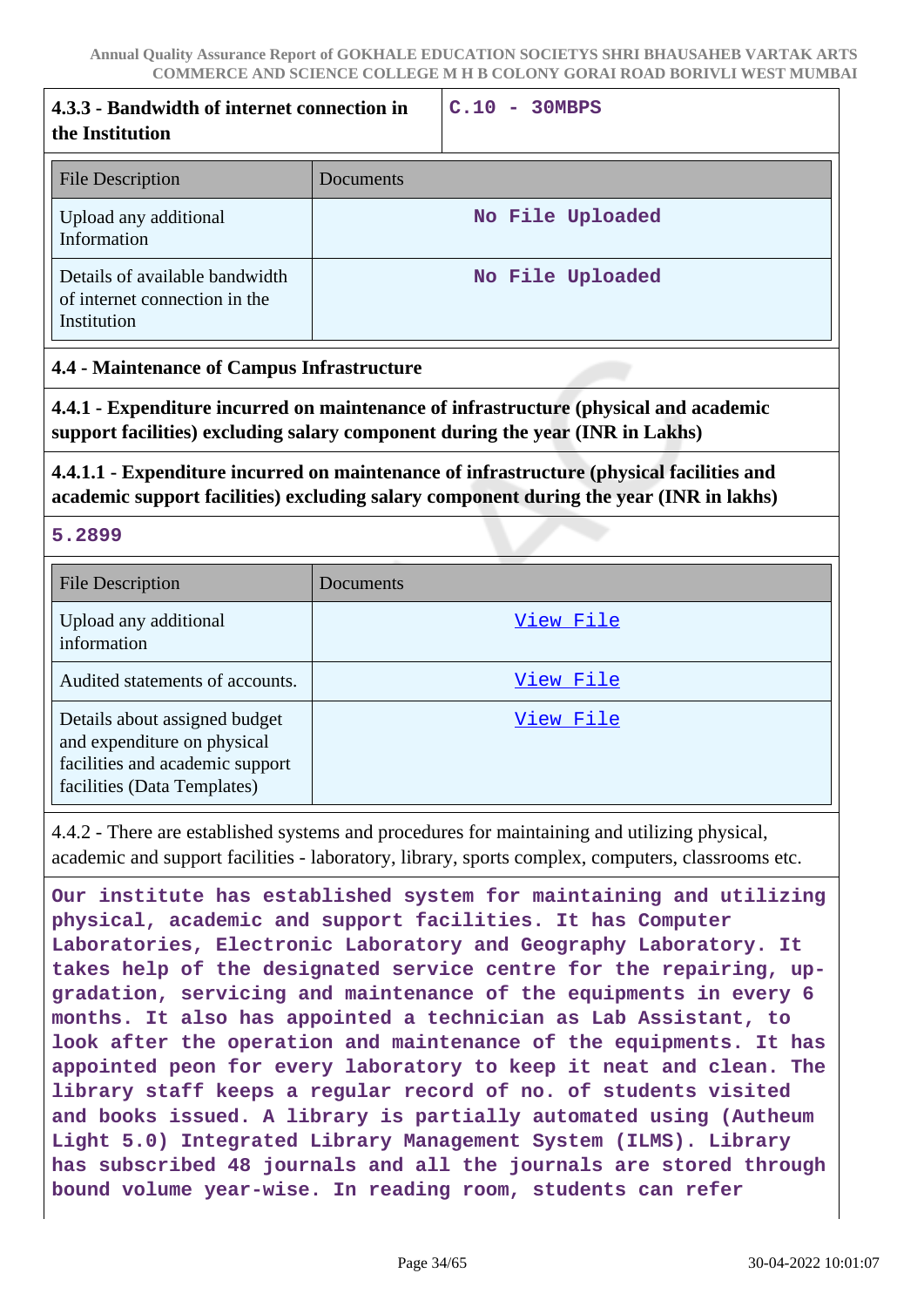| 4.3.3 - Bandwidth of internet connection in<br>the Institution                 |           | C.10<br>$-30MBPS$ |
|--------------------------------------------------------------------------------|-----------|-------------------|
| <b>File Description</b>                                                        | Documents |                   |
| Upload any additional<br>Information                                           |           | No File Uploaded  |
| Details of available bandwidth<br>of internet connection in the<br>Institution |           | No File Uploaded  |

#### **4.4 - Maintenance of Campus Infrastructure**

**4.4.1 - Expenditure incurred on maintenance of infrastructure (physical and academic support facilities) excluding salary component during the year (INR in Lakhs)**

## **4.4.1.1 - Expenditure incurred on maintenance of infrastructure (physical facilities and academic support facilities) excluding salary component during the year (INR in lakhs)**

**5.2899**

| <b>File Description</b>                                                                                                        | Documents |
|--------------------------------------------------------------------------------------------------------------------------------|-----------|
| Upload any additional<br>information                                                                                           | View File |
| Audited statements of accounts.                                                                                                | View File |
| Details about assigned budget<br>and expenditure on physical<br>facilities and academic support<br>facilities (Data Templates) | View File |

4.4.2 - There are established systems and procedures for maintaining and utilizing physical, academic and support facilities - laboratory, library, sports complex, computers, classrooms etc.

**Our institute has established system for maintaining and utilizing physical, academic and support facilities. It has Computer Laboratories, Electronic Laboratory and Geography Laboratory. It takes help of the designated service centre for the repairing, upgradation, servicing and maintenance of the equipments in every 6 months. It also has appointed a technician as Lab Assistant, to look after the operation and maintenance of the equipments. It has appointed peon for every laboratory to keep it neat and clean. The library staff keeps a regular record of no. of students visited and books issued. A library is partially automated using (Autheum Light 5.0) Integrated Library Management System (ILMS). Library has subscribed 48 journals and all the journals are stored through bound volume year-wise. In reading room, students can refer**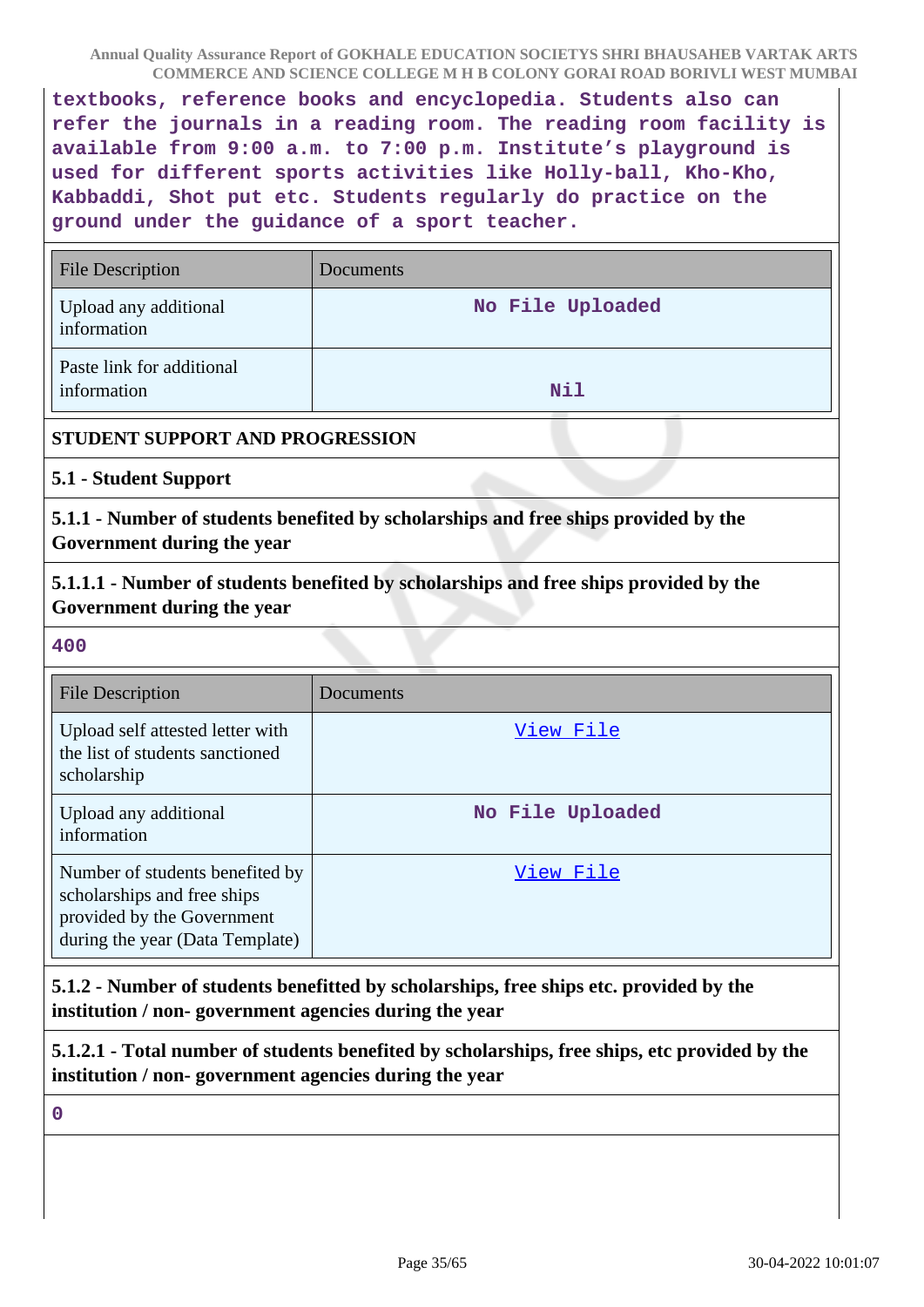**textbooks, reference books and encyclopedia. Students also can refer the journals in a reading room. The reading room facility is available from 9:00 a.m. to 7:00 p.m. Institute's playground is used for different sports activities like Holly-ball, Kho-Kho, Kabbaddi, Shot put etc. Students regularly do practice on the ground under the guidance of a sport teacher.**

| <b>File Description</b>                  | Documents        |
|------------------------------------------|------------------|
| Upload any additional<br>information     | No File Uploaded |
| Paste link for additional<br>information | <b>Nil</b>       |

#### **STUDENT SUPPORT AND PROGRESSION**

**5.1 - Student Support**

**5.1.1 - Number of students benefited by scholarships and free ships provided by the Government during the year**

**5.1.1.1 - Number of students benefited by scholarships and free ships provided by the Government during the year**

**400**

| <b>File Description</b>                                                                                                         | Documents        |
|---------------------------------------------------------------------------------------------------------------------------------|------------------|
| Upload self attested letter with<br>the list of students sanctioned<br>scholarship                                              | View File        |
| Upload any additional<br>information                                                                                            | No File Uploaded |
| Number of students benefited by<br>scholarships and free ships<br>provided by the Government<br>during the year (Data Template) | View File        |

**5.1.2 - Number of students benefitted by scholarships, free ships etc. provided by the institution / non- government agencies during the year**

**5.1.2.1 - Total number of students benefited by scholarships, free ships, etc provided by the institution / non- government agencies during the year**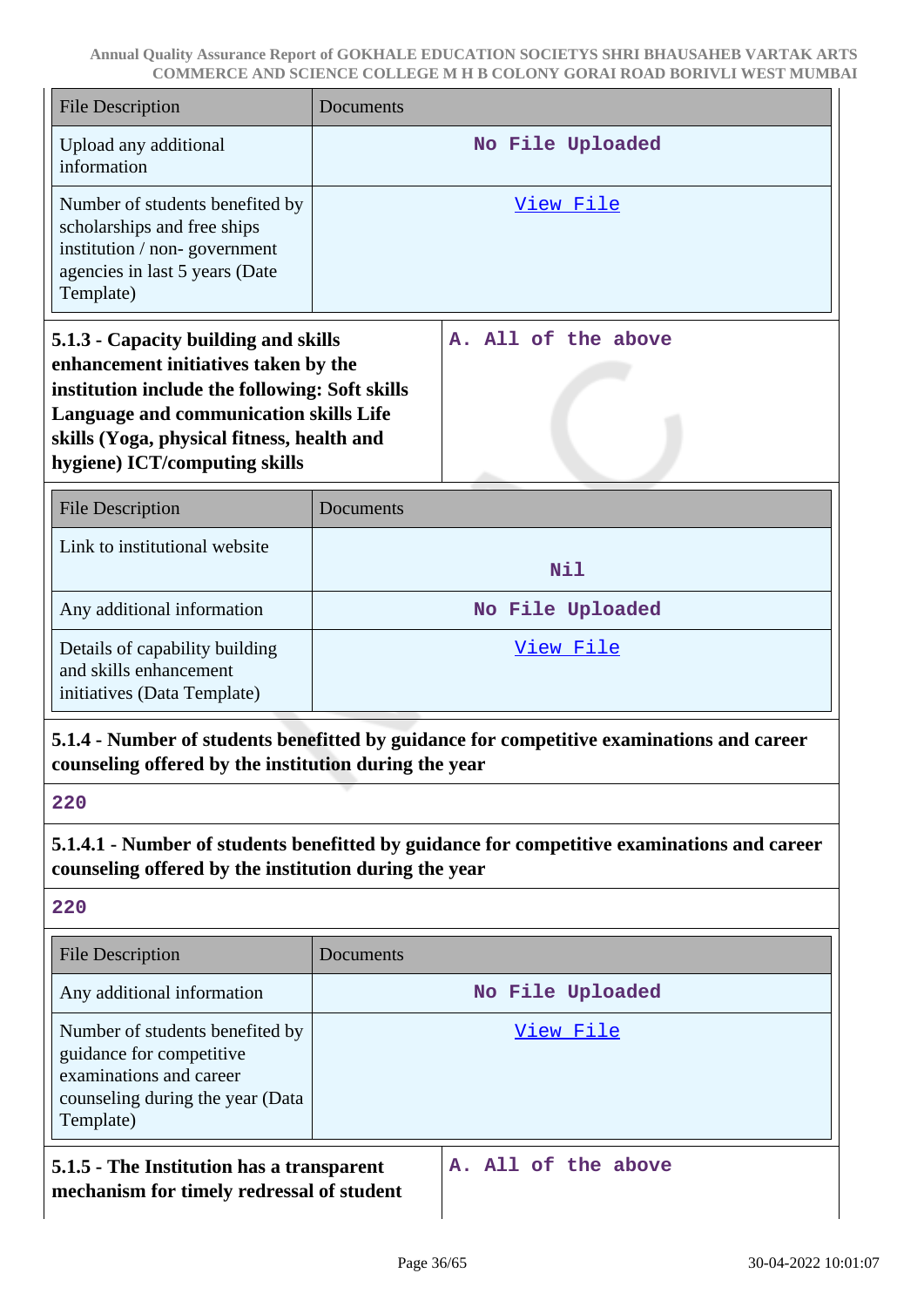| <b>File Description</b>                                                                                                                                                                                                                                 | Documents           |  |  |
|---------------------------------------------------------------------------------------------------------------------------------------------------------------------------------------------------------------------------------------------------------|---------------------|--|--|
| Upload any additional<br>information                                                                                                                                                                                                                    | No File Uploaded    |  |  |
| Number of students benefited by<br>scholarships and free ships<br>institution / non-government<br>agencies in last 5 years (Date<br>Template)                                                                                                           | <u>View File</u>    |  |  |
| 5.1.3 - Capacity building and skills<br>enhancement initiatives taken by the<br>institution include the following: Soft skills<br>Language and communication skills Life<br>skills (Yoga, physical fitness, health and<br>hygiene) ICT/computing skills | A. All of the above |  |  |
| <b>File Description</b>                                                                                                                                                                                                                                 | Documents           |  |  |
| Link to institutional website                                                                                                                                                                                                                           | <b>Nil</b>          |  |  |
| Any additional information                                                                                                                                                                                                                              | No File Uploaded    |  |  |
| Details of capability building<br>and skills enhancement<br>initiatives (Data Template)                                                                                                                                                                 | <u>View File</u>    |  |  |
| 5.1.4 - Number of students benefitted by guidance for competitive examinations and career<br>counseling offered by the institution during the year                                                                                                      |                     |  |  |
| 220                                                                                                                                                                                                                                                     |                     |  |  |
| 5.1.4.1 - Number of students benefitted by guidance for competitive examinations and career<br>counseling offered by the institution during the year                                                                                                    |                     |  |  |
| 220                                                                                                                                                                                                                                                     |                     |  |  |
| <b>File Description</b>                                                                                                                                                                                                                                 | Documents           |  |  |
| Any additional information                                                                                                                                                                                                                              | No File Uploaded    |  |  |
| Number of students benefited by<br>guidance for competitive<br>examinations and career<br>counseling during the year (Data<br>Template)                                                                                                                 | <u>View File</u>    |  |  |
| A. All of the above<br>5.1.5 - The Institution has a transparent<br>mechanism for timely redressal of student                                                                                                                                           |                     |  |  |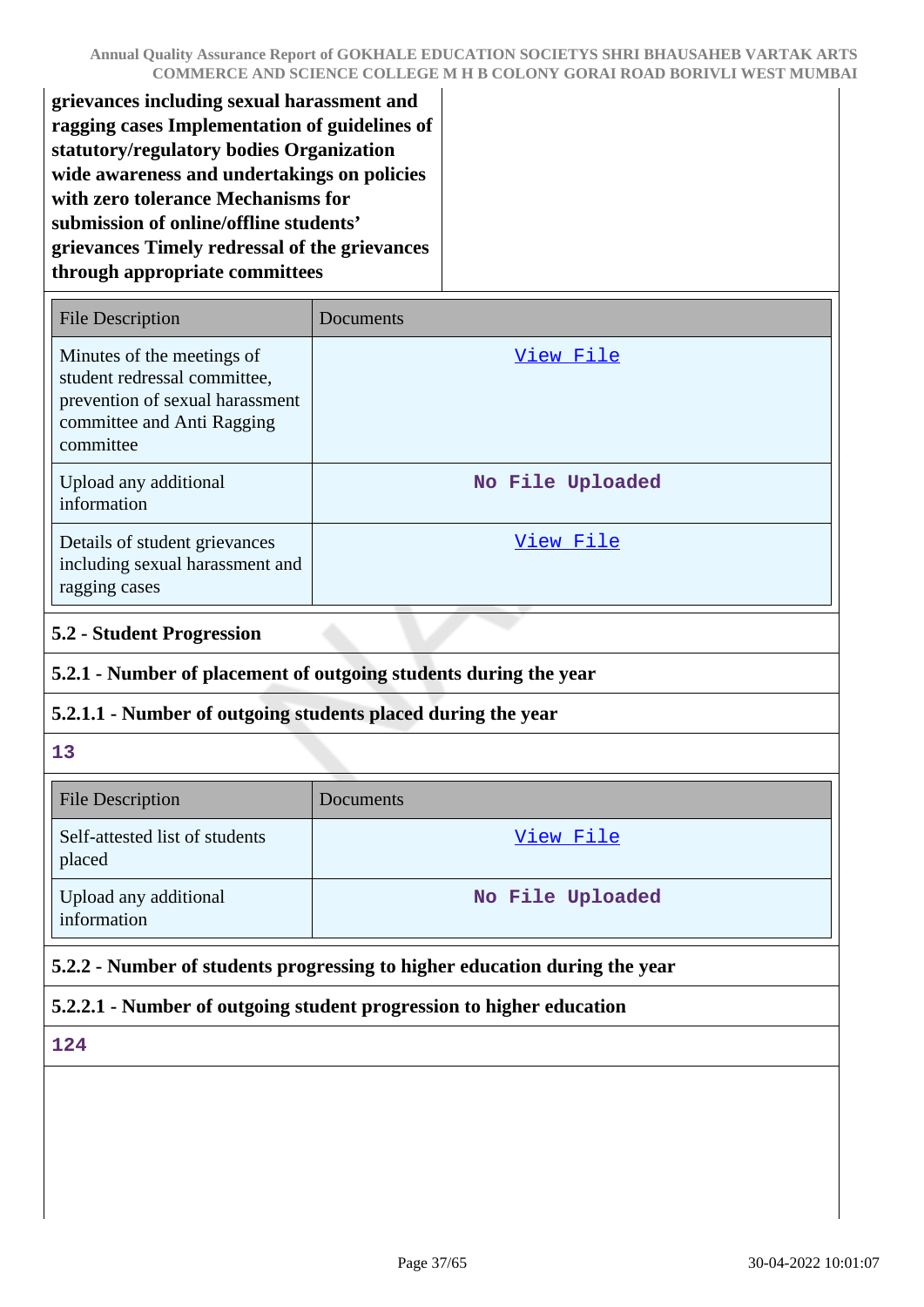**grievances including sexual harassment and ragging cases Implementation of guidelines of statutory/regulatory bodies Organization wide awareness and undertakings on policies with zero tolerance Mechanisms for submission of online/offline students' grievances Timely redressal of the grievances through appropriate committees**

| File Description                                                                                                                         | Documents        |
|------------------------------------------------------------------------------------------------------------------------------------------|------------------|
| Minutes of the meetings of<br>student redressal committee,<br>prevention of sexual harassment<br>committee and Anti Ragging<br>committee | View File        |
| Upload any additional<br>information                                                                                                     | No File Uploaded |
| Details of student grievances<br>including sexual harassment and<br>ragging cases                                                        | View File        |

## **5.2 - Student Progression**

## **5.2.1 - Number of placement of outgoing students during the year**

## **5.2.1.1 - Number of outgoing students placed during the year**

#### **13**

| <b>File Description</b>                  | Documents        |
|------------------------------------------|------------------|
| Self-attested list of students<br>placed | View File        |
| Upload any additional<br>information     | No File Uploaded |

## **5.2.2 - Number of students progressing to higher education during the year**

## **5.2.2.1 - Number of outgoing student progression to higher education**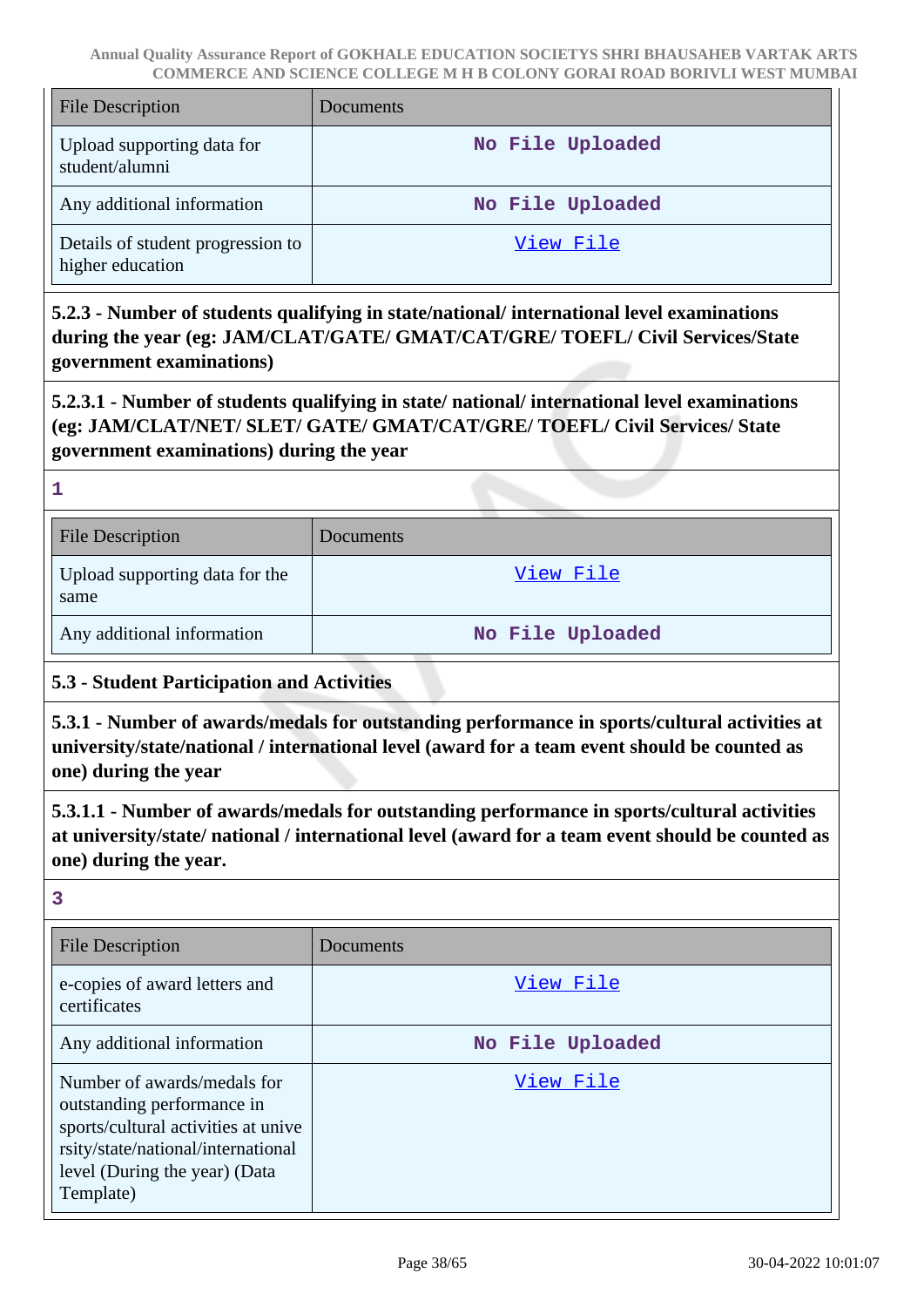| <b>File Description</b>                               | Documents        |
|-------------------------------------------------------|------------------|
| Upload supporting data for<br>student/alumni          | No File Uploaded |
| Any additional information                            | No File Uploaded |
| Details of student progression to<br>higher education | View File        |

**5.2.3 - Number of students qualifying in state/national/ international level examinations during the year (eg: JAM/CLAT/GATE/ GMAT/CAT/GRE/ TOEFL/ Civil Services/State government examinations)**

**5.2.3.1 - Number of students qualifying in state/ national/ international level examinations (eg: JAM/CLAT/NET/ SLET/ GATE/ GMAT/CAT/GRE/ TOEFL/ Civil Services/ State government examinations) during the year**

**1**

| <b>File Description</b>                | <b>Documents</b> |
|----------------------------------------|------------------|
| Upload supporting data for the<br>same | View File        |
| Any additional information             | No File Uploaded |

## **5.3 - Student Participation and Activities**

**5.3.1 - Number of awards/medals for outstanding performance in sports/cultural activities at university/state/national / international level (award for a team event should be counted as one) during the year**

**5.3.1.1 - Number of awards/medals for outstanding performance in sports/cultural activities at university/state/ national / international level (award for a team event should be counted as one) during the year.**

| <b>File Description</b>                                                                                                                                                              | Documents        |
|--------------------------------------------------------------------------------------------------------------------------------------------------------------------------------------|------------------|
| e-copies of award letters and<br>certificates                                                                                                                                        | View File        |
| Any additional information                                                                                                                                                           | No File Uploaded |
| Number of awards/medals for<br>outstanding performance in<br>sports/cultural activities at unive<br>rsity/state/national/international<br>level (During the year) (Data<br>Template) | View File        |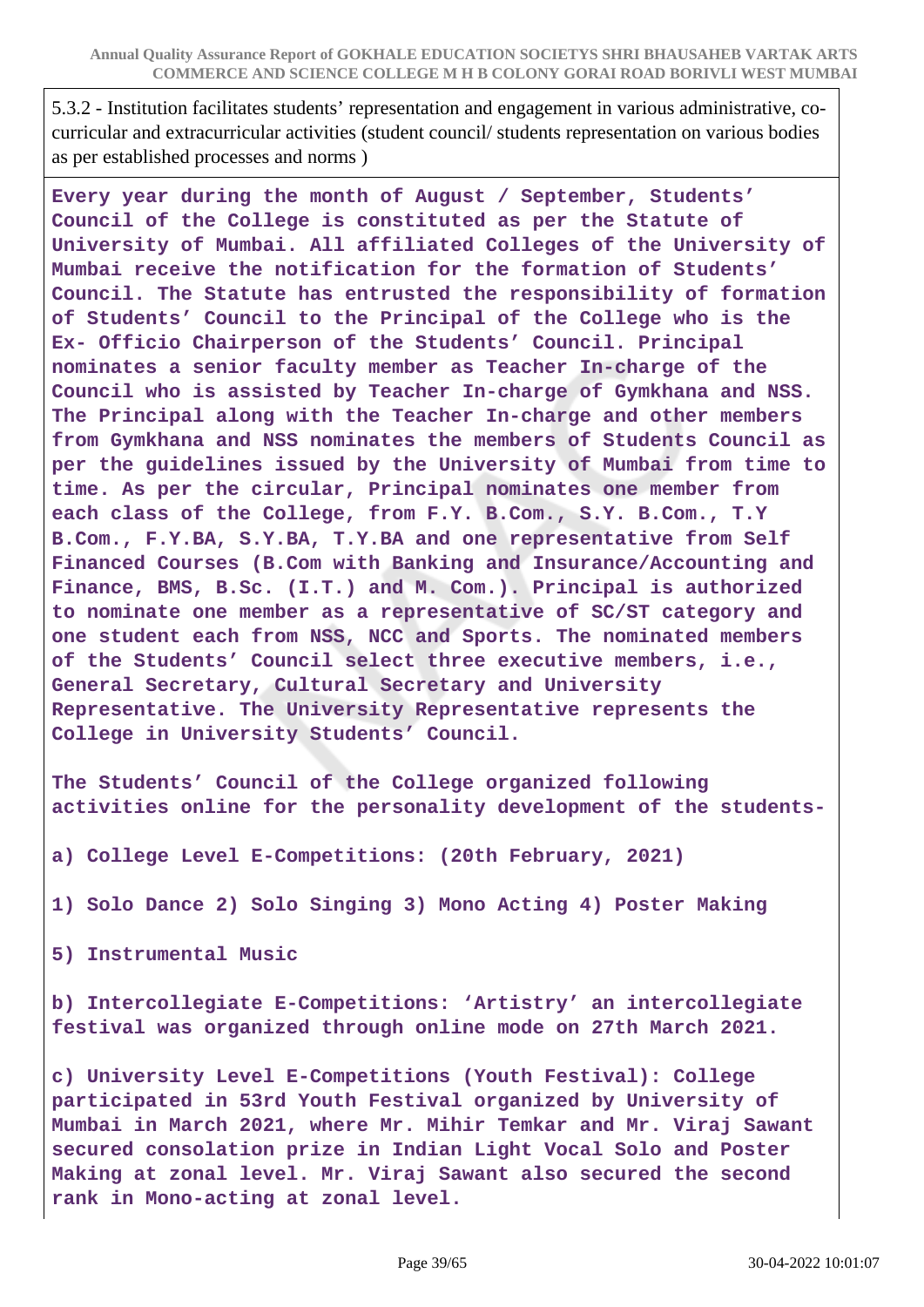5.3.2 - Institution facilitates students' representation and engagement in various administrative, cocurricular and extracurricular activities (student council/ students representation on various bodies as per established processes and norms )

**Every year during the month of August / September, Students' Council of the College is constituted as per the Statute of University of Mumbai. All affiliated Colleges of the University of Mumbai receive the notification for the formation of Students' Council. The Statute has entrusted the responsibility of formation of Students' Council to the Principal of the College who is the Ex- Officio Chairperson of the Students' Council. Principal nominates a senior faculty member as Teacher In-charge of the Council who is assisted by Teacher In-charge of Gymkhana and NSS. The Principal along with the Teacher In-charge and other members from Gymkhana and NSS nominates the members of Students Council as per the guidelines issued by the University of Mumbai from time to time. As per the circular, Principal nominates one member from each class of the College, from F.Y. B.Com., S.Y. B.Com., T.Y B.Com., F.Y.BA, S.Y.BA, T.Y.BA and one representative from Self Financed Courses (B.Com with Banking and Insurance/Accounting and Finance, BMS, B.Sc. (I.T.) and M. Com.). Principal is authorized to nominate one member as a representative of SC/ST category and one student each from NSS, NCC and Sports. The nominated members of the Students' Council select three executive members, i.e., General Secretary, Cultural Secretary and University Representative. The University Representative represents the College in University Students' Council.**

**The Students' Council of the College organized following activities online for the personality development of the students-**

**a) College Level E-Competitions: (20th February, 2021)**

**1) Solo Dance 2) Solo Singing 3) Mono Acting 4) Poster Making**

**5) Instrumental Music**

**b) Intercollegiate E-Competitions: 'Artistry' an intercollegiate festival was organized through online mode on 27th March 2021.**

**c) University Level E-Competitions (Youth Festival): College participated in 53rd Youth Festival organized by University of Mumbai in March 2021, where Mr. Mihir Temkar and Mr. Viraj Sawant secured consolation prize in Indian Light Vocal Solo and Poster Making at zonal level. Mr. Viraj Sawant also secured the second rank in Mono-acting at zonal level.**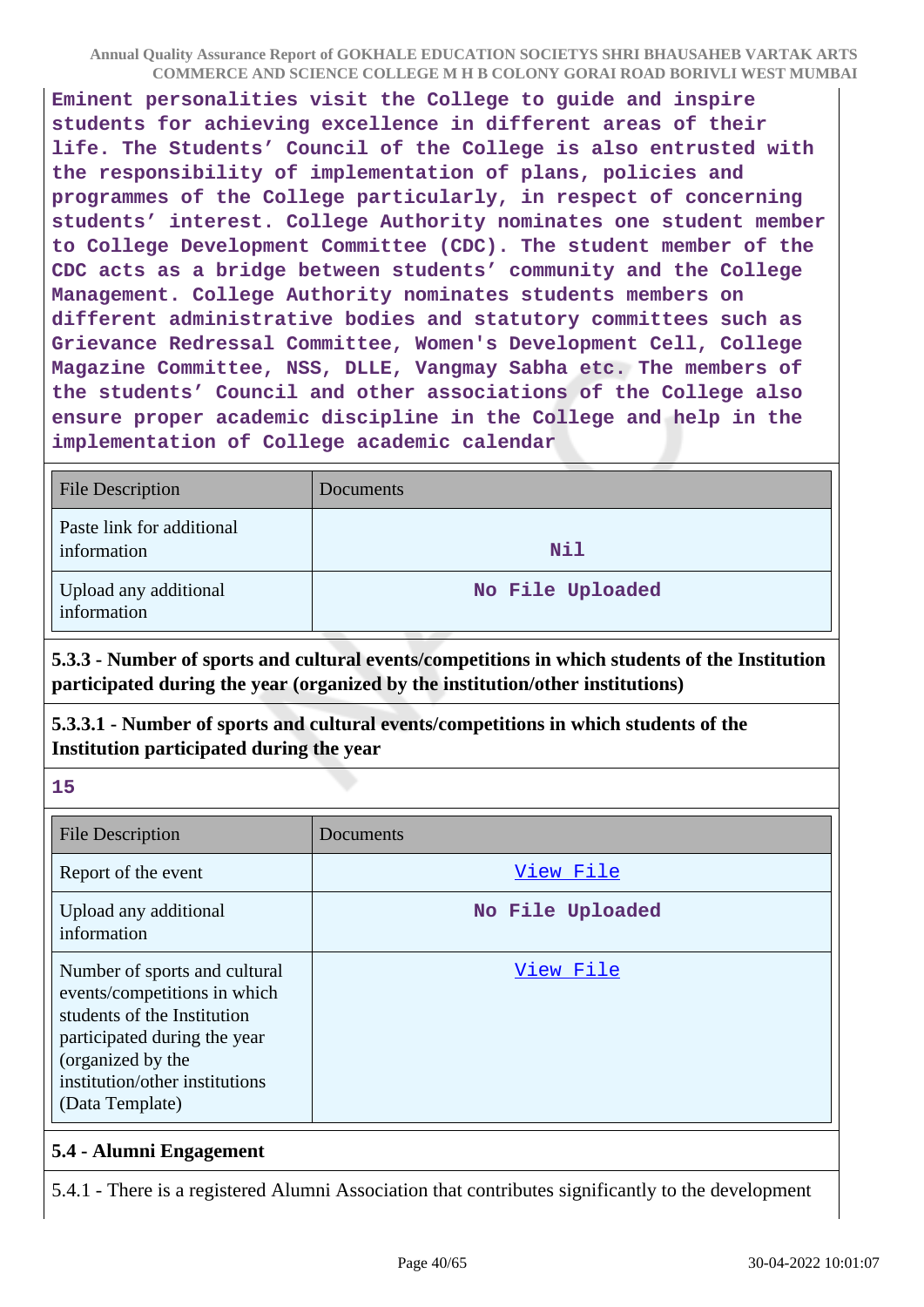**Eminent personalities visit the College to guide and inspire students for achieving excellence in different areas of their life. The Students' Council of the College is also entrusted with the responsibility of implementation of plans, policies and programmes of the College particularly, in respect of concerning students' interest. College Authority nominates one student member to College Development Committee (CDC). The student member of the CDC acts as a bridge between students' community and the College Management. College Authority nominates students members on different administrative bodies and statutory committees such as Grievance Redressal Committee, Women's Development Cell, College Magazine Committee, NSS, DLLE, Vangmay Sabha etc. The members of the students' Council and other associations of the College also ensure proper academic discipline in the College and help in the implementation of College academic calendar**

| <b>File Description</b>                  | <b>Documents</b> |
|------------------------------------------|------------------|
| Paste link for additional<br>information | <b>Nil</b>       |
| Upload any additional<br>information     | No File Uploaded |

**5.3.3 - Number of sports and cultural events/competitions in which students of the Institution participated during the year (organized by the institution/other institutions)**

**5.3.3.1 - Number of sports and cultural events/competitions in which students of the Institution participated during the year**

**15**

| <b>File Description</b>                                                                                                                                                                                | Documents        |
|--------------------------------------------------------------------------------------------------------------------------------------------------------------------------------------------------------|------------------|
| Report of the event                                                                                                                                                                                    | View File        |
| Upload any additional<br>information                                                                                                                                                                   | No File Uploaded |
| Number of sports and cultural<br>events/competitions in which<br>students of the Institution<br>participated during the year<br>(organized by the<br>institution/other institutions<br>(Data Template) | View File        |

### **5.4 - Alumni Engagement**

5.4.1 - There is a registered Alumni Association that contributes significantly to the development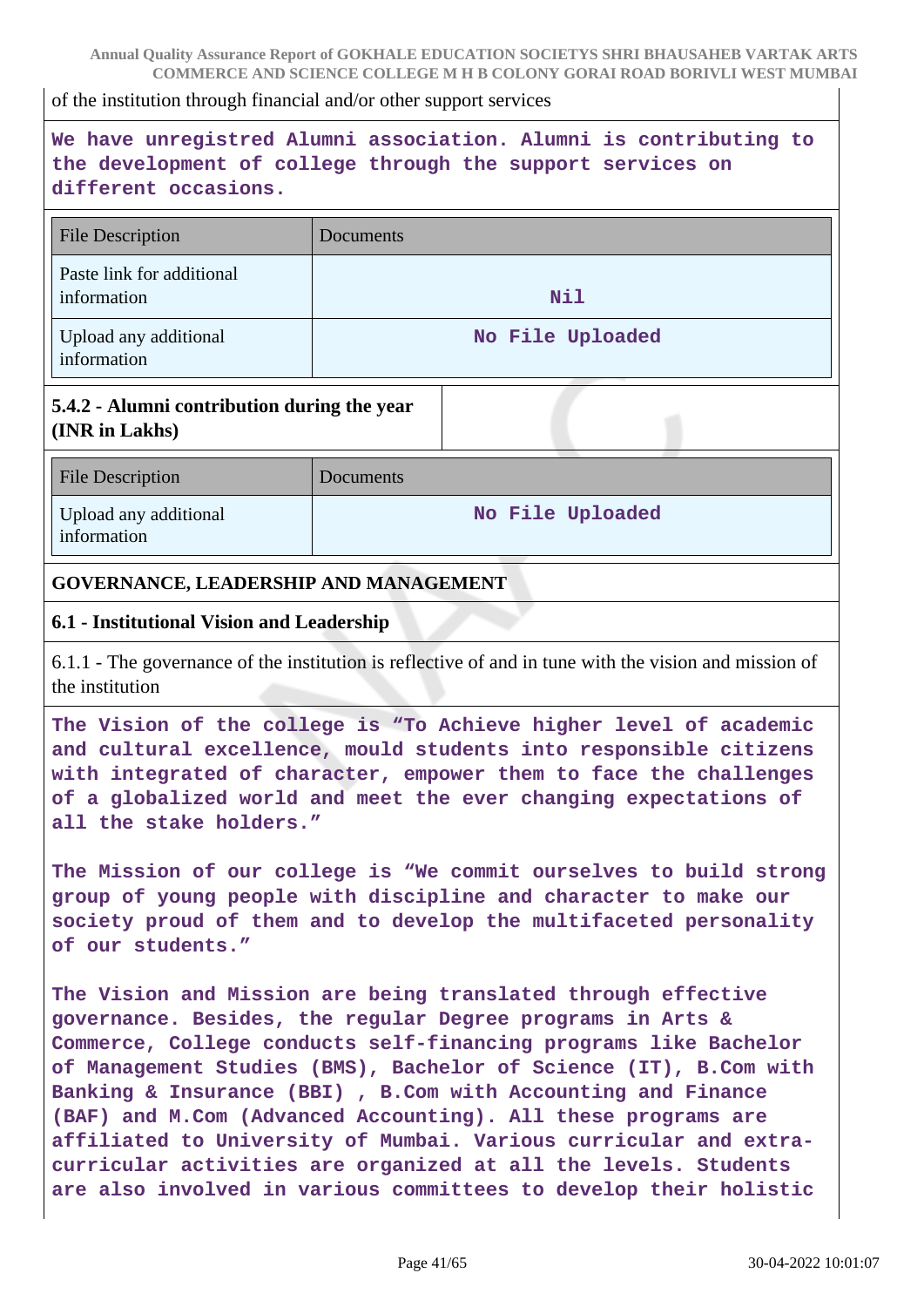of the institution through financial and/or other support services

# **We have unregistred Alumni association. Alumni is contributing to the development of college through the support services on different occasions.**

| <b>File Description</b>                  | Documents        |
|------------------------------------------|------------------|
| Paste link for additional<br>information | <b>Nil</b>       |
| Upload any additional<br>information     | No File Uploaded |

### **5.4.2 - Alumni contribution during the year (INR in Lakhs)**

| <b>File Description</b>              | Documents        |
|--------------------------------------|------------------|
| Upload any additional<br>information | No File Uploaded |

#### **GOVERNANCE, LEADERSHIP AND MANAGEMENT**

#### **6.1 - Institutional Vision and Leadership**

6.1.1 - The governance of the institution is reflective of and in tune with the vision and mission of the institution

**The Vision of the college is "To Achieve higher level of academic and cultural excellence, mould students into responsible citizens with integrated of character, empower them to face the challenges of a globalized world and meet the ever changing expectations of all the stake holders."**

**The Mission of our college is "We commit ourselves to build strong group of young people with discipline and character to make our society proud of them and to develop the multifaceted personality of our students."**

**The Vision and Mission are being translated through effective governance. Besides, the regular Degree programs in Arts & Commerce, College conducts self-financing programs like Bachelor of Management Studies (BMS), Bachelor of Science (IT), B.Com with Banking & Insurance (BBI) , B.Com with Accounting and Finance (BAF) and M.Com (Advanced Accounting). All these programs are affiliated to University of Mumbai. Various curricular and extracurricular activities are organized at all the levels. Students are also involved in various committees to develop their holistic**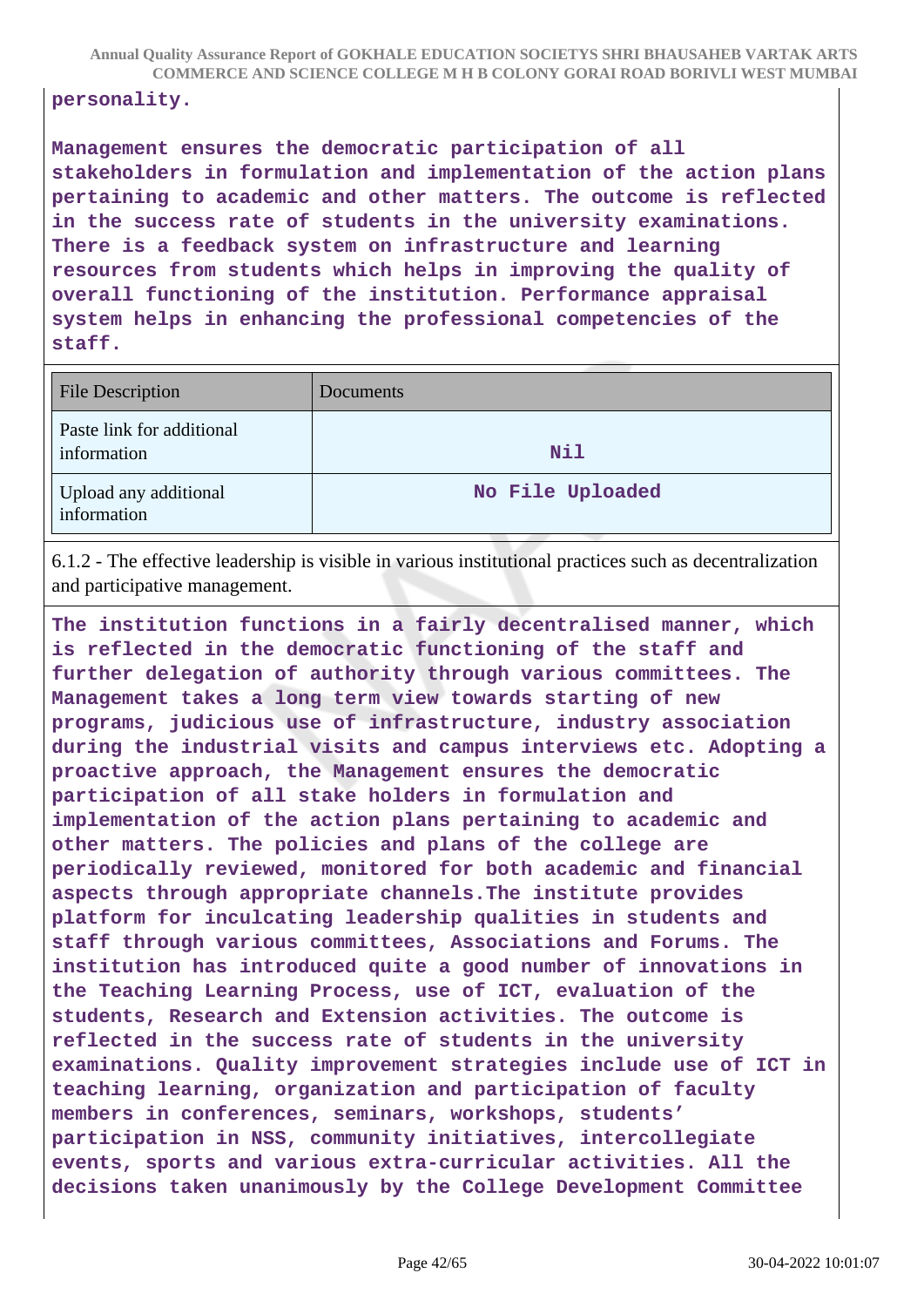#### **personality.**

**Management ensures the democratic participation of all stakeholders in formulation and implementation of the action plans pertaining to academic and other matters. The outcome is reflected in the success rate of students in the university examinations. There is a feedback system on infrastructure and learning resources from students which helps in improving the quality of overall functioning of the institution. Performance appraisal system helps in enhancing the professional competencies of the staff.**

| <b>File Description</b>                  | Documents        |
|------------------------------------------|------------------|
| Paste link for additional<br>information | <b>Nil</b>       |
| Upload any additional<br>information     | No File Uploaded |

6.1.2 - The effective leadership is visible in various institutional practices such as decentralization and participative management.

**The institution functions in a fairly decentralised manner, which is reflected in the democratic functioning of the staff and further delegation of authority through various committees. The Management takes a long term view towards starting of new programs, judicious use of infrastructure, industry association during the industrial visits and campus interviews etc. Adopting a proactive approach, the Management ensures the democratic participation of all stake holders in formulation and implementation of the action plans pertaining to academic and other matters. The policies and plans of the college are periodically reviewed, monitored for both academic and financial aspects through appropriate channels.The institute provides platform for inculcating leadership qualities in students and staff through various committees, Associations and Forums. The institution has introduced quite a good number of innovations in the Teaching Learning Process, use of ICT, evaluation of the students, Research and Extension activities. The outcome is reflected in the success rate of students in the university examinations. Quality improvement strategies include use of ICT in teaching learning, organization and participation of faculty members in conferences, seminars, workshops, students' participation in NSS, community initiatives, intercollegiate events, sports and various extra-curricular activities. All the decisions taken unanimously by the College Development Committee**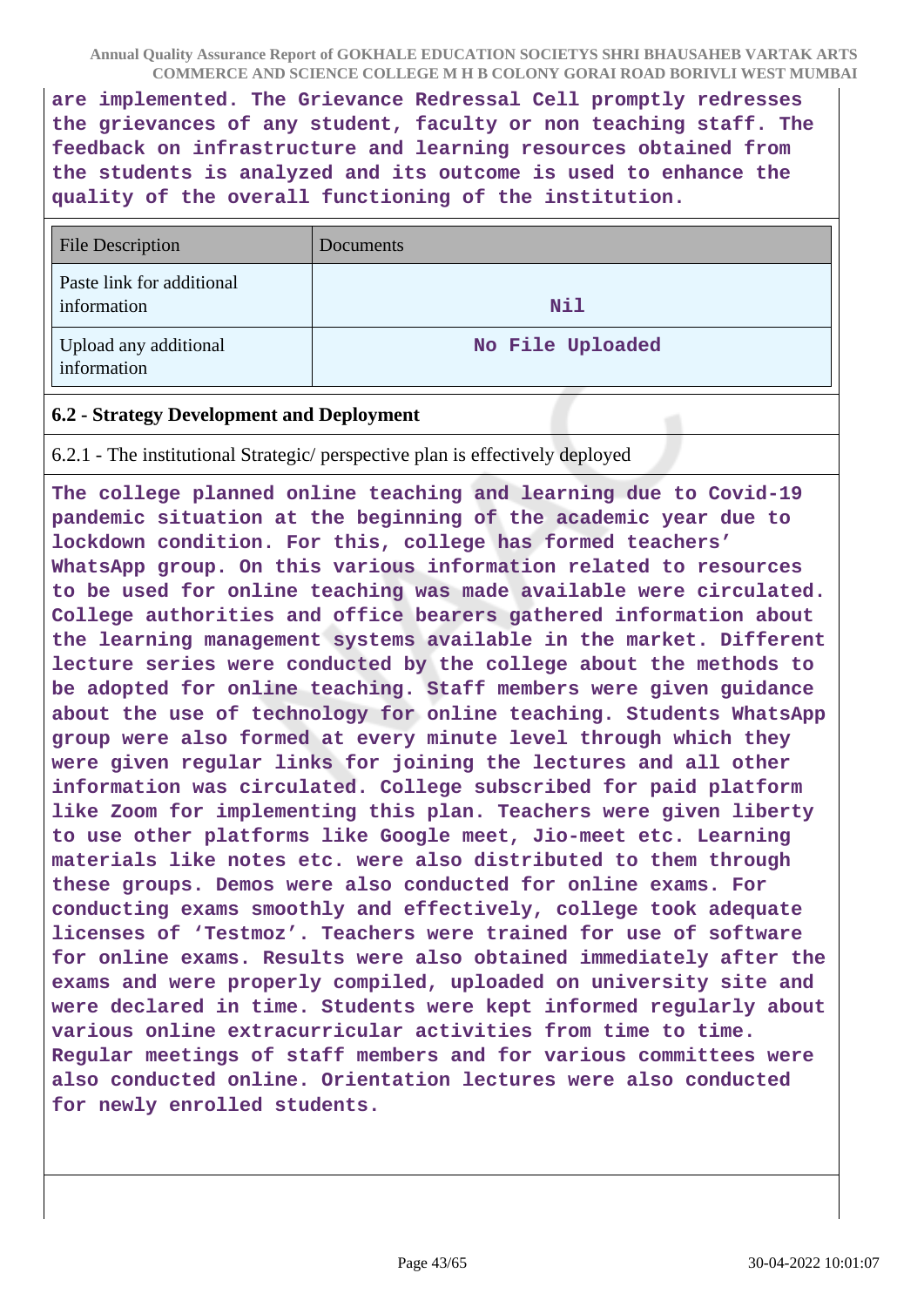**are implemented. The Grievance Redressal Cell promptly redresses the grievances of any student, faculty or non teaching staff. The feedback on infrastructure and learning resources obtained from the students is analyzed and its outcome is used to enhance the quality of the overall functioning of the institution.**

| <b>File Description</b>                  | Documents        |
|------------------------------------------|------------------|
| Paste link for additional<br>information | <b>Nil</b>       |
| Upload any additional<br>information     | No File Uploaded |

### **6.2 - Strategy Development and Deployment**

6.2.1 - The institutional Strategic/ perspective plan is effectively deployed

**The college planned online teaching and learning due to Covid-19 pandemic situation at the beginning of the academic year due to lockdown condition. For this, college has formed teachers' WhatsApp group. On this various information related to resources to be used for online teaching was made available were circulated. College authorities and office bearers gathered information about the learning management systems available in the market. Different lecture series were conducted by the college about the methods to be adopted for online teaching. Staff members were given guidance about the use of technology for online teaching. Students WhatsApp group were also formed at every minute level through which they were given regular links for joining the lectures and all other information was circulated. College subscribed for paid platform like Zoom for implementing this plan. Teachers were given liberty to use other platforms like Google meet, Jio-meet etc. Learning materials like notes etc. were also distributed to them through these groups. Demos were also conducted for online exams. For conducting exams smoothly and effectively, college took adequate licenses of 'Testmoz'. Teachers were trained for use of software for online exams. Results were also obtained immediately after the exams and were properly compiled, uploaded on university site and were declared in time. Students were kept informed regularly about various online extracurricular activities from time to time. Regular meetings of staff members and for various committees were also conducted online. Orientation lectures were also conducted for newly enrolled students.**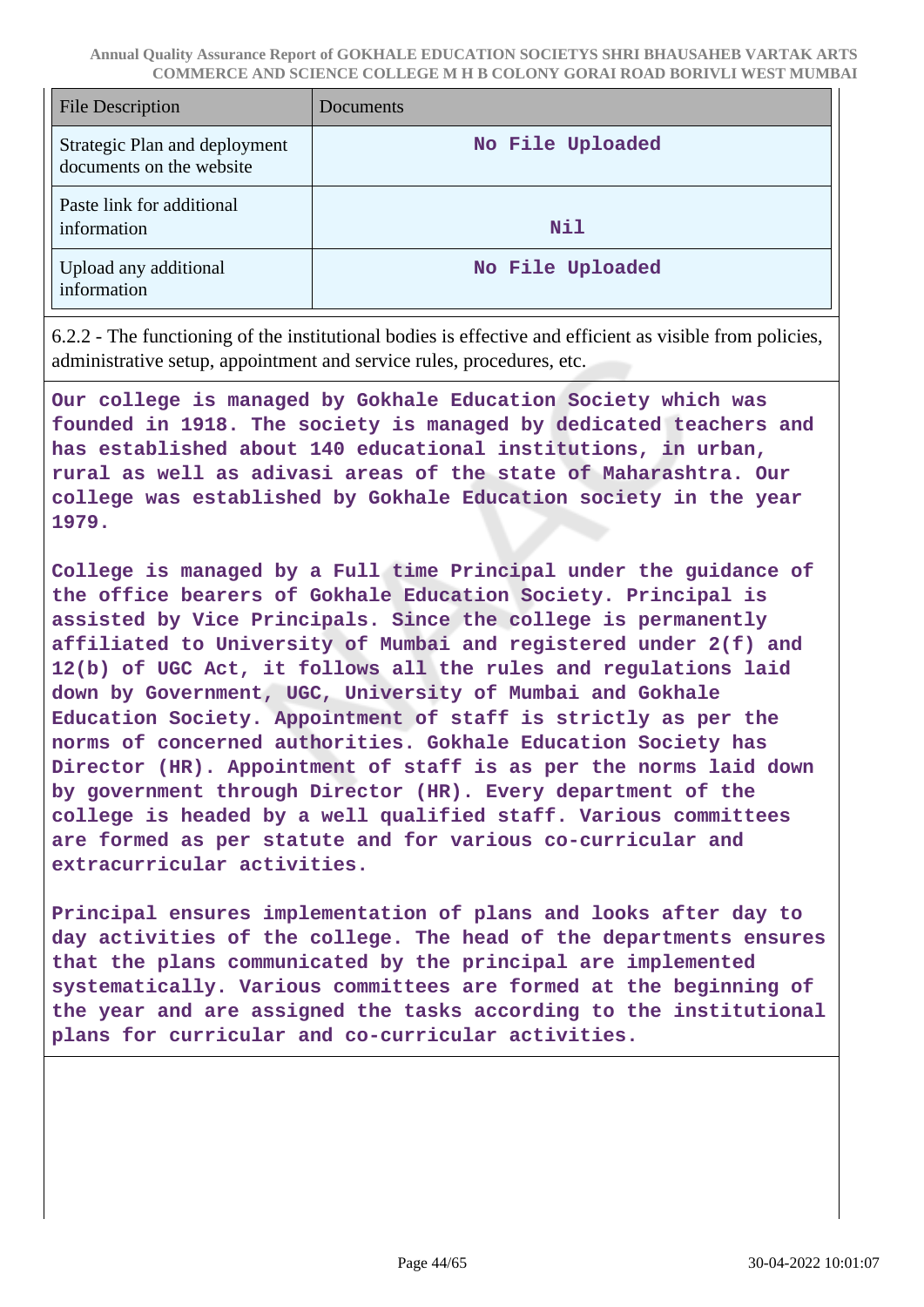| <b>File Description</b>                                   | Documents        |
|-----------------------------------------------------------|------------------|
| Strategic Plan and deployment<br>documents on the website | No File Uploaded |
| Paste link for additional<br>information                  | <b>Nil</b>       |
| Upload any additional<br>information                      | No File Uploaded |

6.2.2 - The functioning of the institutional bodies is effective and efficient as visible from policies, administrative setup, appointment and service rules, procedures, etc.

**Our college is managed by Gokhale Education Society which was founded in 1918. The society is managed by dedicated teachers and has established about 140 educational institutions, in urban, rural as well as adivasi areas of the state of Maharashtra. Our college was established by Gokhale Education society in the year 1979.**

**College is managed by a Full time Principal under the guidance of the office bearers of Gokhale Education Society. Principal is assisted by Vice Principals. Since the college is permanently affiliated to University of Mumbai and registered under 2(f) and 12(b) of UGC Act, it follows all the rules and regulations laid down by Government, UGC, University of Mumbai and Gokhale Education Society. Appointment of staff is strictly as per the norms of concerned authorities. Gokhale Education Society has Director (HR). Appointment of staff is as per the norms laid down by government through Director (HR). Every department of the college is headed by a well qualified staff. Various committees are formed as per statute and for various co-curricular and extracurricular activities.**

**Principal ensures implementation of plans and looks after day to day activities of the college. The head of the departments ensures that the plans communicated by the principal are implemented systematically. Various committees are formed at the beginning of the year and are assigned the tasks according to the institutional plans for curricular and co-curricular activities.**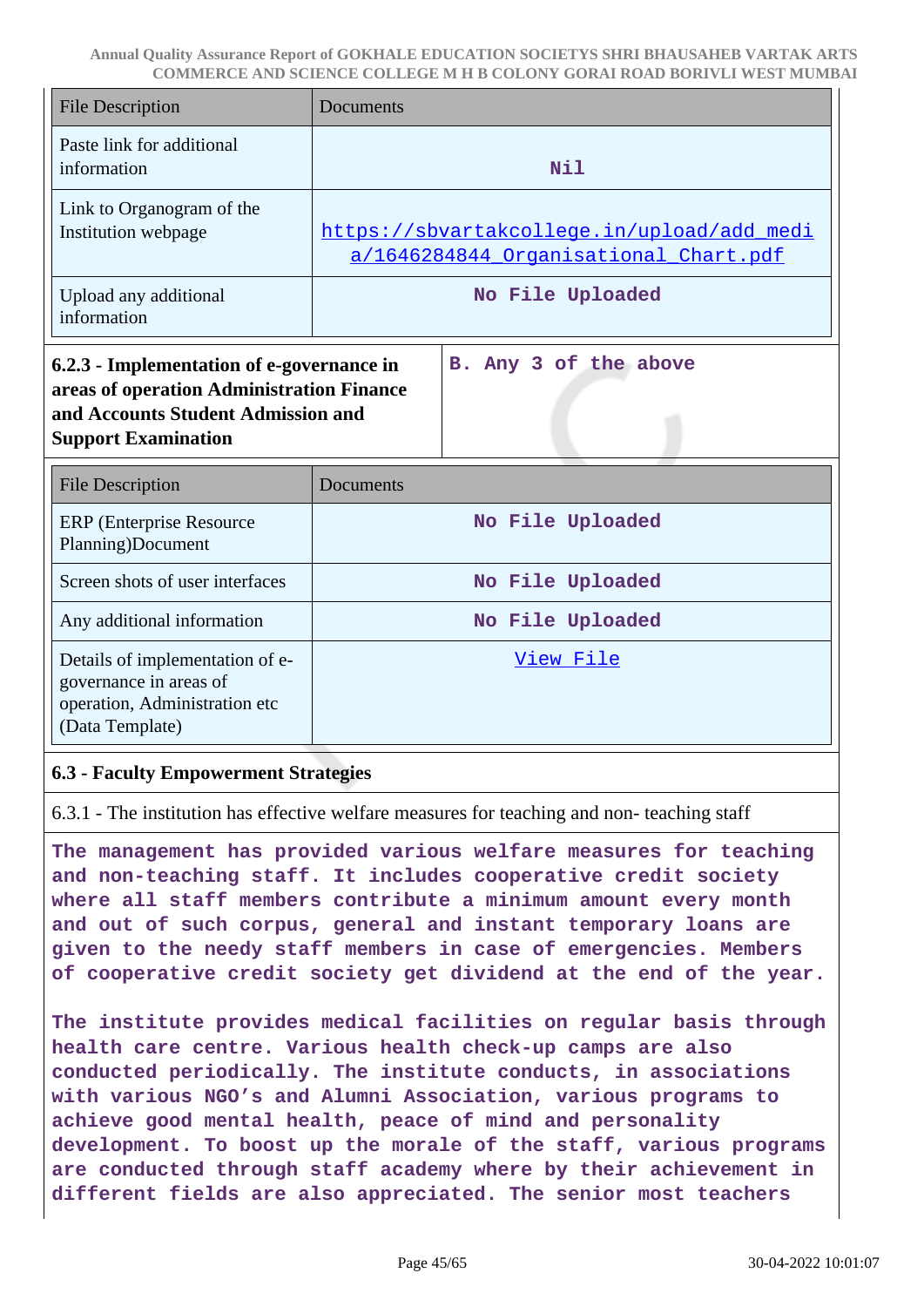| <b>File Description</b>                                                                                                                                    | <b>Documents</b>                                                                    |  |
|------------------------------------------------------------------------------------------------------------------------------------------------------------|-------------------------------------------------------------------------------------|--|
| Paste link for additional<br>information                                                                                                                   | N11                                                                                 |  |
| Link to Organogram of the<br>Institution webpage                                                                                                           | https://sbvartakcollege.in/upload/add medi<br>a/1646284844 Organisational Chart.pdf |  |
| Upload any additional<br>information                                                                                                                       | No File Uploaded                                                                    |  |
| 6.2.3 - Implementation of e-governance in<br>areas of operation Administration Finance<br>and Accounts Student Admission and<br><b>Support Examination</b> | B. Any 3 of the above                                                               |  |
| <b>File Description</b>                                                                                                                                    | <b>Documents</b>                                                                    |  |
| <b>ERP</b> (Enterprise Resource<br>Planning)Document                                                                                                       | No File Uploaded                                                                    |  |
| Screen shots of user interfaces                                                                                                                            | No File Uploaded                                                                    |  |
| Any additional information                                                                                                                                 | No File Uploaded                                                                    |  |
| Details of implementation of e-<br>governance in areas of<br>operation, Administration etc<br>(Data Template)                                              | View File                                                                           |  |

#### **6.3 - Faculty Empowerment Strategies**

6.3.1 - The institution has effective welfare measures for teaching and non- teaching staff

**The management has provided various welfare measures for teaching and non-teaching staff. It includes cooperative credit society where all staff members contribute a minimum amount every month and out of such corpus, general and instant temporary loans are given to the needy staff members in case of emergencies. Members of cooperative credit society get dividend at the end of the year.**

**The institute provides medical facilities on regular basis through health care centre. Various health check-up camps are also conducted periodically. The institute conducts, in associations with various NGO's and Alumni Association, various programs to achieve good mental health, peace of mind and personality development. To boost up the morale of the staff, various programs are conducted through staff academy where by their achievement in different fields are also appreciated. The senior most teachers**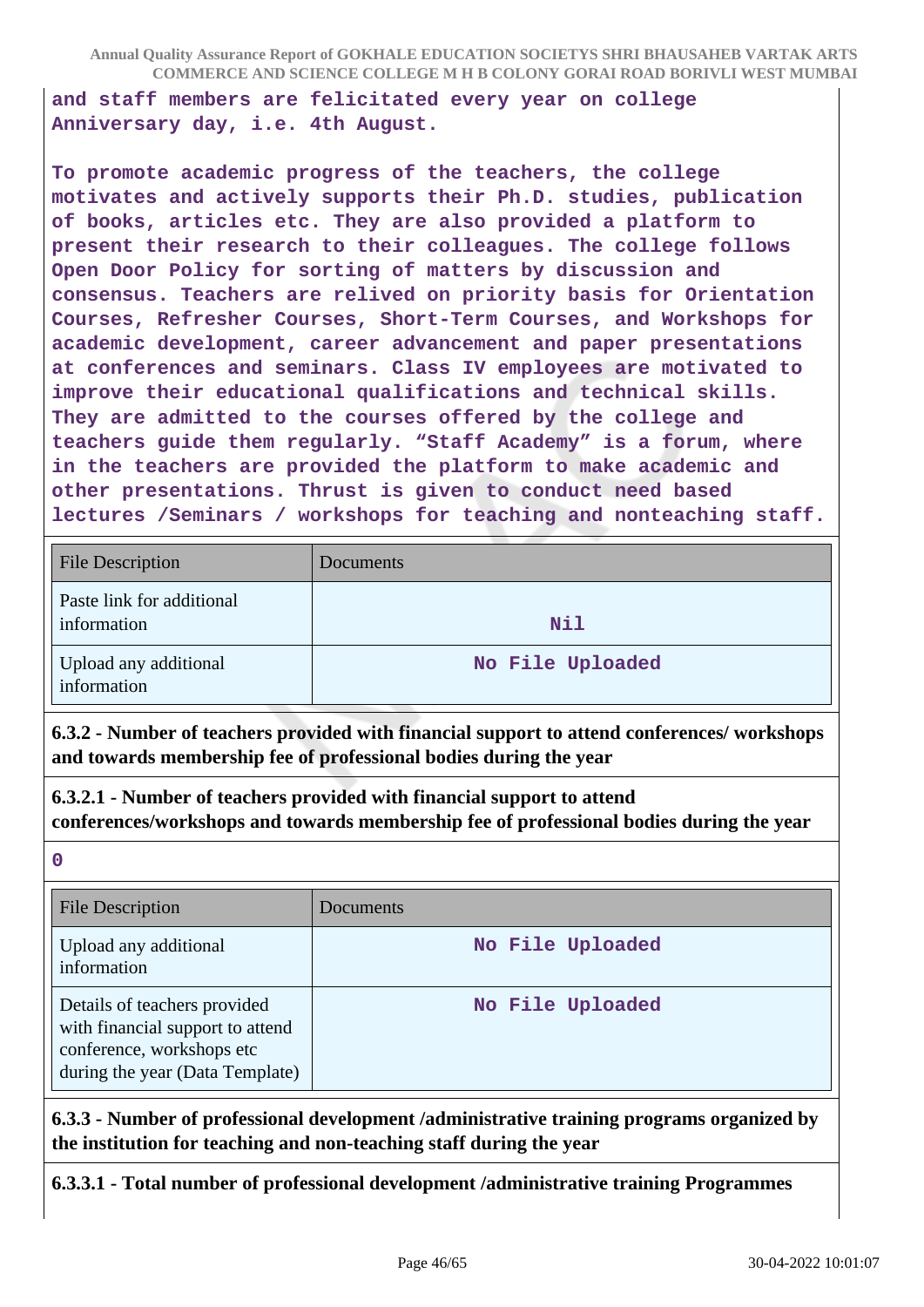**and staff members are felicitated every year on college Anniversary day, i.e. 4th August.**

**To promote academic progress of the teachers, the college motivates and actively supports their Ph.D. studies, publication of books, articles etc. They are also provided a platform to present their research to their colleagues. The college follows Open Door Policy for sorting of matters by discussion and consensus. Teachers are relived on priority basis for Orientation Courses, Refresher Courses, Short-Term Courses, and Workshops for academic development, career advancement and paper presentations at conferences and seminars. Class IV employees are motivated to improve their educational qualifications and technical skills. They are admitted to the courses offered by the college and teachers guide them regularly. "Staff Academy" is a forum, where in the teachers are provided the platform to make academic and other presentations. Thrust is given to conduct need based lectures /Seminars / workshops for teaching and nonteaching staff.**

| <b>File Description</b>                  | Documents        |
|------------------------------------------|------------------|
| Paste link for additional<br>information | <b>Nil</b>       |
| Upload any additional<br>information     | No File Uploaded |

**6.3.2 - Number of teachers provided with financial support to attend conferences/ workshops and towards membership fee of professional bodies during the year**

**6.3.2.1 - Number of teachers provided with financial support to attend conferences/workshops and towards membership fee of professional bodies during the year**

**0**

| <b>File Description</b>                                                                                                          | <b>Documents</b> |
|----------------------------------------------------------------------------------------------------------------------------------|------------------|
| Upload any additional<br>information                                                                                             | No File Uploaded |
| Details of teachers provided<br>with financial support to attend<br>conference, workshops etc<br>during the year (Data Template) | No File Uploaded |

**6.3.3 - Number of professional development /administrative training programs organized by the institution for teaching and non-teaching staff during the year**

**6.3.3.1 - Total number of professional development /administrative training Programmes**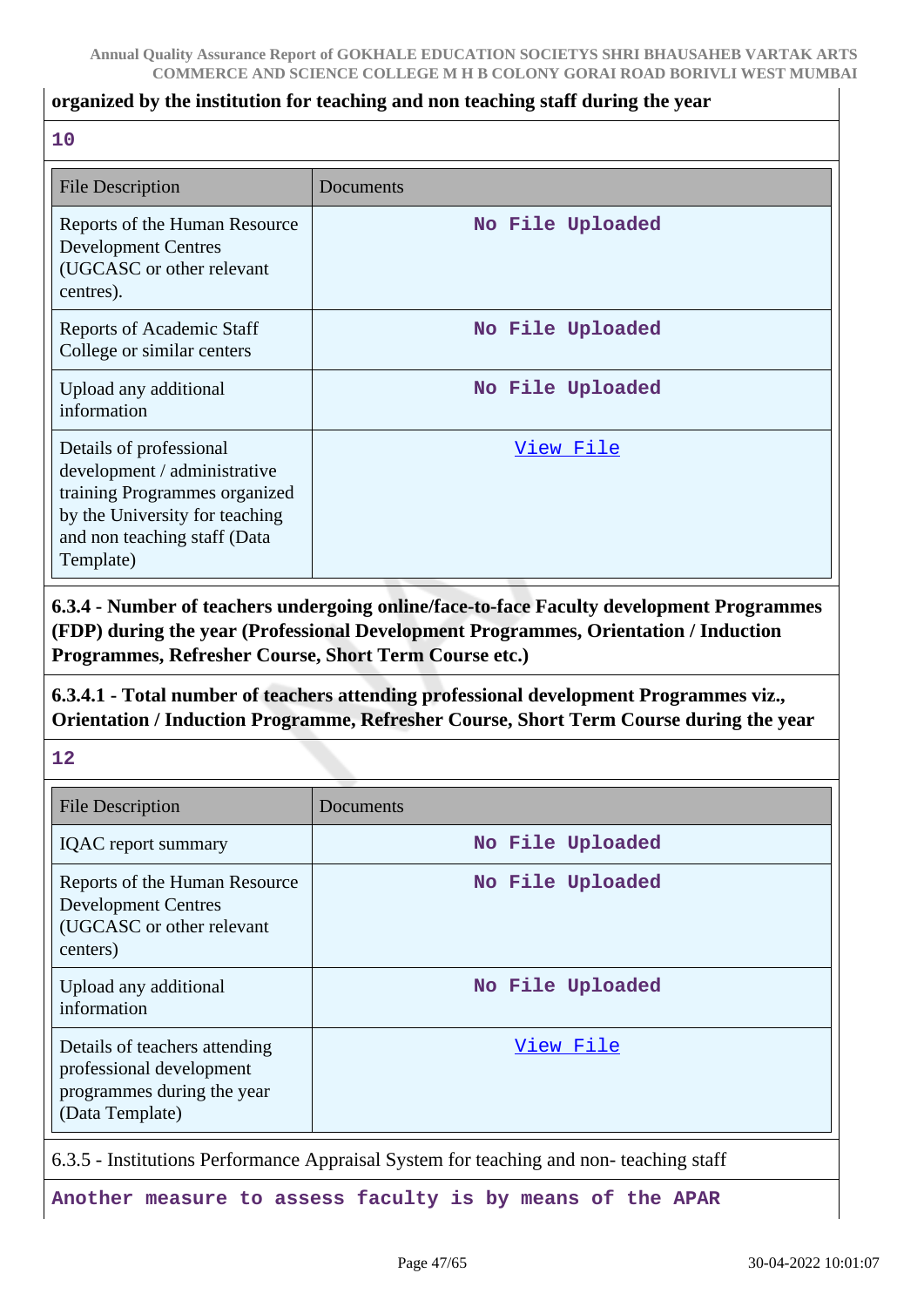#### **organized by the institution for teaching and non teaching staff during the year**

#### **10**

| <b>File Description</b>                                                                                                                                                 | Documents        |
|-------------------------------------------------------------------------------------------------------------------------------------------------------------------------|------------------|
| Reports of the Human Resource<br><b>Development Centres</b><br>(UGCASC or other relevant<br>centres).                                                                   | No File Uploaded |
| Reports of Academic Staff<br>College or similar centers                                                                                                                 | No File Uploaded |
| Upload any additional<br>information                                                                                                                                    | No File Uploaded |
| Details of professional<br>development / administrative<br>training Programmes organized<br>by the University for teaching<br>and non teaching staff (Data<br>Template) | View File        |

**6.3.4 - Number of teachers undergoing online/face-to-face Faculty development Programmes (FDP) during the year (Professional Development Programmes, Orientation / Induction Programmes, Refresher Course, Short Term Course etc.)**

**6.3.4.1 - Total number of teachers attending professional development Programmes viz., Orientation / Induction Programme, Refresher Course, Short Term Course during the year**

**12**

| <b>File Description</b>                                                                                    | Documents        |
|------------------------------------------------------------------------------------------------------------|------------------|
| <b>IQAC</b> report summary                                                                                 | No File Uploaded |
| Reports of the Human Resource<br><b>Development Centres</b><br>(UGCASC or other relevant<br>centers)       | No File Uploaded |
| Upload any additional<br>information                                                                       | No File Uploaded |
| Details of teachers attending<br>professional development<br>programmes during the year<br>(Data Template) | View File        |
|                                                                                                            |                  |

6.3.5 - Institutions Performance Appraisal System for teaching and non- teaching staff

**Another measure to assess faculty is by means of the APAR**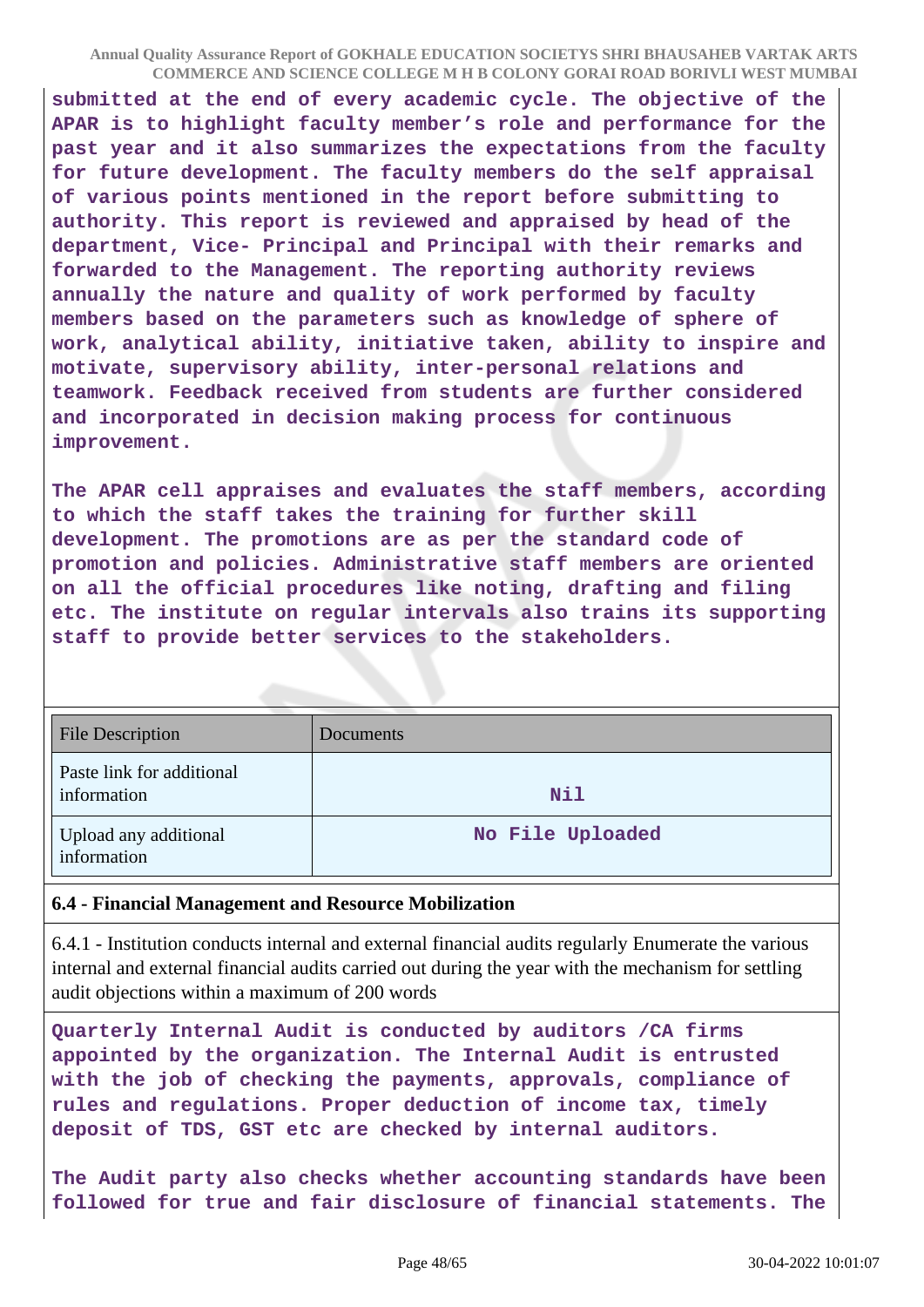**submitted at the end of every academic cycle. The objective of the APAR is to highlight faculty member's role and performance for the past year and it also summarizes the expectations from the faculty for future development. The faculty members do the self appraisal of various points mentioned in the report before submitting to authority. This report is reviewed and appraised by head of the department, Vice- Principal and Principal with their remarks and forwarded to the Management. The reporting authority reviews annually the nature and quality of work performed by faculty members based on the parameters such as knowledge of sphere of work, analytical ability, initiative taken, ability to inspire and motivate, supervisory ability, inter-personal relations and teamwork. Feedback received from students are further considered and incorporated in decision making process for continuous improvement.**

**The APAR cell appraises and evaluates the staff members, according to which the staff takes the training for further skill development. The promotions are as per the standard code of promotion and policies. Administrative staff members are oriented on all the official procedures like noting, drafting and filing etc. The institute on regular intervals also trains its supporting staff to provide better services to the stakeholders.**

| <b>File Description</b>                  | Documents        |
|------------------------------------------|------------------|
| Paste link for additional<br>information | <b>Nil</b>       |
| Upload any additional<br>information     | No File Uploaded |

### **6.4 - Financial Management and Resource Mobilization**

6.4.1 - Institution conducts internal and external financial audits regularly Enumerate the various internal and external financial audits carried out during the year with the mechanism for settling audit objections within a maximum of 200 words

**Quarterly Internal Audit is conducted by auditors /CA firms appointed by the organization. The Internal Audit is entrusted with the job of checking the payments, approvals, compliance of rules and regulations. Proper deduction of income tax, timely deposit of TDS, GST etc are checked by internal auditors.**

**The Audit party also checks whether accounting standards have been followed for true and fair disclosure of financial statements. The**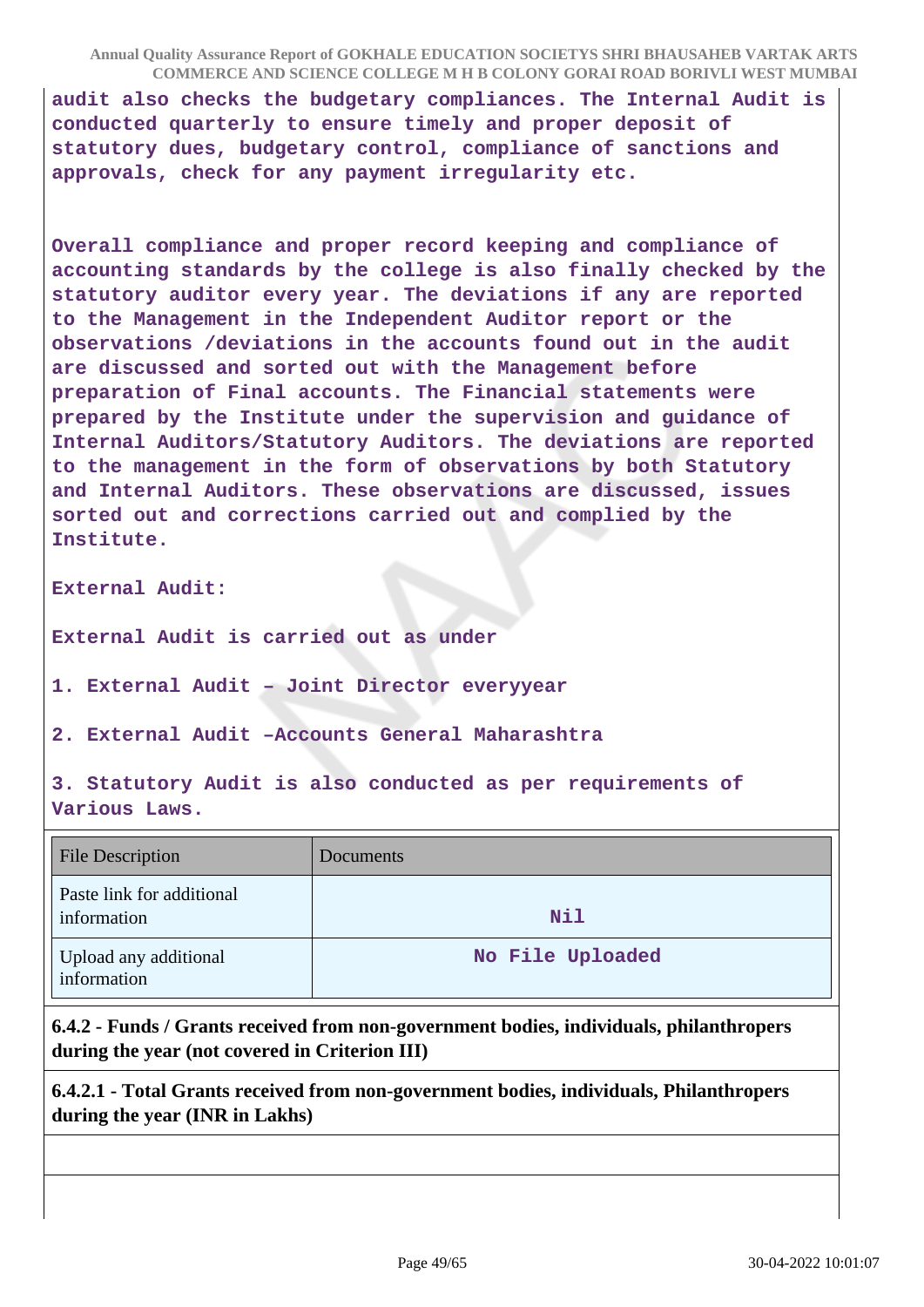**audit also checks the budgetary compliances. The Internal Audit is conducted quarterly to ensure timely and proper deposit of statutory dues, budgetary control, compliance of sanctions and approvals, check for any payment irregularity etc.**

**Overall compliance and proper record keeping and compliance of accounting standards by the college is also finally checked by the statutory auditor every year. The deviations if any are reported to the Management in the Independent Auditor report or the observations /deviations in the accounts found out in the audit are discussed and sorted out with the Management before preparation of Final accounts. The Financial statements were prepared by the Institute under the supervision and guidance of Internal Auditors/Statutory Auditors. The deviations are reported to the management in the form of observations by both Statutory and Internal Auditors. These observations are discussed, issues sorted out and corrections carried out and complied by the Institute.**

**External Audit:**

**External Audit is carried out as under**

**1. External Audit – Joint Director everyyear**

**2. External Audit –Accounts General Maharashtra**

**3. Statutory Audit is also conducted as per requirements of Various Laws.**

| <b>File Description</b>                  | Documents        |
|------------------------------------------|------------------|
| Paste link for additional<br>information | Nil              |
| Upload any additional<br>information     | No File Uploaded |

**6.4.2 - Funds / Grants received from non-government bodies, individuals, philanthropers during the year (not covered in Criterion III)**

**6.4.2.1 - Total Grants received from non-government bodies, individuals, Philanthropers during the year (INR in Lakhs)**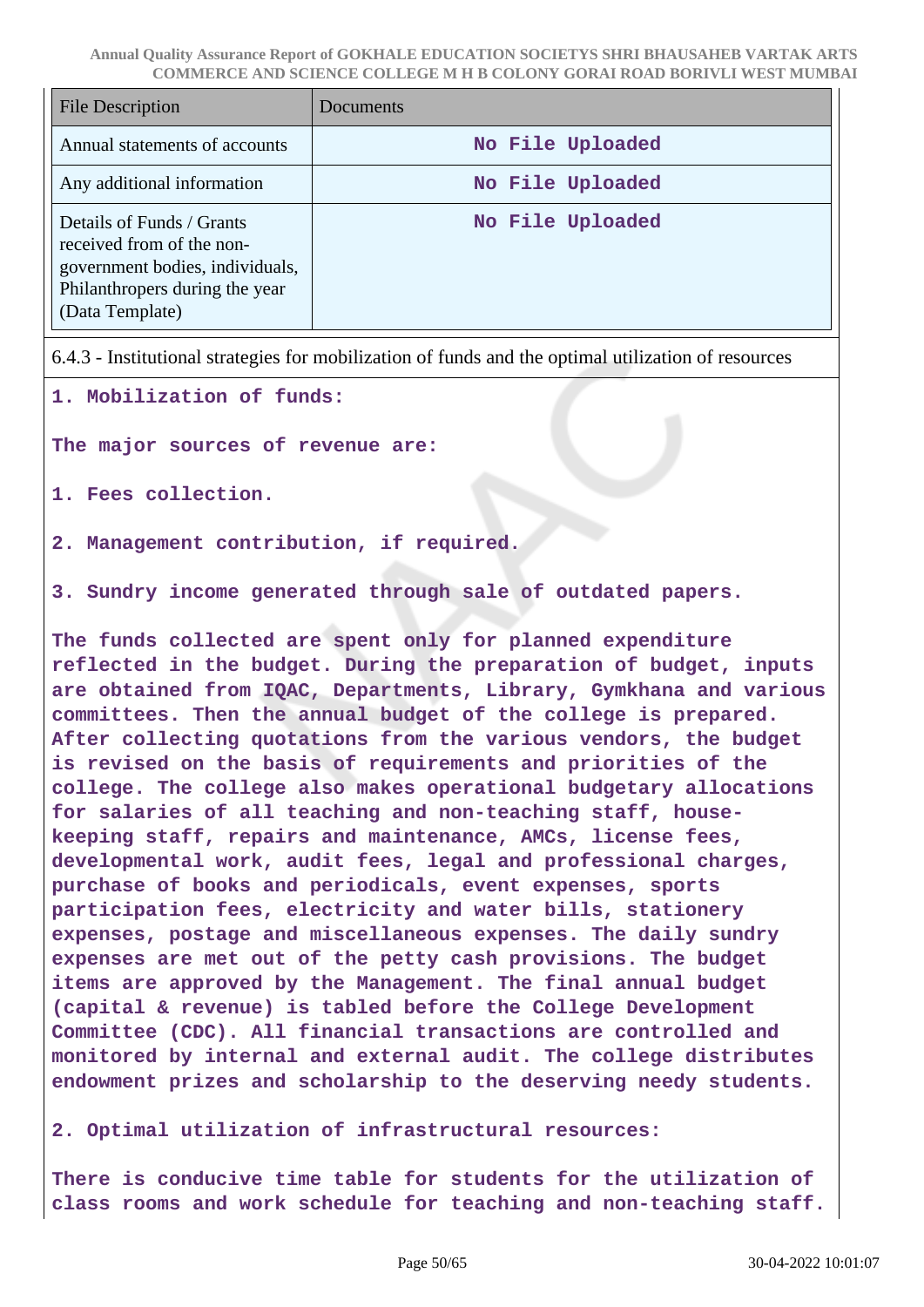| File Description                                                                                                                               | Documents        |
|------------------------------------------------------------------------------------------------------------------------------------------------|------------------|
| Annual statements of accounts                                                                                                                  | No File Uploaded |
| Any additional information                                                                                                                     | No File Uploaded |
| Details of Funds / Grants<br>received from of the non-<br>government bodies, individuals,<br>Philanthropers during the year<br>(Data Template) | No File Uploaded |

6.4.3 - Institutional strategies for mobilization of funds and the optimal utilization of resources

**1. Mobilization of funds:**

**The major sources of revenue are:**

**1. Fees collection.**

**2. Management contribution, if required.**

**3. Sundry income generated through sale of outdated papers.**

**The funds collected are spent only for planned expenditure reflected in the budget. During the preparation of budget, inputs are obtained from IQAC, Departments, Library, Gymkhana and various committees. Then the annual budget of the college is prepared. After collecting quotations from the various vendors, the budget is revised on the basis of requirements and priorities of the college. The college also makes operational budgetary allocations for salaries of all teaching and non-teaching staff, housekeeping staff, repairs and maintenance, AMCs, license fees, developmental work, audit fees, legal and professional charges, purchase of books and periodicals, event expenses, sports participation fees, electricity and water bills, stationery expenses, postage and miscellaneous expenses. The daily sundry expenses are met out of the petty cash provisions. The budget items are approved by the Management. The final annual budget (capital & revenue) is tabled before the College Development Committee (CDC). All financial transactions are controlled and monitored by internal and external audit. The college distributes endowment prizes and scholarship to the deserving needy students.**

#### **2. Optimal utilization of infrastructural resources:**

**There is conducive time table for students for the utilization of class rooms and work schedule for teaching and non-teaching staff.**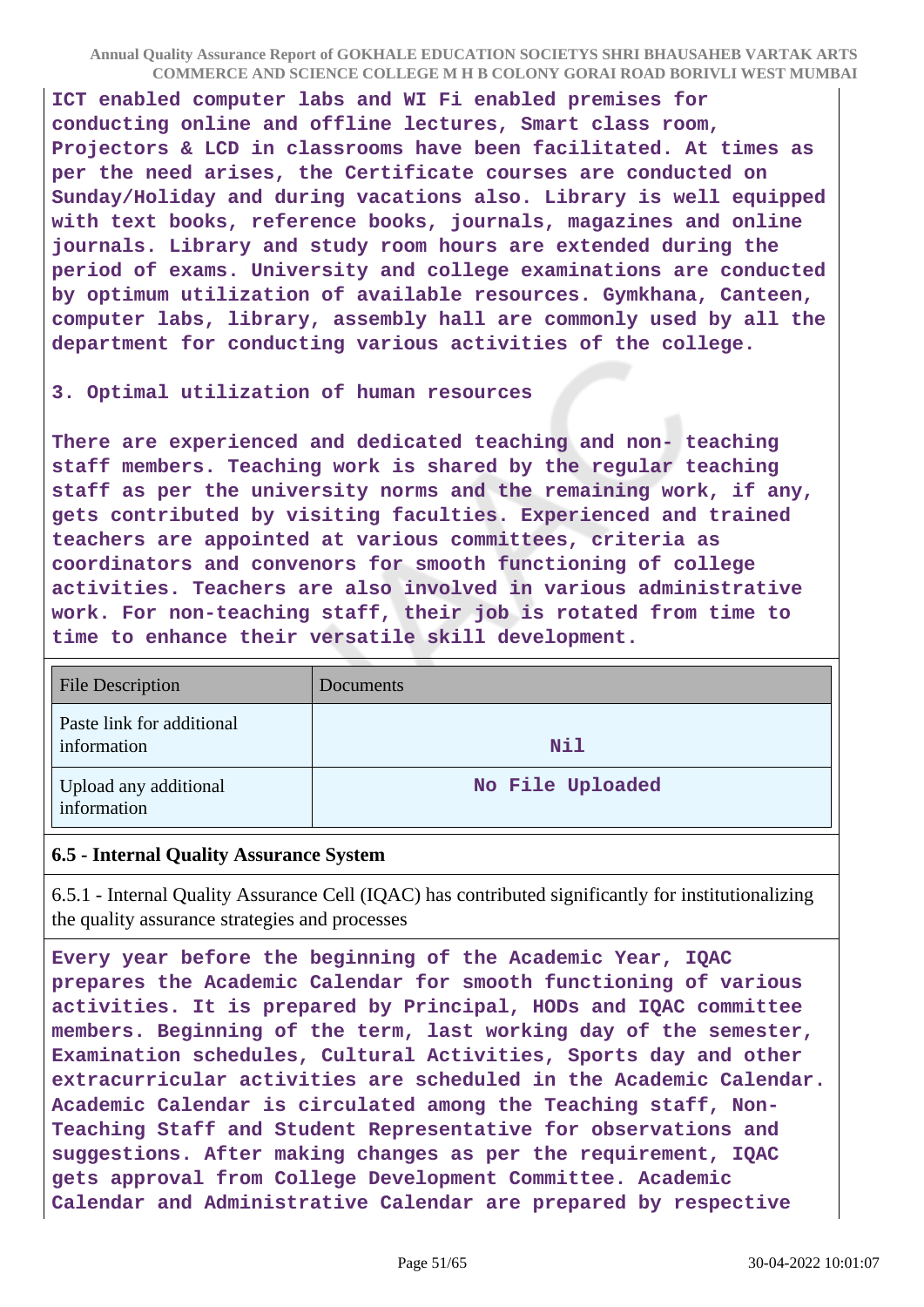**ICT enabled computer labs and WI Fi enabled premises for conducting online and offline lectures, Smart class room, Projectors & LCD in classrooms have been facilitated. At times as per the need arises, the Certificate courses are conducted on Sunday/Holiday and during vacations also. Library is well equipped with text books, reference books, journals, magazines and online journals. Library and study room hours are extended during the period of exams. University and college examinations are conducted by optimum utilization of available resources. Gymkhana, Canteen, computer labs, library, assembly hall are commonly used by all the department for conducting various activities of the college.**

#### **3. Optimal utilization of human resources**

**There are experienced and dedicated teaching and non- teaching staff members. Teaching work is shared by the regular teaching staff as per the university norms and the remaining work, if any, gets contributed by visiting faculties. Experienced and trained teachers are appointed at various committees, criteria as coordinators and convenors for smooth functioning of college activities. Teachers are also involved in various administrative work. For non-teaching staff, their job is rotated from time to time to enhance their versatile skill development.** 

| <b>File Description</b>                  | Documents        |
|------------------------------------------|------------------|
| Paste link for additional<br>information | <b>Nil</b>       |
| Upload any additional<br>information     | No File Uploaded |

#### **6.5 - Internal Quality Assurance System**

6.5.1 - Internal Quality Assurance Cell (IQAC) has contributed significantly for institutionalizing the quality assurance strategies and processes

**Every year before the beginning of the Academic Year, IQAC prepares the Academic Calendar for smooth functioning of various activities. It is prepared by Principal, HODs and IQAC committee members. Beginning of the term, last working day of the semester, Examination schedules, Cultural Activities, Sports day and other extracurricular activities are scheduled in the Academic Calendar. Academic Calendar is circulated among the Teaching staff, Non-Teaching Staff and Student Representative for observations and suggestions. After making changes as per the requirement, IQAC gets approval from College Development Committee. Academic Calendar and Administrative Calendar are prepared by respective**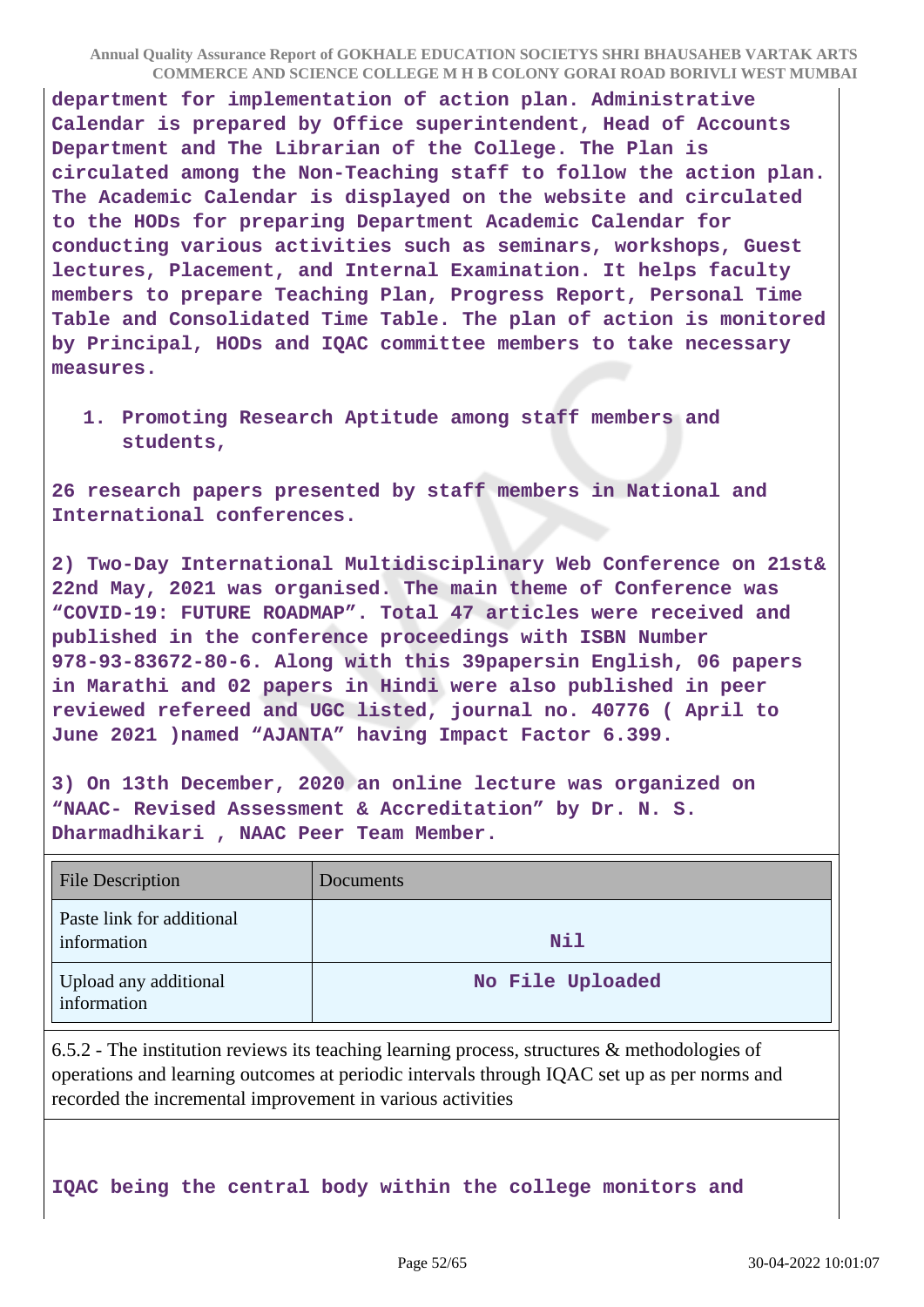**department for implementation of action plan. Administrative Calendar is prepared by Office superintendent, Head of Accounts Department and The Librarian of the College. The Plan is circulated among the Non-Teaching staff to follow the action plan. The Academic Calendar is displayed on the website and circulated to the HODs for preparing Department Academic Calendar for conducting various activities such as seminars, workshops, Guest lectures, Placement, and Internal Examination. It helps faculty members to prepare Teaching Plan, Progress Report, Personal Time Table and Consolidated Time Table. The plan of action is monitored by Principal, HODs and IQAC committee members to take necessary measures.**

**1. Promoting Research Aptitude among staff members and students,**

**26 research papers presented by staff members in National and International conferences.**

**2) Two-Day International Multidisciplinary Web Conference on 21st& 22nd May, 2021 was organised. The main theme of Conference was "COVID-19: FUTURE ROADMAP". Total 47 articles were received and published in the conference proceedings with ISBN Number 978-93-83672-80-6. Along with this 39papersin English, 06 papers in Marathi and 02 papers in Hindi were also published in peer reviewed refereed and UGC listed, journal no. 40776 ( April to June 2021 )named "AJANTA" having Impact Factor 6.399.**

**3) On 13th December, 2020 an online lecture was organized on "NAAC- Revised Assessment & Accreditation" by Dr. N. S. Dharmadhikari , NAAC Peer Team Member.**

| <b>File Description</b>                  | Documents        |
|------------------------------------------|------------------|
| Paste link for additional<br>information | <b>Nil</b>       |
| Upload any additional<br>information     | No File Uploaded |

6.5.2 - The institution reviews its teaching learning process, structures & methodologies of operations and learning outcomes at periodic intervals through IQAC set up as per norms and recorded the incremental improvement in various activities

**IQAC being the central body within the college monitors and**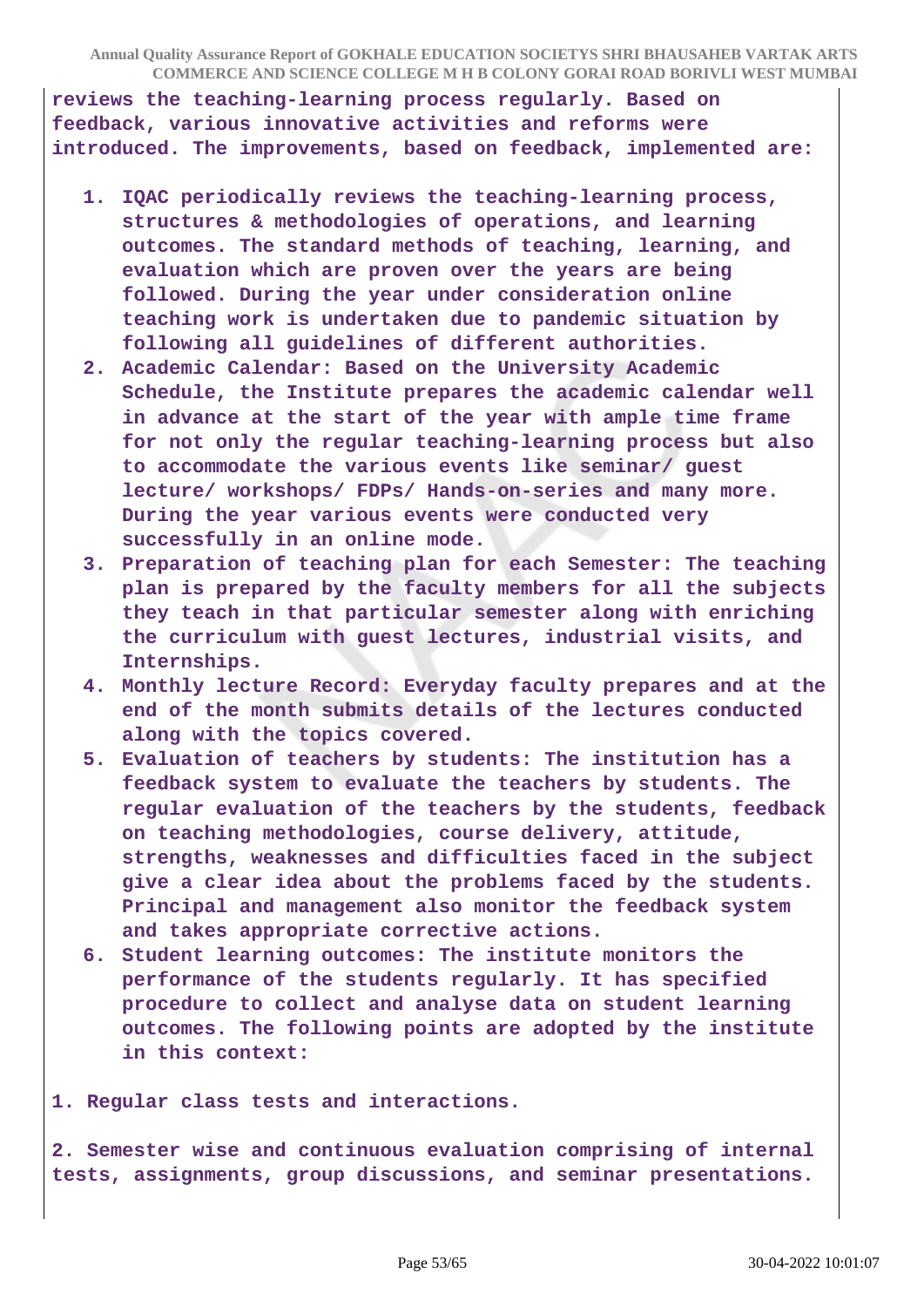**reviews the teaching-learning process regularly. Based on feedback, various innovative activities and reforms were introduced. The improvements, based on feedback, implemented are:**

- **1. IQAC periodically reviews the teaching-learning process, structures & methodologies of operations, and learning outcomes. The standard methods of teaching, learning, and evaluation which are proven over the years are being followed. During the year under consideration online teaching work is undertaken due to pandemic situation by following all guidelines of different authorities.**
- **2. Academic Calendar: Based on the University Academic Schedule, the Institute prepares the academic calendar well in advance at the start of the year with ample time frame for not only the regular teaching-learning process but also to accommodate the various events like seminar/ guest lecture/ workshops/ FDPs/ Hands-on-series and many more. During the year various events were conducted very successfully in an online mode.**
- **3. Preparation of teaching plan for each Semester: The teaching plan is prepared by the faculty members for all the subjects they teach in that particular semester along with enriching the curriculum with guest lectures, industrial visits, and Internships.**
- **4. Monthly lecture Record: Everyday faculty prepares and at the end of the month submits details of the lectures conducted along with the topics covered.**
- **5. Evaluation of teachers by students: The institution has a feedback system to evaluate the teachers by students. The regular evaluation of the teachers by the students, feedback on teaching methodologies, course delivery, attitude, strengths, weaknesses and difficulties faced in the subject give a clear idea about the problems faced by the students. Principal and management also monitor the feedback system and takes appropriate corrective actions.**
- **6. Student learning outcomes: The institute monitors the performance of the students regularly. It has specified procedure to collect and analyse data on student learning outcomes. The following points are adopted by the institute in this context:**

**1. Regular class tests and interactions.**

**2. Semester wise and continuous evaluation comprising of internal tests, assignments, group discussions, and seminar presentations.**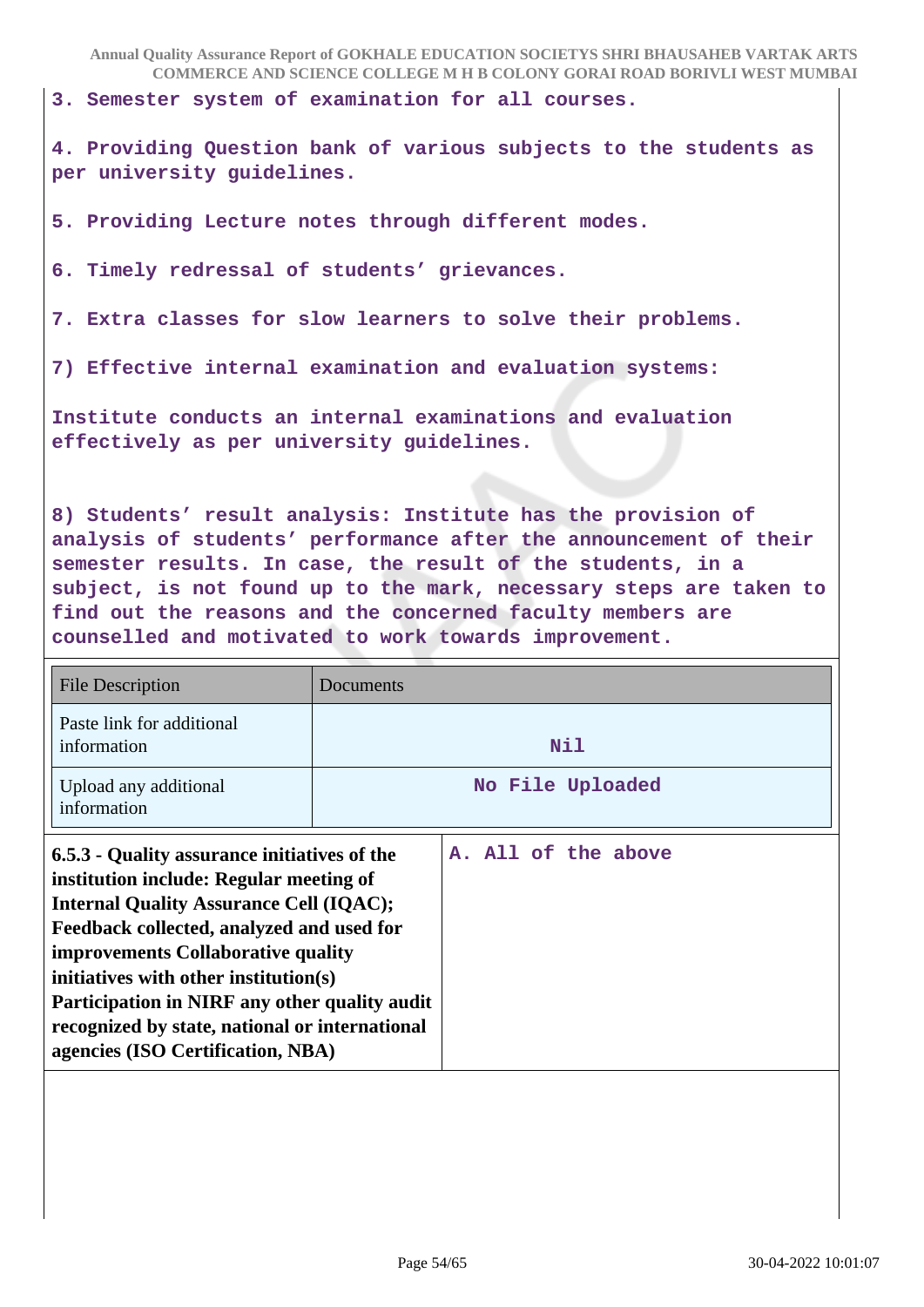**3. Semester system of examination for all courses.**

**4. Providing Question bank of various subjects to the students as per university guidelines.**

**5. Providing Lecture notes through different modes.**

**6. Timely redressal of students' grievances.**

**7. Extra classes for slow learners to solve their problems.**

**7) Effective internal examination and evaluation systems:** 

**Institute conducts an internal examinations and evaluation effectively as per university guidelines.**

**8) Students' result analysis: Institute has the provision of analysis of students' performance after the announcement of their semester results. In case, the result of the students, in a subject, is not found up to the mark, necessary steps are taken to find out the reasons and the concerned faculty members are counselled and motivated to work towards improvement.**

| <b>File Description</b>                                                                                                                                                                                                                                                                                                                                                                                       | Documents |                     |
|---------------------------------------------------------------------------------------------------------------------------------------------------------------------------------------------------------------------------------------------------------------------------------------------------------------------------------------------------------------------------------------------------------------|-----------|---------------------|
| Paste link for additional<br>information                                                                                                                                                                                                                                                                                                                                                                      |           | Nil                 |
| Upload any additional<br>information                                                                                                                                                                                                                                                                                                                                                                          |           | No File Uploaded    |
| 6.5.3 - Quality assurance initiatives of the<br>institution include: Regular meeting of<br><b>Internal Quality Assurance Cell (IQAC);</b><br>Feedback collected, analyzed and used for<br>improvements Collaborative quality<br>initiatives with other institution(s)<br>Participation in NIRF any other quality audit<br>recognized by state, national or international<br>agencies (ISO Certification, NBA) |           | A. All of the above |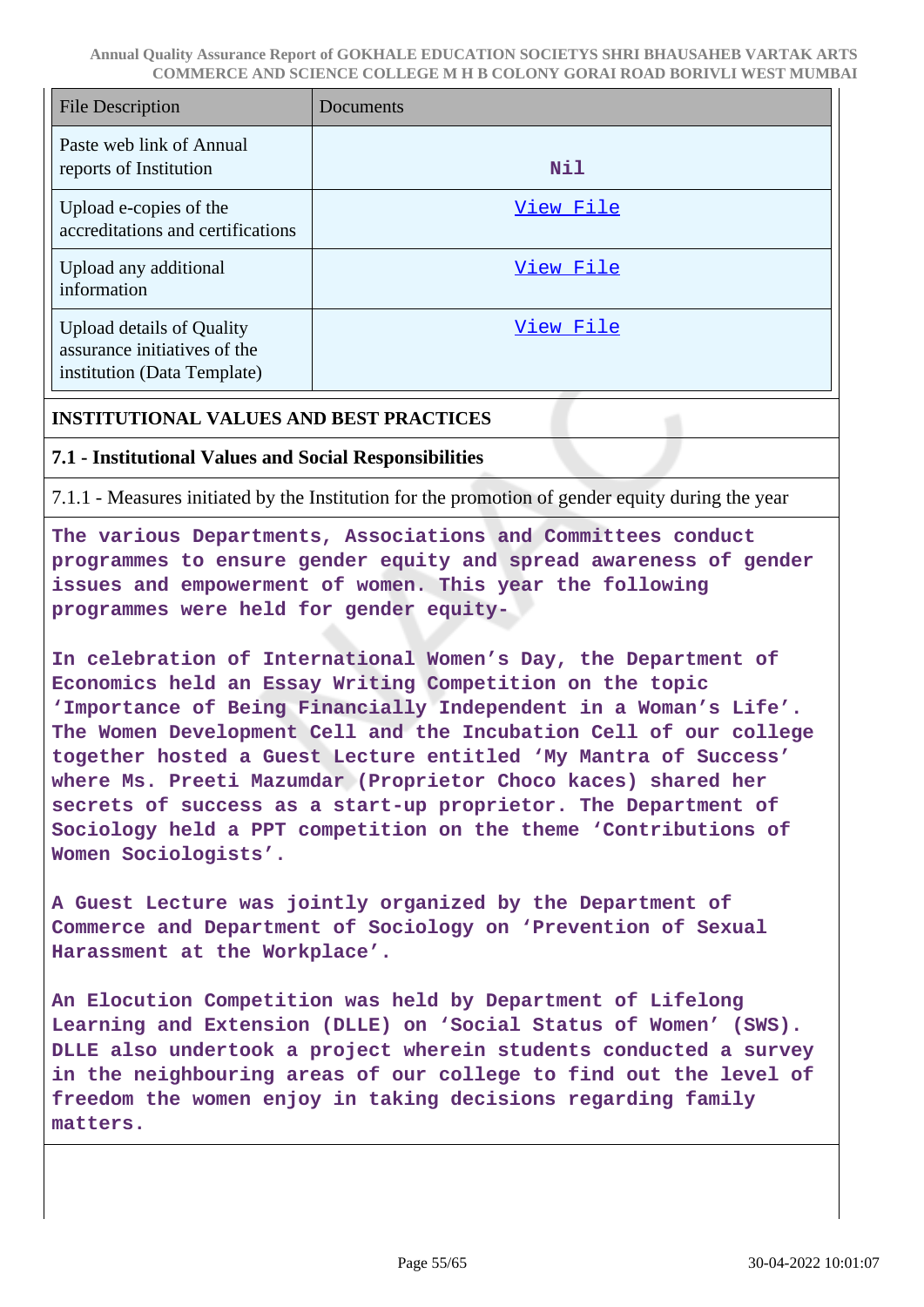| <b>File Description</b>                                                                         | Documents  |
|-------------------------------------------------------------------------------------------------|------------|
| Paste web link of Annual<br>reports of Institution                                              | <b>Nil</b> |
| Upload e-copies of the<br>accreditations and certifications                                     | View File  |
| Upload any additional<br>information                                                            | View File  |
| <b>Upload details of Quality</b><br>assurance initiatives of the<br>institution (Data Template) | View File  |

#### **INSTITUTIONAL VALUES AND BEST PRACTICES**

#### **7.1 - Institutional Values and Social Responsibilities**

7.1.1 - Measures initiated by the Institution for the promotion of gender equity during the year

**The various Departments, Associations and Committees conduct programmes to ensure gender equity and spread awareness of gender issues and empowerment of women. This year the following programmes were held for gender equity-**

**In celebration of International Women's Day, the Department of Economics held an Essay Writing Competition on the topic 'Importance of Being Financially Independent in a Woman's Life'. The Women Development Cell and the Incubation Cell of our college together hosted a Guest Lecture entitled 'My Mantra of Success' where Ms. Preeti Mazumdar (Proprietor Choco kaces) shared her secrets of success as a start-up proprietor. The Department of Sociology held a PPT competition on the theme 'Contributions of Women Sociologists'.**

**A Guest Lecture was jointly organized by the Department of Commerce and Department of Sociology on 'Prevention of Sexual Harassment at the Workplace'.**

**An Elocution Competition was held by Department of Lifelong Learning and Extension (DLLE) on 'Social Status of Women' (SWS). DLLE also undertook a project wherein students conducted a survey in the neighbouring areas of our college to find out the level of freedom the women enjoy in taking decisions regarding family matters.**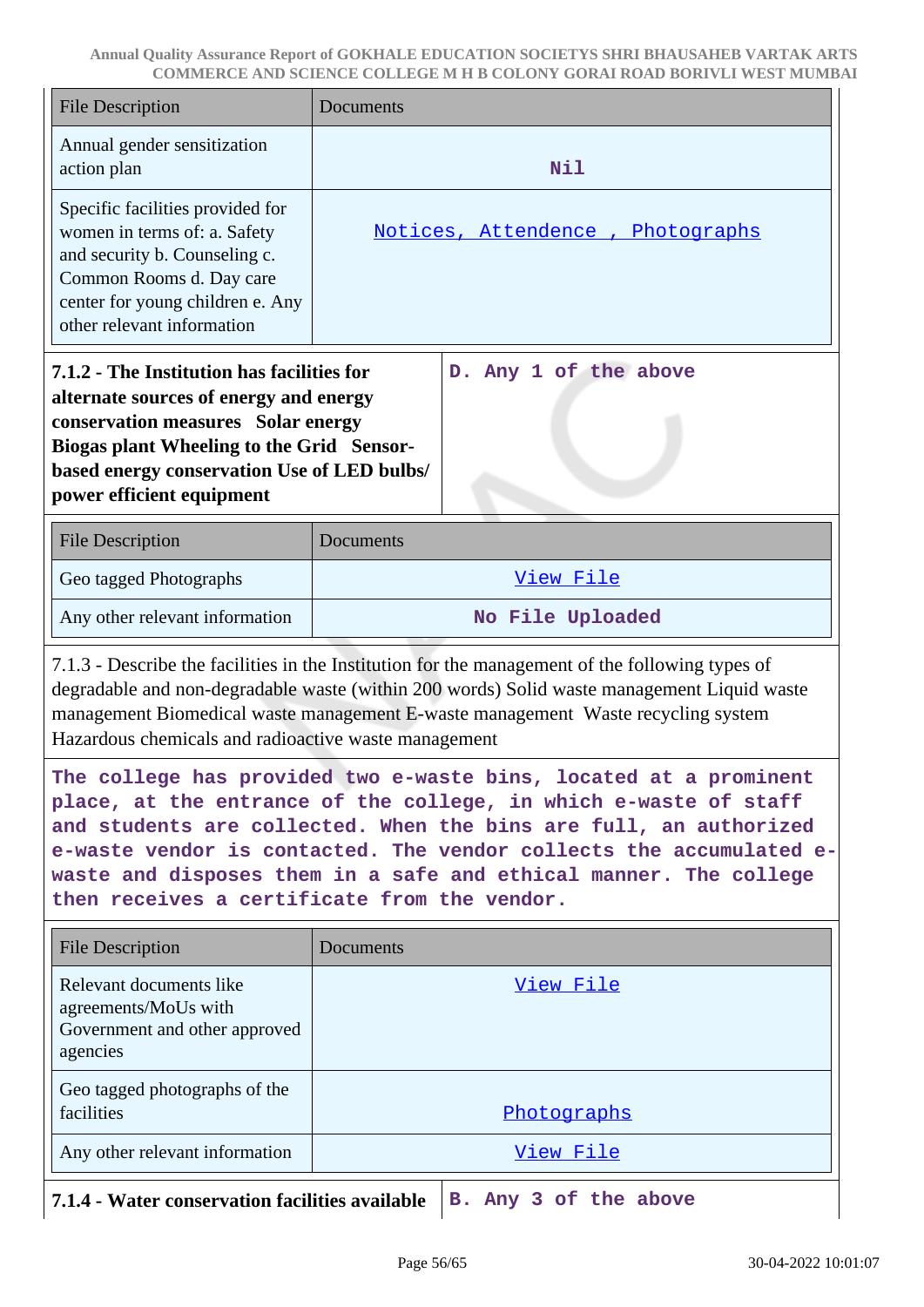| <b>File Description</b>                                                                                                                                                                                                                                                                                                                                                                                | Documents                        |  |  |  |
|--------------------------------------------------------------------------------------------------------------------------------------------------------------------------------------------------------------------------------------------------------------------------------------------------------------------------------------------------------------------------------------------------------|----------------------------------|--|--|--|
| Annual gender sensitization<br>action plan                                                                                                                                                                                                                                                                                                                                                             | <b>Nil</b>                       |  |  |  |
| Specific facilities provided for<br>women in terms of: a. Safety<br>and security b. Counseling c.<br>Common Rooms d. Day care<br>center for young children e. Any<br>other relevant information                                                                                                                                                                                                        | Notices, Attendence, Photographs |  |  |  |
| D. Any 1 of the above<br>7.1.2 - The Institution has facilities for<br>alternate sources of energy and energy<br>conservation measures Solar energy<br>Biogas plant Wheeling to the Grid Sensor-<br>based energy conservation Use of LED bulbs/<br>power efficient equipment                                                                                                                           |                                  |  |  |  |
| <b>File Description</b>                                                                                                                                                                                                                                                                                                                                                                                | Documents                        |  |  |  |
| Geo tagged Photographs                                                                                                                                                                                                                                                                                                                                                                                 | View File                        |  |  |  |
| Any other relevant information                                                                                                                                                                                                                                                                                                                                                                         | No File Uploaded                 |  |  |  |
| 7.1.3 - Describe the facilities in the Institution for the management of the following types of<br>degradable and non-degradable waste (within 200 words) Solid waste management Liquid waste<br>management Biomedical waste management E-waste management Waste recycling system<br>Hazardous chemicals and radioactive waste management                                                              |                                  |  |  |  |
| The college has provided two e-waste bins, located at a prominent<br>place, at the entrance of the college, in which e-waste of staff<br>and students are collected. When the bins are full, an authorized<br>e-waste vendor is contacted. The vendor collects the accumulated e-<br>waste and disposes them in a safe and ethical manner. The college<br>then receives a certificate from the vendor. |                                  |  |  |  |
| <b>File Description</b>                                                                                                                                                                                                                                                                                                                                                                                | Documents                        |  |  |  |
| Relevant documents like<br>agreements/MoUs with<br>Government and other approved<br>agencies                                                                                                                                                                                                                                                                                                           | <u>View File</u>                 |  |  |  |
| Geo tagged photographs of the<br>facilities                                                                                                                                                                                                                                                                                                                                                            | Photographs                      |  |  |  |
| Any other relevant information                                                                                                                                                                                                                                                                                                                                                                         | View File                        |  |  |  |
| 7.1.4 - Water conservation facilities available<br>B. Any 3 of the above                                                                                                                                                                                                                                                                                                                               |                                  |  |  |  |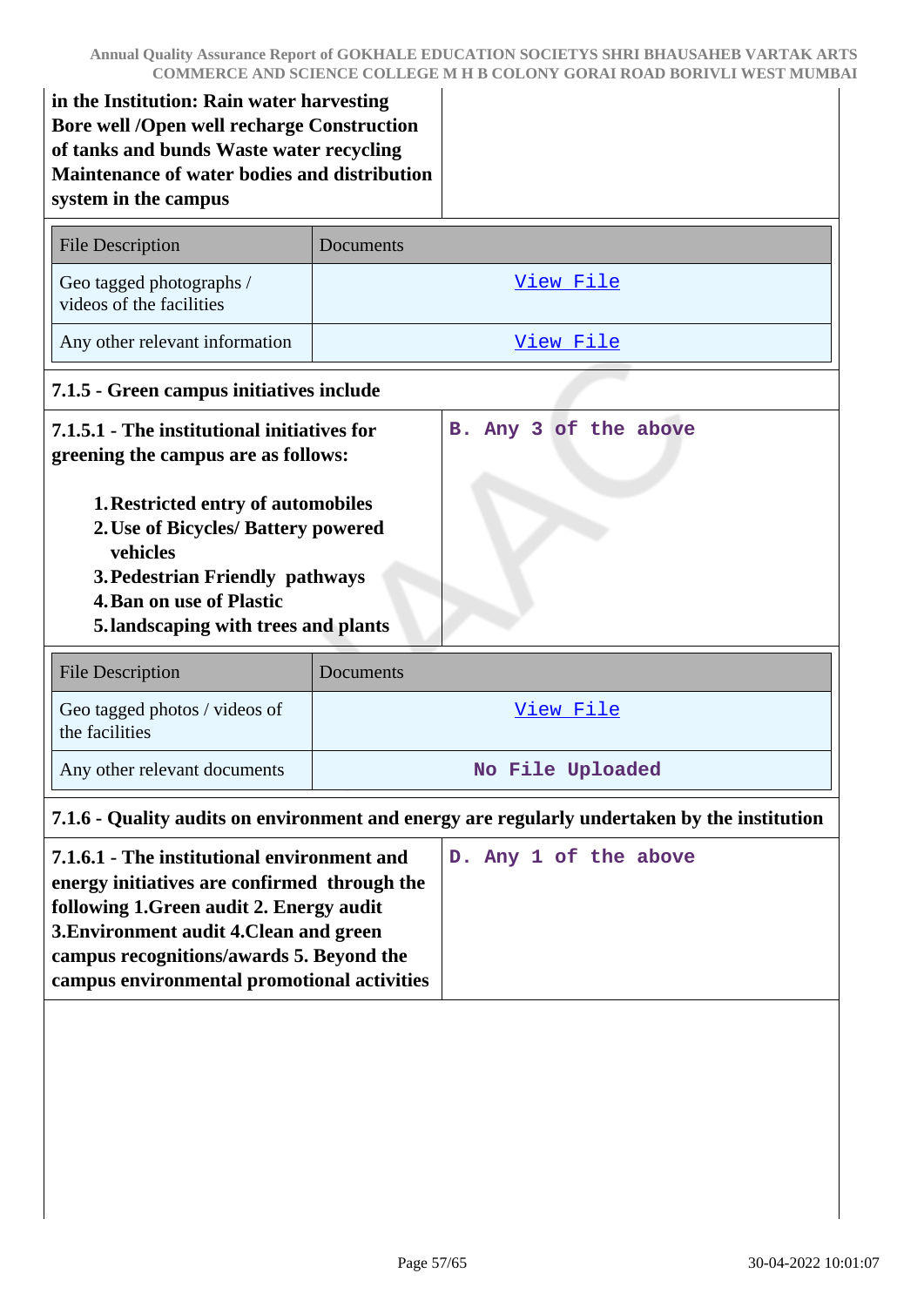**in the Institution: Rain water harvesting Bore well /Open well recharge Construction of tanks and bunds Waste water recycling Maintenance of water bodies and distribution system in the campus**

| <b>File Description</b>                                                                                                                                                                                     | Documents        |  |  |
|-------------------------------------------------------------------------------------------------------------------------------------------------------------------------------------------------------------|------------------|--|--|
| Geo tagged photographs /<br>videos of the facilities                                                                                                                                                        | View File        |  |  |
| Any other relevant information                                                                                                                                                                              | View File        |  |  |
| 7.1.5 - Green campus initiatives include                                                                                                                                                                    |                  |  |  |
| B. Any 3 of the above<br>7.1.5.1 - The institutional initiatives for<br>greening the campus are as follows:<br><b>1. Restricted entry of automobiles</b><br>2. Use of Bicycles/ Battery powered<br>vehicles |                  |  |  |
| <b>3. Pedestrian Friendly pathways</b>                                                                                                                                                                      |                  |  |  |
| <b>4. Ban on use of Plastic</b>                                                                                                                                                                             |                  |  |  |
| 5. landscaping with trees and plants                                                                                                                                                                        |                  |  |  |
| <b>File Description</b>                                                                                                                                                                                     | Documents        |  |  |
| Geo tagged photos / videos of<br>the facilities                                                                                                                                                             | View File        |  |  |
| Any other relevant documents                                                                                                                                                                                | No File Uploaded |  |  |
| 7.1.6 - Quality audits on environment and energy are regularly undertaken by the institution                                                                                                                |                  |  |  |
|                                                                                                                                                                                                             |                  |  |  |

| 7.1.6.1 - The institutional environment and  |  |  | D. Any 1 of the above |
|----------------------------------------------|--|--|-----------------------|
| energy initiatives are confirmed through the |  |  |                       |
| following 1. Green audit 2. Energy audit     |  |  |                       |
| 3. Environment audit 4. Clean and green      |  |  |                       |
| campus recognitions/awards 5. Beyond the     |  |  |                       |
| campus environmental promotional activities  |  |  |                       |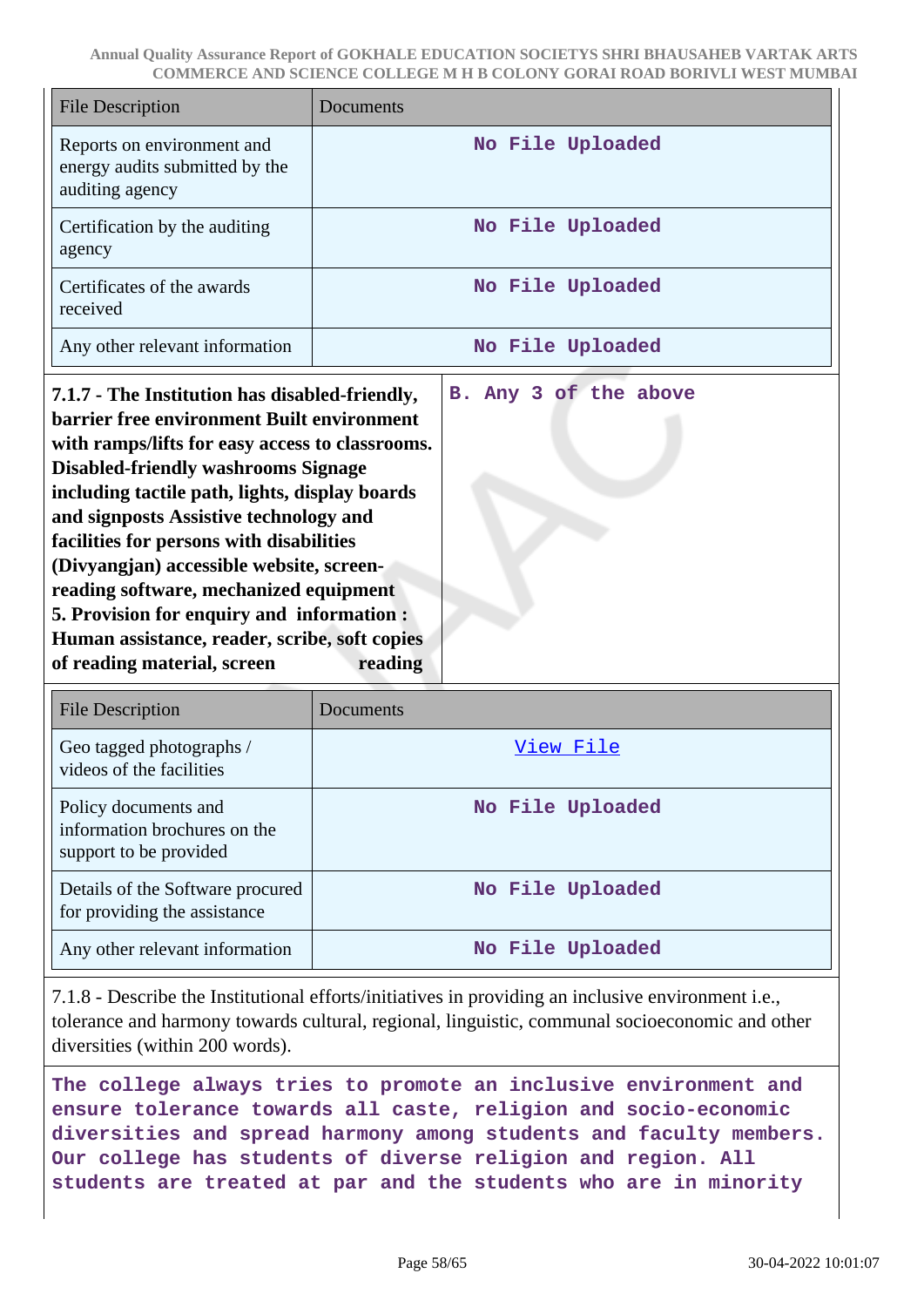| File Description                                                                | Documents        |
|---------------------------------------------------------------------------------|------------------|
| Reports on environment and<br>energy audits submitted by the<br>auditing agency | No File Uploaded |
| Certification by the auditing<br>agency                                         | No File Uploaded |
| Certificates of the awards<br>received                                          | No File Uploaded |
| Any other relevant information                                                  | No File Uploaded |

**7.1.7 - The Institution has disabled-friendly, barrier free environment Built environment with ramps/lifts for easy access to classrooms. Disabled-friendly washrooms Signage including tactile path, lights, display boards and signposts Assistive technology and facilities for persons with disabilities (Divyangjan) accessible website, screenreading software, mechanized equipment 5. Provision for enquiry and information : Human assistance, reader, scribe, soft copies of reading material, screen reading B. Any 3 of the above**

| File Description                                                               | Documents        |
|--------------------------------------------------------------------------------|------------------|
| Geo tagged photographs /<br>videos of the facilities                           | View File        |
| Policy documents and<br>information brochures on the<br>support to be provided | No File Uploaded |
| Details of the Software procured<br>for providing the assistance               | No File Uploaded |
| Any other relevant information                                                 | No File Uploaded |

7.1.8 - Describe the Institutional efforts/initiatives in providing an inclusive environment i.e., tolerance and harmony towards cultural, regional, linguistic, communal socioeconomic and other diversities (within 200 words).

**The college always tries to promote an inclusive environment and ensure tolerance towards all caste, religion and socio-economic diversities and spread harmony among students and faculty members. Our college has students of diverse religion and region. All students are treated at par and the students who are in minority**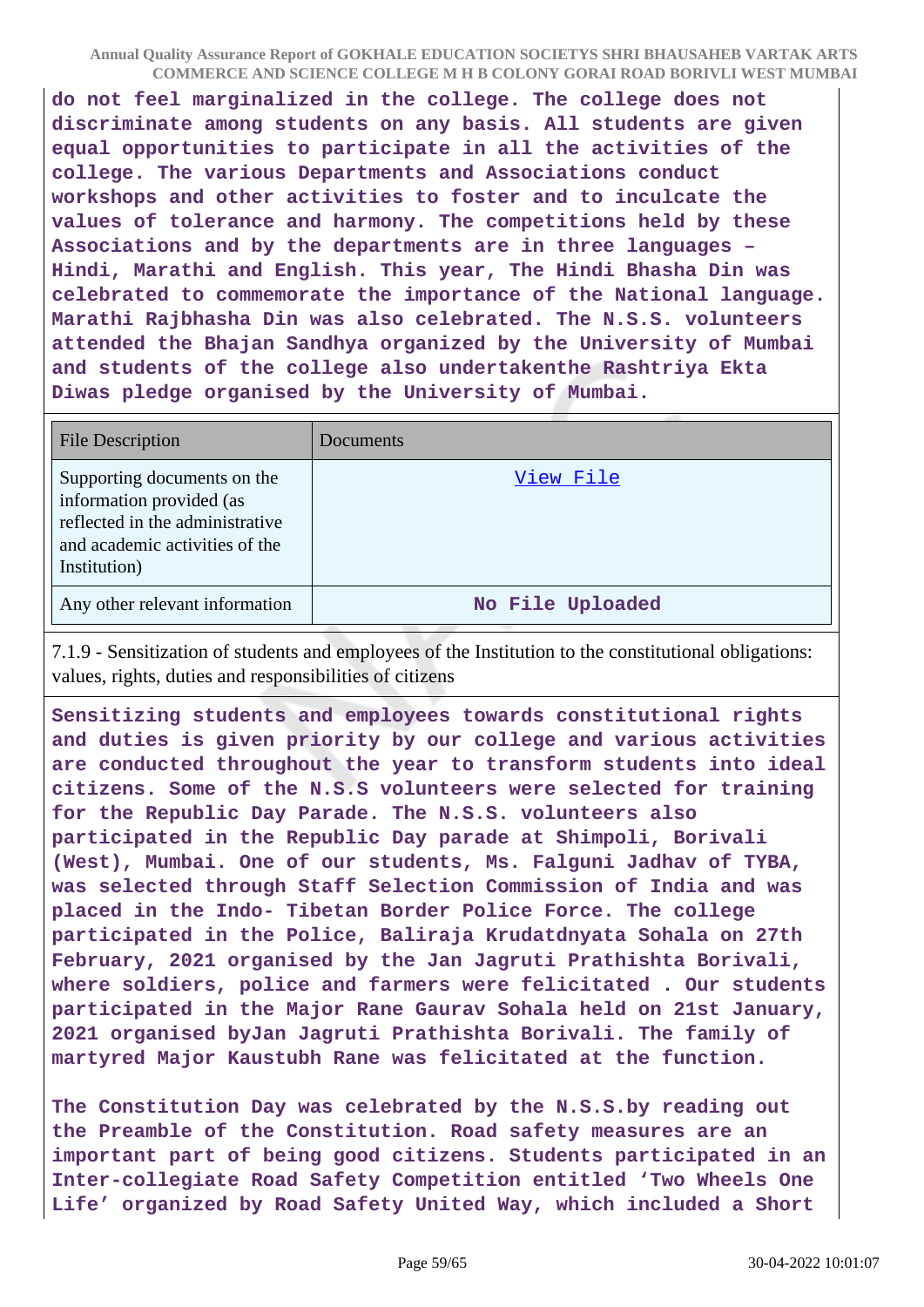**do not feel marginalized in the college. The college does not discriminate among students on any basis. All students are given equal opportunities to participate in all the activities of the college. The various Departments and Associations conduct workshops and other activities to foster and to inculcate the values of tolerance and harmony. The competitions held by these Associations and by the departments are in three languages – Hindi, Marathi and English. This year, The Hindi Bhasha Din was celebrated to commemorate the importance of the National language. Marathi Rajbhasha Din was also celebrated. The N.S.S. volunteers attended the Bhajan Sandhya organized by the University of Mumbai and students of the college also undertakenthe Rashtriya Ekta Diwas pledge organised by the University of Mumbai.**

| <b>File Description</b>                                                                                                                      | <b>Documents</b> |
|----------------------------------------------------------------------------------------------------------------------------------------------|------------------|
| Supporting documents on the<br>information provided (as<br>reflected in the administrative<br>and academic activities of the<br>Institution) | View File        |
| Any other relevant information                                                                                                               | No File Uploaded |

7.1.9 - Sensitization of students and employees of the Institution to the constitutional obligations: values, rights, duties and responsibilities of citizens

**Sensitizing students and employees towards constitutional rights and duties is given priority by our college and various activities are conducted throughout the year to transform students into ideal citizens. Some of the N.S.S volunteers were selected for training for the Republic Day Parade. The N.S.S. volunteers also participated in the Republic Day parade at Shimpoli, Borivali (West), Mumbai. One of our students, Ms. Falguni Jadhav of TYBA, was selected through Staff Selection Commission of India and was placed in the Indo- Tibetan Border Police Force. The college participated in the Police, Baliraja Krudatdnyata Sohala on 27th February, 2021 organised by the Jan Jagruti Prathishta Borivali, where soldiers, police and farmers were felicitated . Our students participated in the Major Rane Gaurav Sohala held on 21st January, 2021 organised byJan Jagruti Prathishta Borivali. The family of martyred Major Kaustubh Rane was felicitated at the function.**

**The Constitution Day was celebrated by the N.S.S.by reading out the Preamble of the Constitution. Road safety measures are an important part of being good citizens. Students participated in an Inter-collegiate Road Safety Competition entitled 'Two Wheels One Life' organized by Road Safety United Way, which included a Short**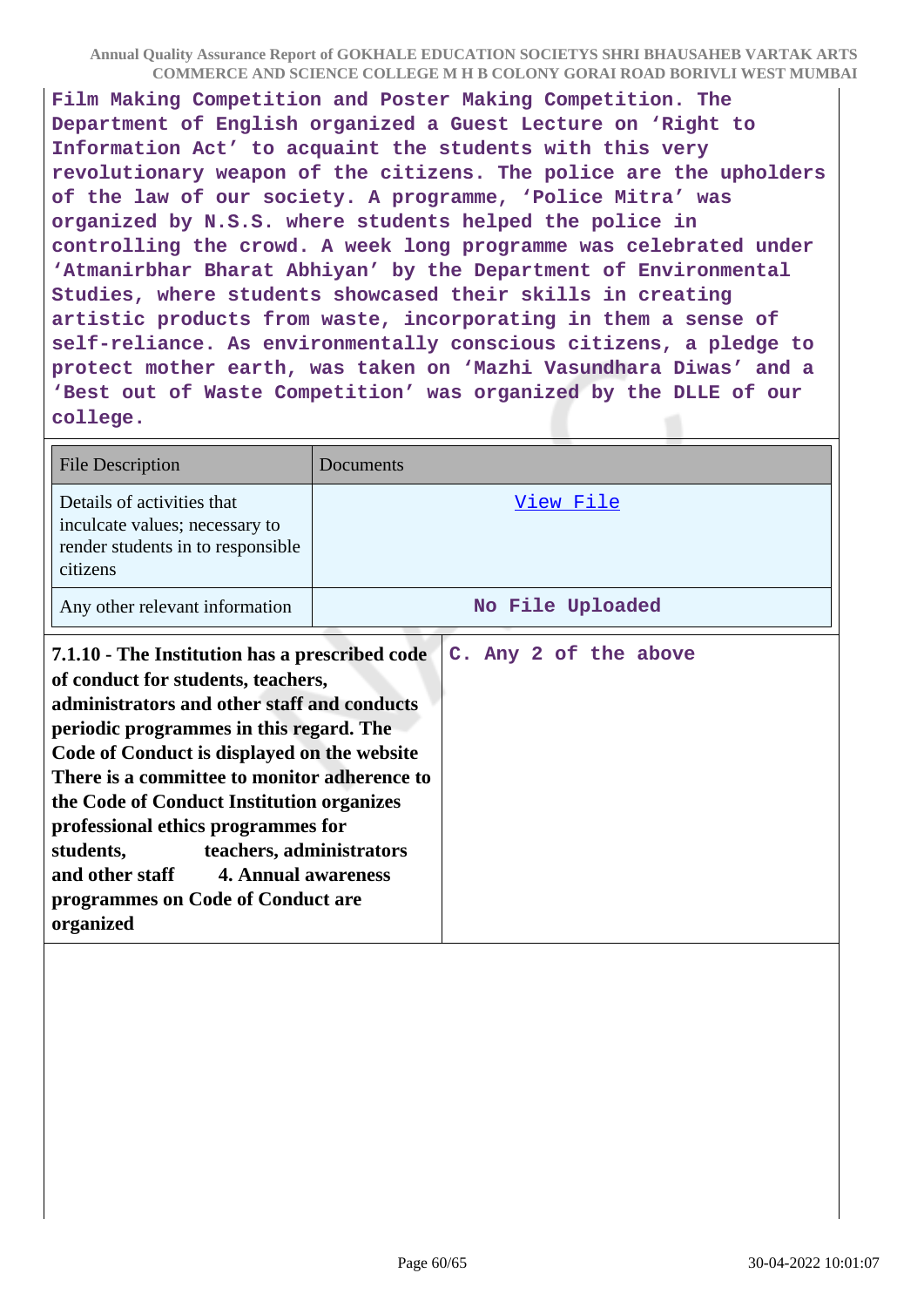**Film Making Competition and Poster Making Competition. The Department of English organized a Guest Lecture on 'Right to Information Act' to acquaint the students with this very revolutionary weapon of the citizens. The police are the upholders of the law of our society. A programme, 'Police Mitra' was organized by N.S.S. where students helped the police in controlling the crowd. A week long programme was celebrated under 'Atmanirbhar Bharat Abhiyan' by the Department of Environmental Studies, where students showcased their skills in creating artistic products from waste, incorporating in them a sense of self-reliance. As environmentally conscious citizens, a pledge to protect mother earth, was taken on 'Mazhi Vasundhara Diwas' and a 'Best out of Waste Competition' was organized by the DLLE of our college.**

| <b>File Description</b>                                                                                                                                                                                                                                                                                                                                                                                                                                                                            | Documents             |
|----------------------------------------------------------------------------------------------------------------------------------------------------------------------------------------------------------------------------------------------------------------------------------------------------------------------------------------------------------------------------------------------------------------------------------------------------------------------------------------------------|-----------------------|
| Details of activities that<br>inculcate values; necessary to<br>render students in to responsible<br>citizens                                                                                                                                                                                                                                                                                                                                                                                      | View File             |
| Any other relevant information                                                                                                                                                                                                                                                                                                                                                                                                                                                                     | No File Uploaded      |
| 7.1.10 - The Institution has a prescribed code<br>of conduct for students, teachers,<br>administrators and other staff and conducts<br>periodic programmes in this regard. The<br>Code of Conduct is displayed on the website<br>There is a committee to monitor adherence to<br>the Code of Conduct Institution organizes<br>professional ethics programmes for<br>students,<br>teachers, administrators<br>and other staff 4. Annual awareness<br>programmes on Code of Conduct are<br>organized | C. Any 2 of the above |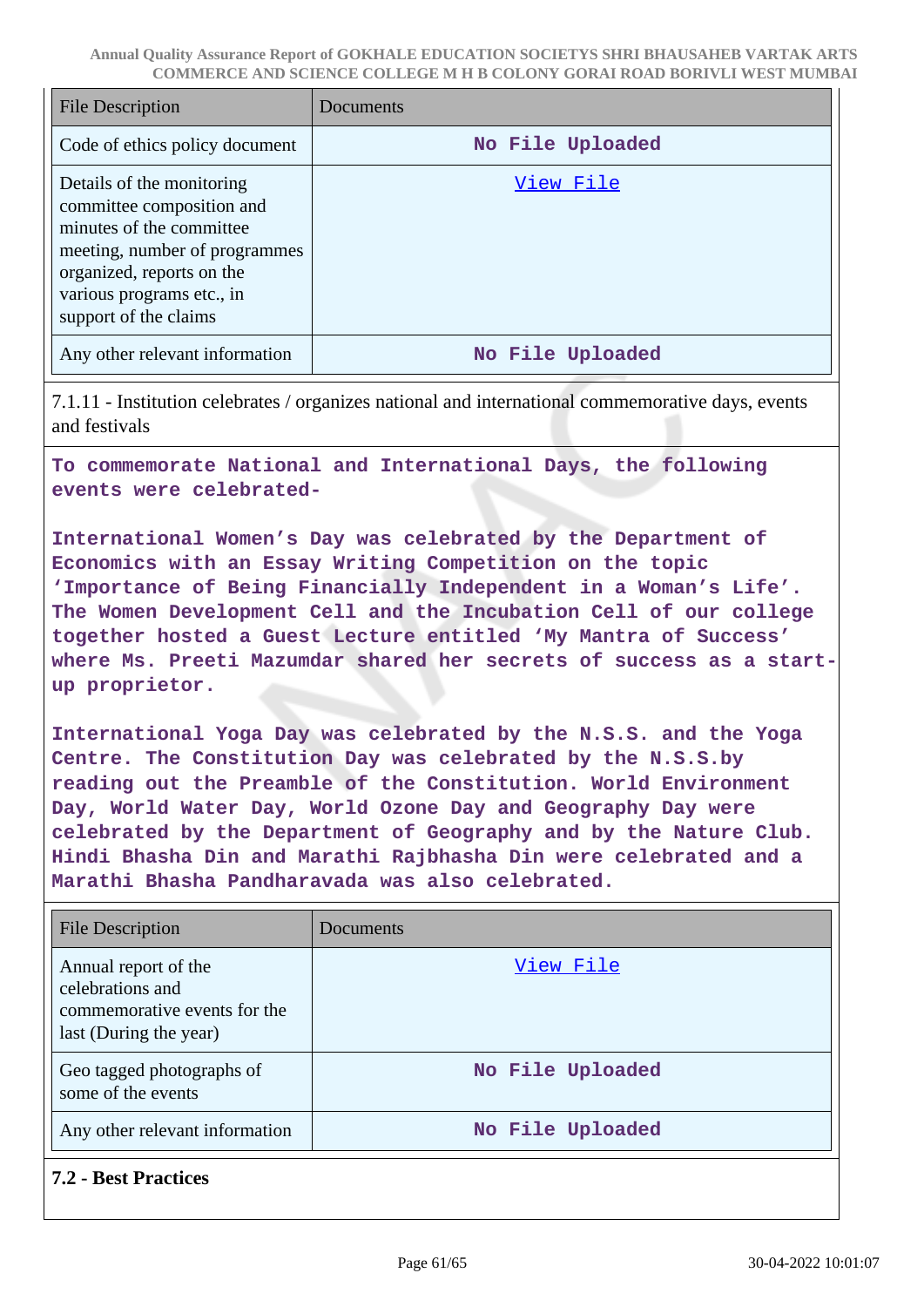| <b>File Description</b>                                                                                                                                                                                | Documents        |
|--------------------------------------------------------------------------------------------------------------------------------------------------------------------------------------------------------|------------------|
| Code of ethics policy document                                                                                                                                                                         | No File Uploaded |
| Details of the monitoring<br>committee composition and<br>minutes of the committee<br>meeting, number of programmes<br>organized, reports on the<br>various programs etc., in<br>support of the claims | <u>View File</u> |
| Any other relevant information                                                                                                                                                                         | No File Uploaded |

7.1.11 - Institution celebrates / organizes national and international commemorative days, events and festivals

**To commemorate National and International Days, the following events were celebrated-**

**International Women's Day was celebrated by the Department of Economics with an Essay Writing Competition on the topic 'Importance of Being Financially Independent in a Woman's Life'. The Women Development Cell and the Incubation Cell of our college together hosted a Guest Lecture entitled 'My Mantra of Success' where Ms. Preeti Mazumdar shared her secrets of success as a startup proprietor.**

**International Yoga Day was celebrated by the N.S.S. and the Yoga Centre. The Constitution Day was celebrated by the N.S.S.by reading out the Preamble of the Constitution. World Environment Day, World Water Day, World Ozone Day and Geography Day were celebrated by the Department of Geography and by the Nature Club. Hindi Bhasha Din and Marathi Rajbhasha Din were celebrated and a Marathi Bhasha Pandharavada was also celebrated.**

| <b>File Description</b>                                                                            | Documents        |
|----------------------------------------------------------------------------------------------------|------------------|
| Annual report of the<br>celebrations and<br>commemorative events for the<br>last (During the year) | View File        |
| Geo tagged photographs of<br>some of the events                                                    | No File Uploaded |
| Any other relevant information                                                                     | No File Uploaded |

**7.2 - Best Practices**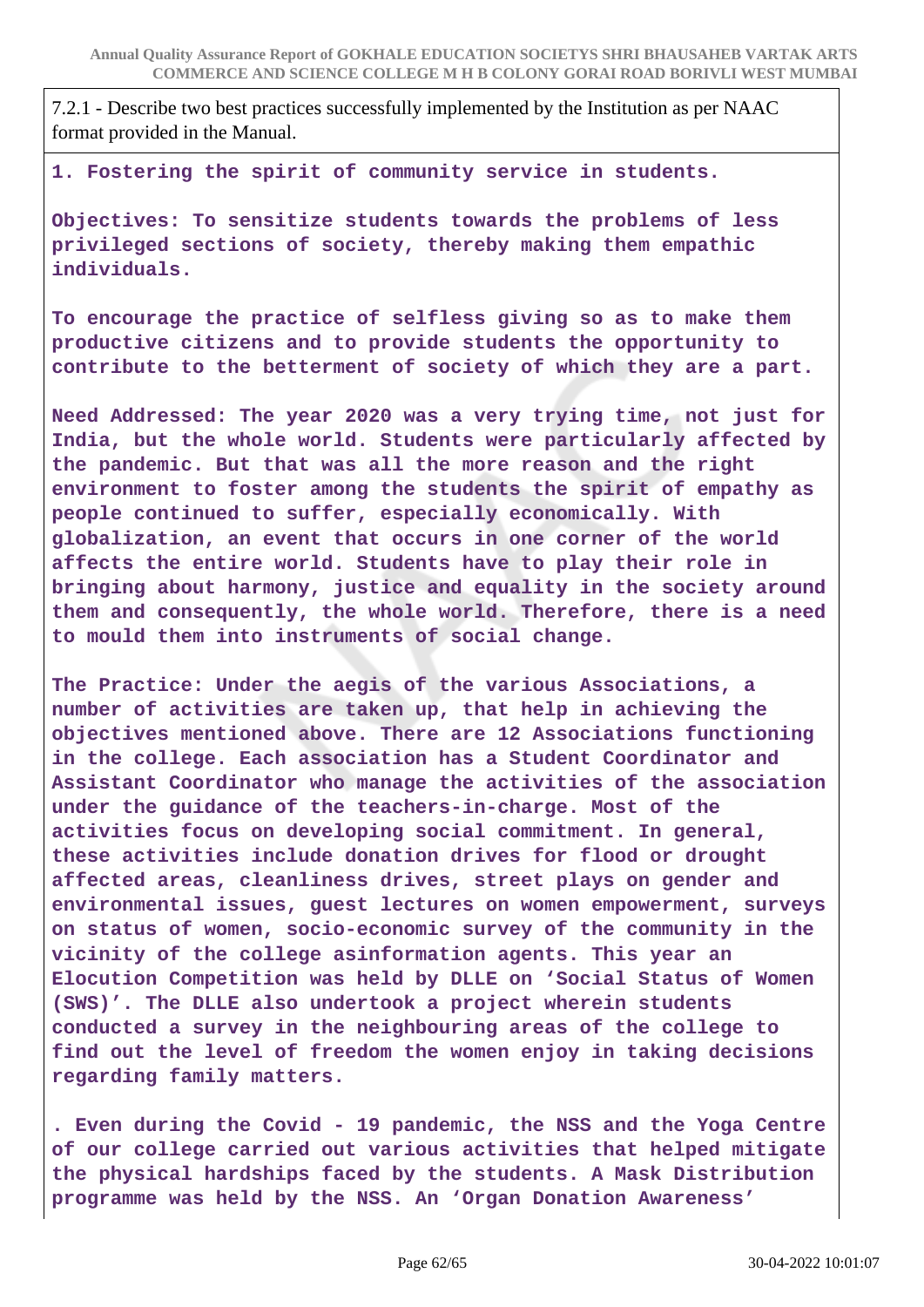7.2.1 - Describe two best practices successfully implemented by the Institution as per NAAC format provided in the Manual.

**1. Fostering the spirit of community service in students.**

**Objectives: To sensitize students towards the problems of less privileged sections of society, thereby making them empathic individuals.**

**To encourage the practice of selfless giving so as to make them productive citizens and to provide students the opportunity to contribute to the betterment of society of which they are a part.**

**Need Addressed: The year 2020 was a very trying time, not just for India, but the whole world. Students were particularly affected by the pandemic. But that was all the more reason and the right environment to foster among the students the spirit of empathy as people continued to suffer, especially economically. With globalization, an event that occurs in one corner of the world affects the entire world. Students have to play their role in bringing about harmony, justice and equality in the society around them and consequently, the whole world. Therefore, there is a need to mould them into instruments of social change.**

**The Practice: Under the aegis of the various Associations, a number of activities are taken up, that help in achieving the objectives mentioned above. There are 12 Associations functioning in the college. Each association has a Student Coordinator and Assistant Coordinator who manage the activities of the association under the guidance of the teachers-in-charge. Most of the activities focus on developing social commitment. In general, these activities include donation drives for flood or drought affected areas, cleanliness drives, street plays on gender and environmental issues, guest lectures on women empowerment, surveys on status of women, socio-economic survey of the community in the vicinity of the college asinformation agents. This year an Elocution Competition was held by DLLE on 'Social Status of Women (SWS)'. The DLLE also undertook a project wherein students conducted a survey in the neighbouring areas of the college to find out the level of freedom the women enjoy in taking decisions regarding family matters.**

**. Even during the Covid - 19 pandemic, the NSS and the Yoga Centre of our college carried out various activities that helped mitigate the physical hardships faced by the students. A Mask Distribution programme was held by the NSS. An 'Organ Donation Awareness'**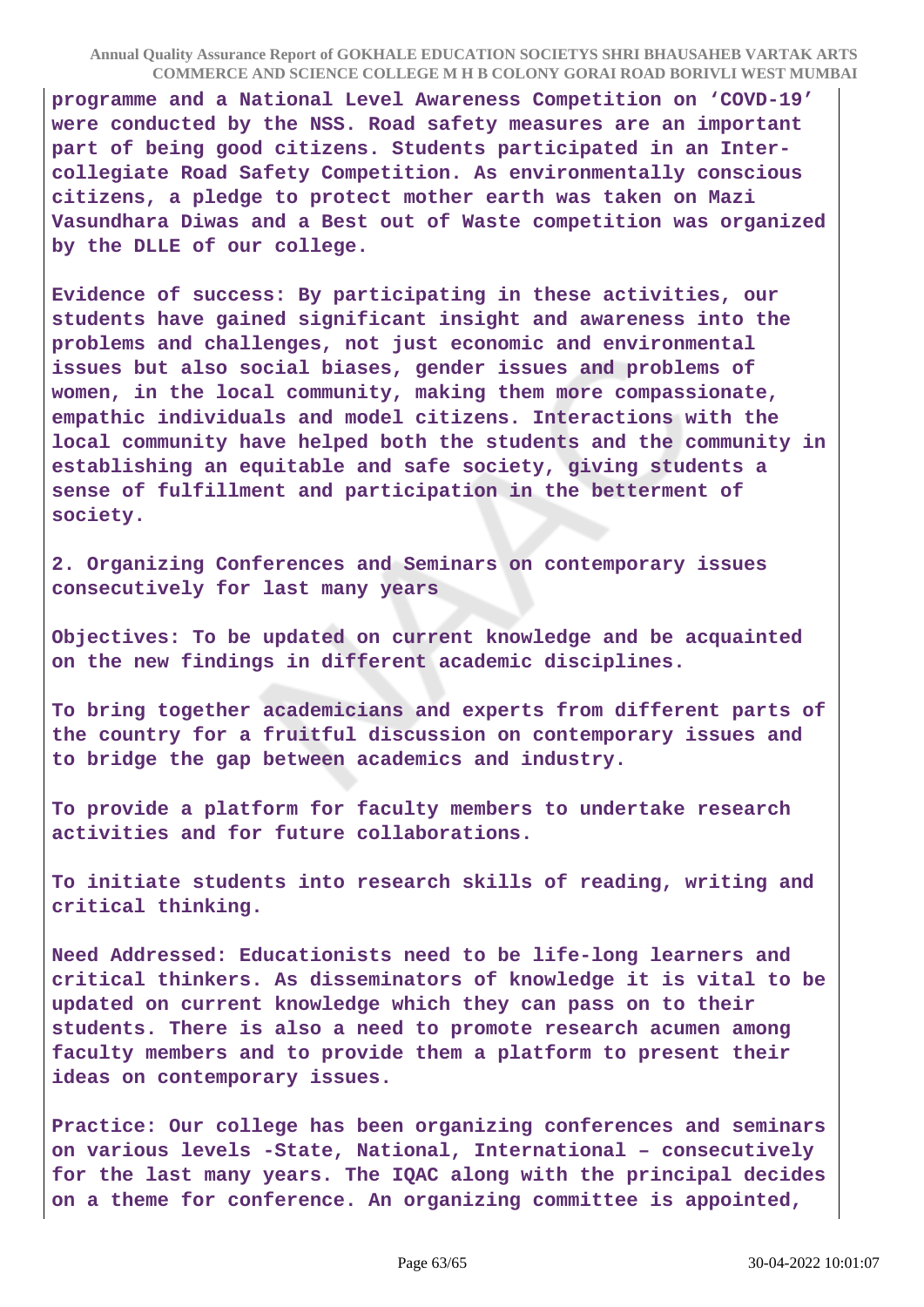**programme and a National Level Awareness Competition on 'COVD-19' were conducted by the NSS. Road safety measures are an important part of being good citizens. Students participated in an Intercollegiate Road Safety Competition. As environmentally conscious citizens, a pledge to protect mother earth was taken on Mazi Vasundhara Diwas and a Best out of Waste competition was organized by the DLLE of our college.**

**Evidence of success: By participating in these activities, our students have gained significant insight and awareness into the problems and challenges, not just economic and environmental issues but also social biases, gender issues and problems of women, in the local community, making them more compassionate, empathic individuals and model citizens. Interactions with the local community have helped both the students and the community in establishing an equitable and safe society, giving students a sense of fulfillment and participation in the betterment of society.**

**2. Organizing Conferences and Seminars on contemporary issues consecutively for last many years**

**Objectives: To be updated on current knowledge and be acquainted on the new findings in different academic disciplines.**

**To bring together academicians and experts from different parts of the country for a fruitful discussion on contemporary issues and to bridge the gap between academics and industry.**

**To provide a platform for faculty members to undertake research activities and for future collaborations.**

**To initiate students into research skills of reading, writing and critical thinking.**

**Need Addressed: Educationists need to be life-long learners and critical thinkers. As disseminators of knowledge it is vital to be updated on current knowledge which they can pass on to their students. There is also a need to promote research acumen among faculty members and to provide them a platform to present their ideas on contemporary issues.**

**Practice: Our college has been organizing conferences and seminars on various levels -State, National, International – consecutively for the last many years. The IQAC along with the principal decides on a theme for conference. An organizing committee is appointed,**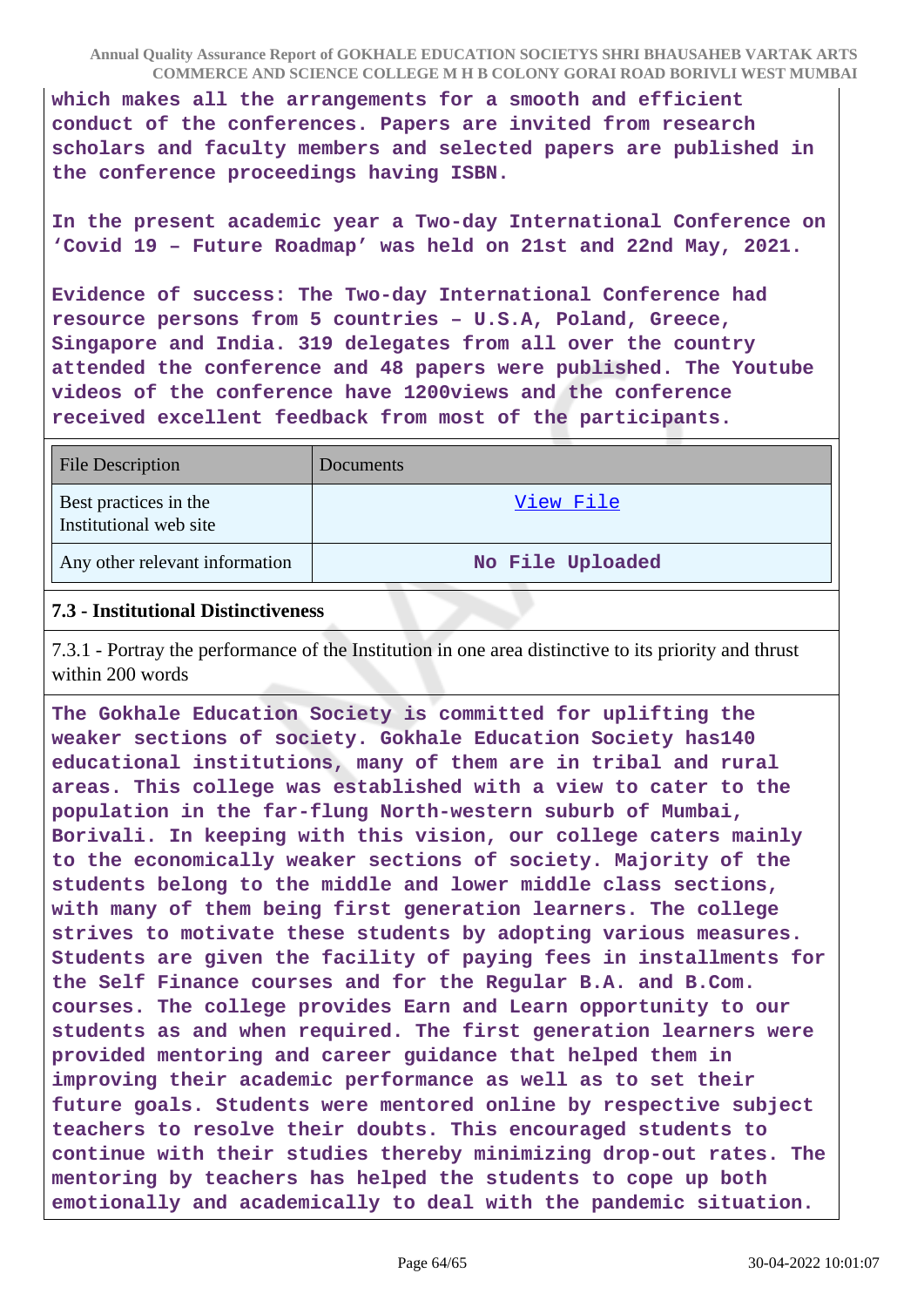**which makes all the arrangements for a smooth and efficient conduct of the conferences. Papers are invited from research scholars and faculty members and selected papers are published in the conference proceedings having ISBN.**

**In the present academic year a Two-day International Conference on 'Covid 19 – Future Roadmap' was held on 21st and 22nd May, 2021.**

**Evidence of success: The Two-day International Conference had resource persons from 5 countries – U.S.A, Poland, Greece, Singapore and India. 319 delegates from all over the country attended the conference and 48 papers were published. The Youtube videos of the conference have 1200views and the conference received excellent feedback from most of the participants.**

| <b>File Description</b>                         | <b>Documents</b> |
|-------------------------------------------------|------------------|
| Best practices in the<br>Institutional web site | View File        |
| Any other relevant information                  | No File Uploaded |

#### **7.3 - Institutional Distinctiveness**

7.3.1 - Portray the performance of the Institution in one area distinctive to its priority and thrust within 200 words

**The Gokhale Education Society is committed for uplifting the weaker sections of society. Gokhale Education Society has140 educational institutions, many of them are in tribal and rural areas. This college was established with a view to cater to the population in the far-flung North-western suburb of Mumbai, Borivali. In keeping with this vision, our college caters mainly to the economically weaker sections of society. Majority of the students belong to the middle and lower middle class sections, with many of them being first generation learners. The college strives to motivate these students by adopting various measures. Students are given the facility of paying fees in installments for the Self Finance courses and for the Regular B.A. and B.Com. courses. The college provides Earn and Learn opportunity to our students as and when required. The first generation learners were provided mentoring and career guidance that helped them in improving their academic performance as well as to set their future goals. Students were mentored online by respective subject teachers to resolve their doubts. This encouraged students to continue with their studies thereby minimizing drop-out rates. The mentoring by teachers has helped the students to cope up both emotionally and academically to deal with the pandemic situation.**